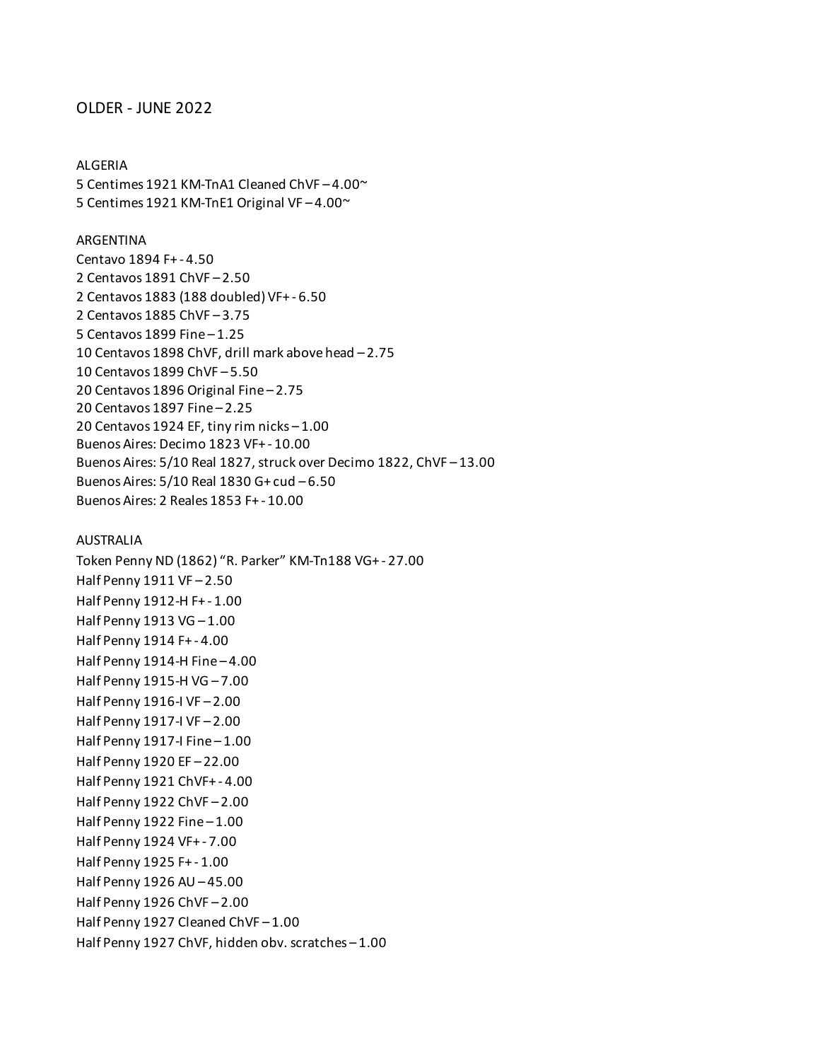## OLDER - JUNE 2022

ALGERIA 5 Centimes 1921 KM-TnA1 Cleaned ChVF – 4.00~ 5 Centimes 1921 KM-TnE1 Original VF – 4.00~

#### ARGENTINA

Centavo 1894 F+ - 4.50 2 Centavos 1891 ChVF – 2.50 2 Centavos 1883 (188 doubled) VF+ - 6.50 2 Centavos 1885 ChVF – 3.75 5 Centavos 1899 Fine – 1.25 10 Centavos 1898 ChVF, drill mark above head – 2.75 10 Centavos 1899 ChVF – 5.50 20 Centavos 1896 Original Fine – 2.75 20 Centavos 1897 Fine – 2.25 20 Centavos 1924 EF, tiny rim nicks – 1.00 Buenos Aires: Decimo 1823 VF+ - 10.00 Buenos Aires: 5/10 Real 1827, struck over Decimo 1822, ChVF – 13.00 Buenos Aires: 5/10 Real 1830 G+ cud – 6.50 Buenos Aires: 2 Reales 1853 F+ - 10.00

#### AUSTRALIA

Token Penny ND (1862) "R. Parker" KM-Tn188 VG+ - 27.00 Half Penny 1911 VF – 2.50 Half Penny 1912-H F+ - 1.00 Half Penny 1913 VG – 1.00 Half Penny 1914 F+ - 4.00 Half Penny 1914-H Fine – 4.00 Half Penny 1915-H VG – 7.00 Half Penny 1916-I VF – 2.00 Half Penny 1917-I VF – 2.00 Half Penny 1917-I Fine – 1.00 Half Penny 1920 EF – 22.00 Half Penny 1921 ChVF+ - 4.00 Half Penny 1922 ChVF – 2.00 Half Penny 1922 Fine – 1.00 Half Penny 1924 VF+ - 7.00 Half Penny 1925 F+ - 1.00 Half Penny 1926 AU – 45.00 Half Penny 1926 ChVF – 2.00 Half Penny 1927 Cleaned ChVF – 1.00 Half Penny 1927 ChVF, hidden obv. scratches – 1.00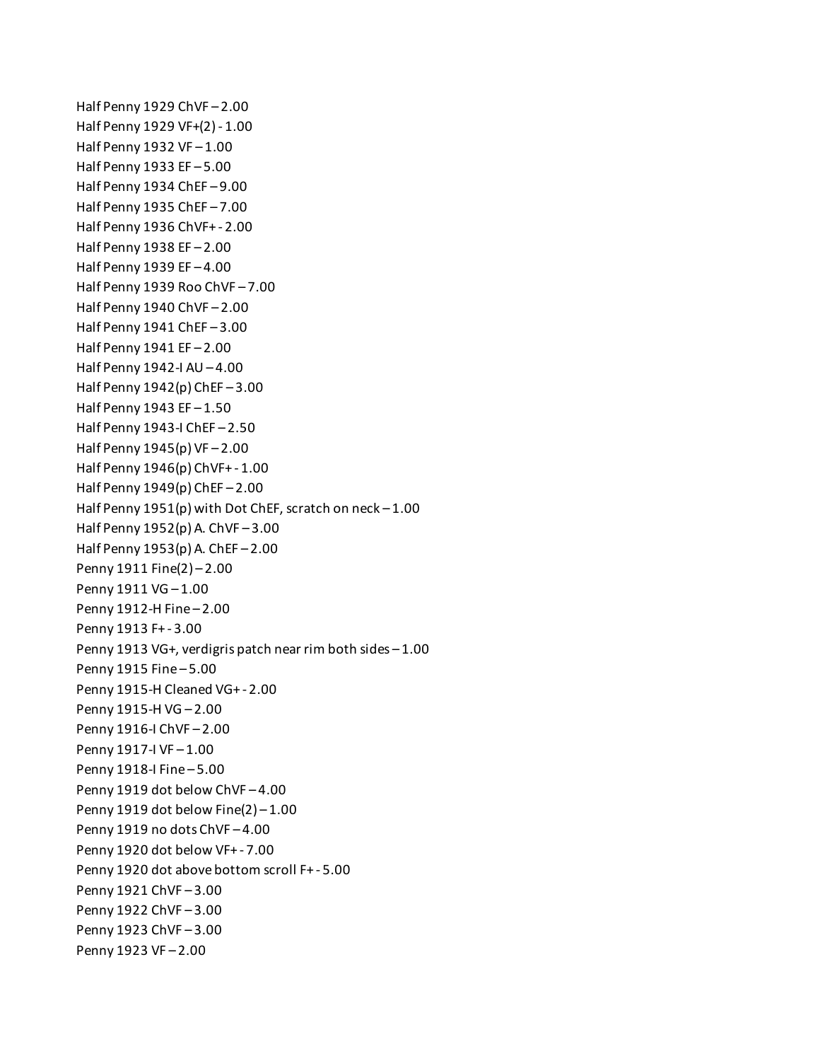Half Penny 1929 ChVF – 2.00 Half Penny 1929 VF+(2) - 1.00 Half Penny 1932 VF – 1.00 Half Penny 1933 EF – 5.00 Half Penny 1934 ChEF – 9.00 Half Penny 1935 ChEF – 7.00 Half Penny 1936 ChVF+ - 2.00 Half Penny 1938 EF – 2.00 Half Penny 1939 EF – 4.00 Half Penny 1939 Roo ChVF – 7.00 Half Penny 1940 ChVF – 2.00 Half Penny 1941 ChEF – 3.00 Half Penny 1941 EF – 2.00 Half Penny 1942-I AU – 4.00 Half Penny 1942(p) ChEF – 3.00 Half Penny 1943 EF – 1.50 Half Penny 1943-I ChEF – 2.50 Half Penny 1945(p) VF – 2.00 Half Penny 1946(p) ChVF+ - 1.00 Half Penny 1949(p) ChEF – 2.00 Half Penny 1951(p) with Dot ChEF, scratch on neck – 1.00 Half Penny 1952(p) A. ChVF – 3.00 Half Penny 1953(p) A. ChEF – 2.00 Penny 1911 Fine(2) – 2.00 Penny 1911 VG – 1.00 Penny 1912-H Fine – 2.00 Penny 1913 F+ - 3.00 Penny 1913 VG+, verdigris patch near rim both sides – 1.00 Penny 1915 Fine – 5.00 Penny 1915-H Cleaned VG+ - 2.00 Penny 1915-H VG – 2.00 Penny 1916-I ChVF – 2.00 Penny 1917-I VF – 1.00 Penny 1918-I Fine – 5.00 Penny 1919 dot below ChVF – 4.00 Penny 1919 dot below Fine(2) – 1.00 Penny 1919 no dots ChVF – 4.00 Penny 1920 dot below VF+ - 7.00 Penny 1920 dot above bottom scroll F+ - 5.00 Penny 1921 ChVF – 3.00 Penny 1922 ChVF – 3.00 Penny 1923 ChVF – 3.00 Penny 1923 VF – 2.00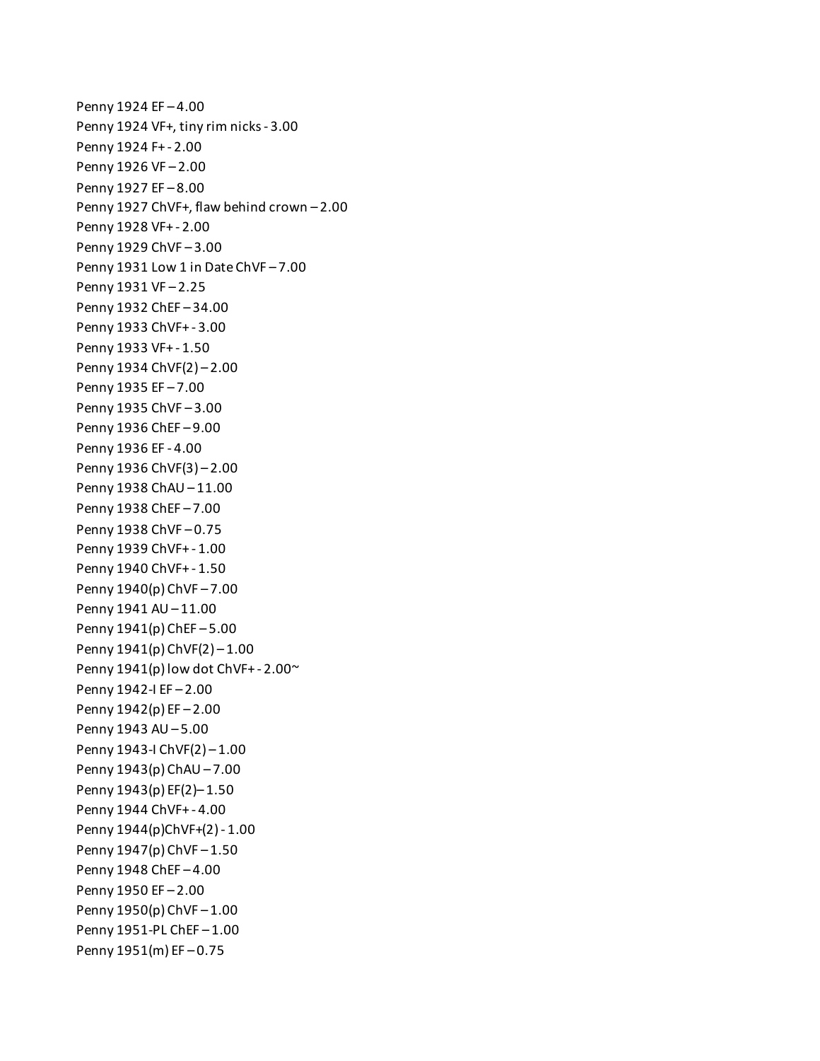Penny 1924 EF – 4.00 Penny 1924 VF+, tiny rim nicks - 3.00 Penny 1924 F+ - 2.00 Penny 1926 VF – 2.00 Penny 1927 EF – 8.00 Penny 1927 ChVF+, flaw behind crown – 2.00 Penny 1928 VF+ - 2.00 Penny 1929 ChVF – 3.00 Penny 1931 Low 1 in Date ChVF – 7.00 Penny 1931 VF – 2.25 Penny 1932 ChEF – 34.00 Penny 1933 ChVF+ - 3.00 Penny 1933 VF+ - 1.50 Penny 1934 ChVF(2) – 2.00 Penny 1935 EF – 7.00 Penny 1935 ChVF – 3.00 Penny 1936 ChEF – 9.00 Penny 1936 EF - 4.00 Penny 1936 ChVF(3) – 2.00 Penny 1938 ChAU – 11.00 Penny 1938 ChEF – 7.00 Penny 1938 ChVF – 0.75 Penny 1939 ChVF+ - 1.00 Penny 1940 ChVF+ - 1.50 Penny 1940(p) ChVF – 7.00 Penny 1941 AU – 11.00 Penny 1941(p) ChEF – 5.00 Penny 1941(p) ChVF(2) – 1.00 Penny 1941(p) low dot ChVF+ - 2.00~ Penny 1942-I EF – 2.00 Penny  $1942(p)$  EF  $-2.00$ Penny 1943 AU – 5.00 Penny 1943-I ChVF(2) – 1.00 Penny 1943(p) ChAU – 7.00 Penny 1943(p) EF(2)– 1.50 Penny 1944 ChVF+ - 4.00 Penny 1944(p)ChVF+(2) - 1.00 Penny 1947(p) ChVF – 1.50 Penny 1948 ChEF – 4.00 Penny 1950 EF – 2.00 Penny 1950(p) ChVF – 1.00 Penny 1951-PL ChEF – 1.00 Penny 1951(m) EF – 0.75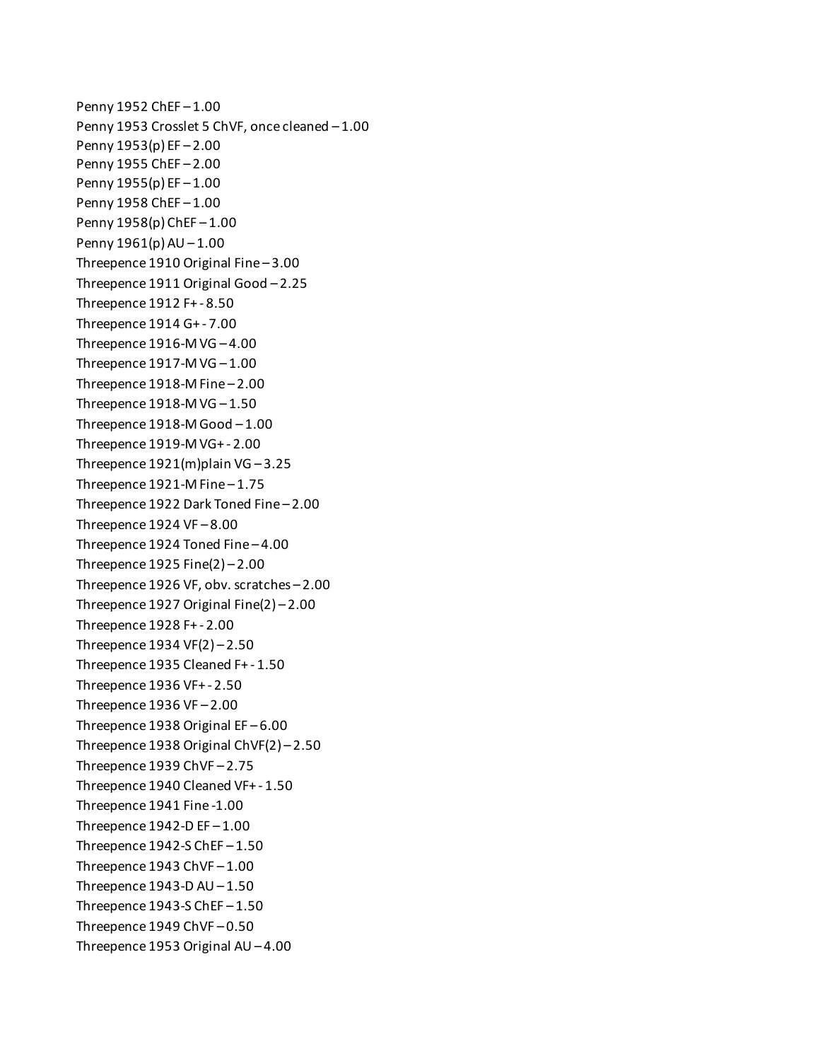Penny 1952 ChEF – 1.00 Penny 1953 Crosslet 5 ChVF, once cleaned – 1.00 Penny 1953(p) EF – 2.00 Penny 1955 ChEF – 2.00 Penny 1955(p) EF $-1.00$ Penny 1958 ChEF – 1.00 Penny 1958(p) ChEF – 1.00 Penny 1961(p) AU – 1.00 Threepence 1910 Original Fine – 3.00 Threepence 1911 Original Good – 2.25 Threepence 1912 F+ - 8.50 Threepence 1914 G+ - 7.00 Threepence  $1916$ -M VG  $-4.00$ Threepence  $1917$ -M VG $-1.00$ Threepence 1918-M Fine – 2.00 Threepence 1918-M VG $-1.50$ Threepence 1918-M Good – 1.00 Threepence 1919-M VG+ - 2.00 Threepence  $1921(m)$ plain VG  $-3.25$ Threepence 1921-M Fine – 1.75 Threepence 1922 Dark Toned Fine – 2.00 Threepence  $1924$  VF $-8.00$ Threepence 1924 Toned Fine – 4.00 Threepence 1925 Fine $(2)$  – 2.00 Threepence 1926 VF, obv. scratches – 2.00 Threepence 1927 Original Fine(2) – 2.00 Threepence 1928 F+ - 2.00 Threepence 1934 VF(2)  $-2.50$ Threepence 1935 Cleaned F+ - 1.50 Threepence 1936 VF+ - 2.50 Threepence 1936 VF – 2.00 Threepence 1938 Original EF – 6.00 Threepence 1938 Original ChVF(2) – 2.50 Threepence 1939 ChVF – 2.75 Threepence 1940 Cleaned VF+ - 1.50 Threepence 1941 Fine -1.00 Threepence 1942-D EF $-1.00$ Threepence 1942-S ChEF $-1.50$ Threepence 1943 ChVF – 1.00 Threepence  $1943-D$  AU  $-1.50$ Threepence 1943-S ChEF $-1.50$ Threepence 1949 ChVF – 0.50 Threepence 1953 Original AU – 4.00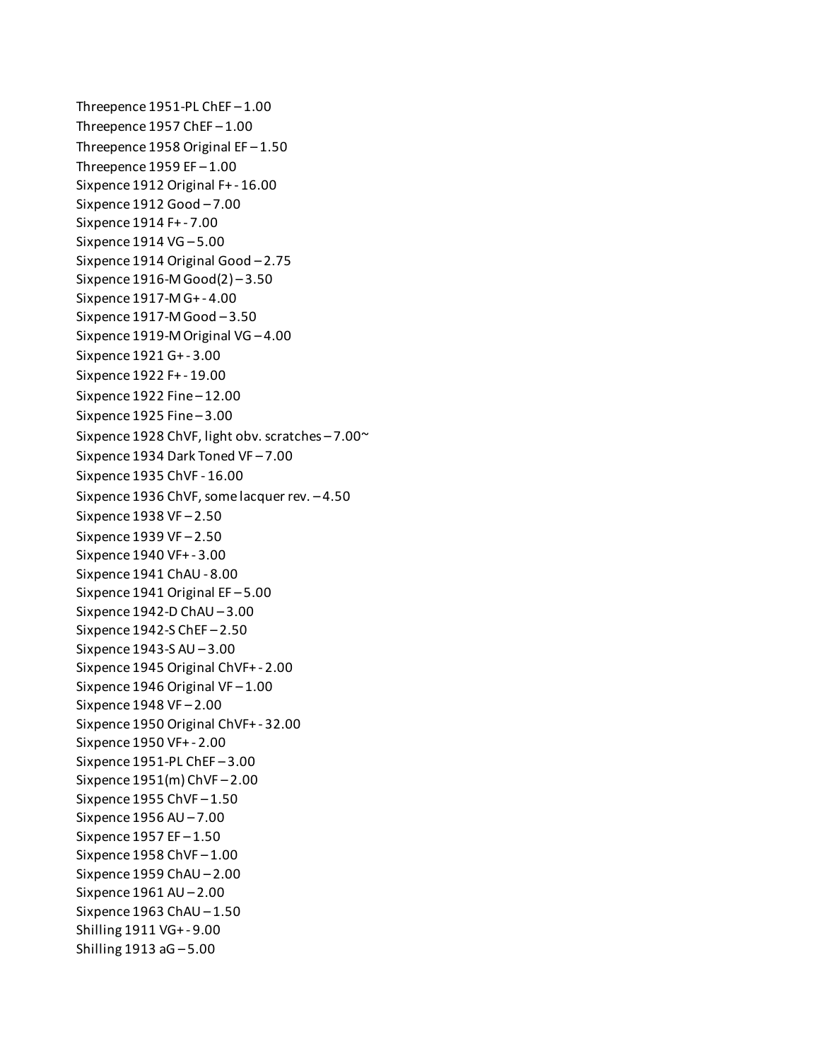Threepence 1951-PL ChEF – 1.00 Threepence 1957 ChEF – 1.00 Threepence 1958 Original  $EF - 1.50$ Threepence 1959 EF $-1.00$ Sixpence 1912 Original F+ - 16.00 Sixpence 1912 Good – 7.00 Sixpence 1914 F+ - 7.00 Sixpence 1914 VG – 5.00 Sixpence 1914 Original Good – 2.75 Sixpence 1916-M Good(2) – 3.50 Sixpence 1917-M G+ - 4.00 Sixpence 1917-M Good – 3.50 Sixpence 1919-M Original VG – 4.00 Sixpence 1921 G+ - 3.00 Sixpence 1922 F+ - 19.00 Sixpence 1922 Fine – 12.00 Sixpence 1925 Fine – 3.00 Sixpence 1928 ChVF, light obv. scratches – 7.00~ Sixpence 1934 Dark Toned VF – 7.00 Sixpence 1935 ChVF - 16.00 Sixpence 1936 ChVF, some lacquer rev. – 4.50 Sixpence 1938 VF – 2.50 Sixpence 1939 VF – 2.50 Sixpence 1940 VF+ - 3.00 Sixpence 1941 ChAU - 8.00 Sixpence 1941 Original EF – 5.00 Sixpence 1942-D ChAU – 3.00 Sixpence 1942-S ChEF – 2.50 Sixpence 1943-S AU – 3.00 Sixpence 1945 Original ChVF+ - 2.00 Sixpence 1946 Original VF – 1.00 Sixpence 1948 VF – 2.00 Sixpence 1950 Original ChVF+ - 32.00 Sixpence 1950 VF+ - 2.00 Sixpence 1951-PL ChEF – 3.00 Sixpence 1951(m) ChVF – 2.00 Sixpence 1955 ChVF – 1.50 Sixpence 1956 AU – 7.00 Sixpence 1957 EF – 1.50 Sixpence 1958 ChVF – 1.00 Sixpence 1959 ChAU – 2.00 Sixpence 1961 AU – 2.00 Sixpence 1963 ChAU – 1.50 Shilling 1911 VG+ - 9.00 Shilling 1913 aG – 5.00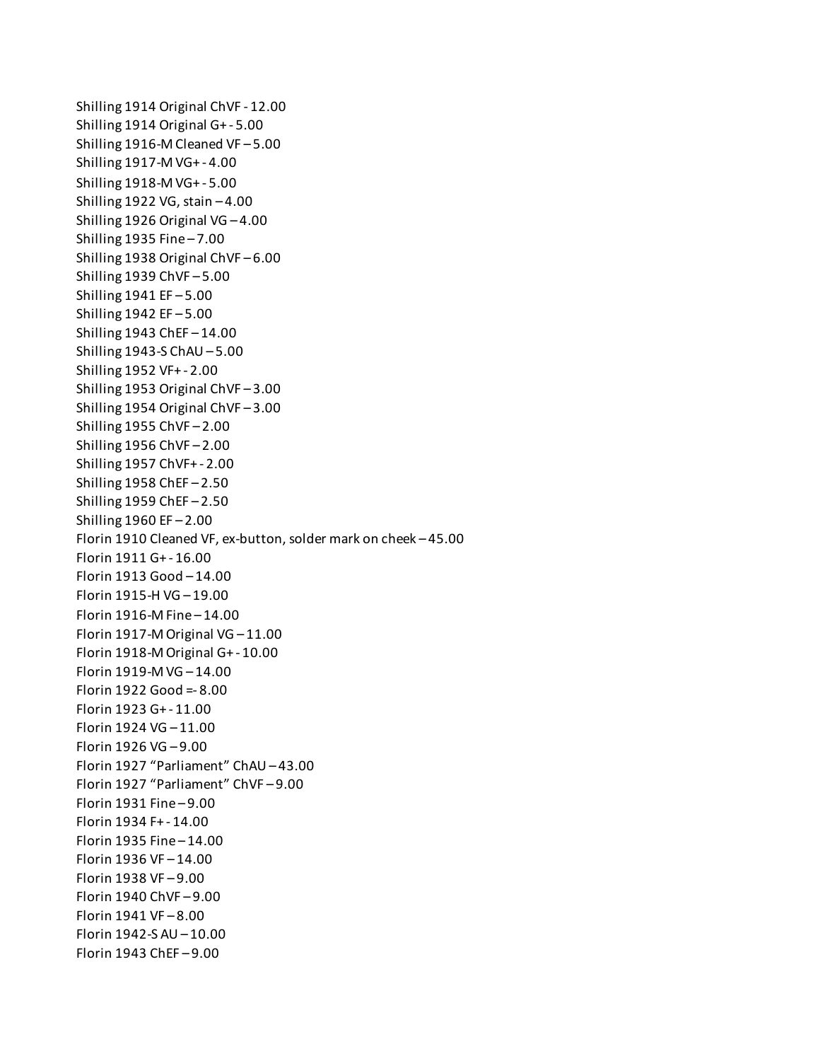Shilling 1914 Original ChVF - 12.00 Shilling 1914 Original G+ - 5.00 Shilling 1916-M Cleaned VF – 5.00 Shilling 1917-M VG+ - 4.00 Shilling 1918-M VG+ - 5.00 Shilling 1922 VG, stain – 4.00 Shilling 1926 Original VG – 4.00 Shilling 1935 Fine – 7.00 Shilling 1938 Original ChVF – 6.00 Shilling 1939 ChVF – 5.00 Shilling 1941 EF – 5.00 Shilling 1942 EF – 5.00 Shilling 1943 ChEF – 14.00 Shilling 1943-S ChAU – 5.00 Shilling 1952 VF+ - 2.00 Shilling 1953 Original ChVF – 3.00 Shilling 1954 Original ChVF – 3.00 Shilling 1955 ChVF – 2.00 Shilling 1956 ChVF – 2.00 Shilling 1957 ChVF+ - 2.00 Shilling 1958 ChEF – 2.50 Shilling 1959 ChEF – 2.50 Shilling 1960 EF – 2.00 Florin 1910 Cleaned VF, ex-button, solder mark on cheek – 45.00 Florin 1911 G+ - 16.00 Florin 1913 Good – 14.00 Florin 1915-H VG – 19.00 Florin 1916-M Fine – 14.00 Florin 1917-M Original VG – 11.00 Florin 1918-M Original G+ - 10.00 Florin 1919-M VG – 14.00 Florin 1922 Good =- 8.00 Florin 1923 G+ - 11.00 Florin 1924 VG – 11.00 Florin 1926 VG – 9.00 Florin 1927 "Parliament" ChAU – 43.00 Florin 1927 "Parliament" ChVF – 9.00 Florin 1931 Fine – 9.00 Florin 1934 F+ - 14.00 Florin 1935 Fine – 14.00 Florin 1936 VF – 14.00 Florin 1938 VF – 9.00 Florin 1940 ChVF – 9.00 Florin 1941 VF – 8.00 Florin 1942-S AU – 10.00 Florin 1943 ChEF – 9.00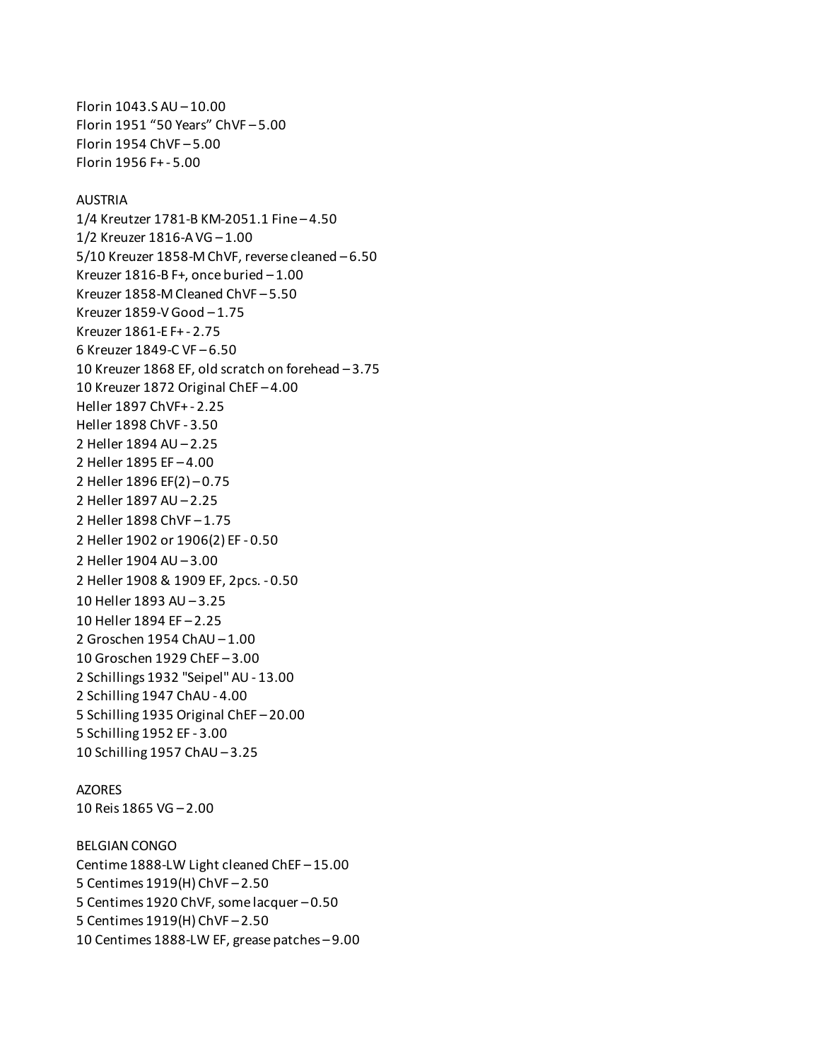Florin 1043.S AU – 10.00 Florin 1951 "50 Years" ChVF – 5.00 Florin 1954 ChVF – 5.00 Florin 1956 F+ - 5.00

#### AUSTRIA

1/4 Kreutzer 1781-B KM-2051.1 Fine – 4.50 1/2 Kreuzer 1816-A VG – 1.00 5/10 Kreuzer 1858-M ChVF, reverse cleaned – 6.50 Kreuzer 1816-B F+, once buried – 1.00 Kreuzer 1858-M Cleaned ChVF – 5.50 Kreuzer 1859-V Good – 1.75 Kreuzer 1861-E F+ - 2.75 6 Kreuzer 1849-C VF – 6.50 10 Kreuzer 1868 EF, old scratch on forehead – 3.75 10 Kreuzer 1872 Original ChEF – 4.00 Heller 1897 ChVF+ - 2.25 Heller 1898 ChVF - 3.50 2 Heller 1894 AU – 2.25 2 Heller 1895 EF – 4.00 2 Heller 1896 EF(2) – 0.75 2 Heller 1897 AU – 2.25 2 Heller 1898 ChVF – 1.75 2 Heller 1902 or 1906(2) EF - 0.50 2 Heller 1904 AU – 3.00 2 Heller 1908 & 1909 EF, 2pcs. - 0.50 10 Heller 1893 AU – 3.25 10 Heller 1894 EF – 2.25 2 Groschen 1954 ChAU – 1.00 10 Groschen 1929 ChEF – 3.00 2 Schillings 1932 "Seipel" AU - 13.00 2 Schilling 1947 ChAU - 4.00 5 Schilling 1935 Original ChEF – 20.00 5 Schilling 1952 EF - 3.00 10 Schilling 1957 ChAU – 3.25

## AZORES 10 Reis 1865 VG – 2.00

BELGIAN CONGO Centime 1888-LW Light cleaned ChEF – 15.00 5 Centimes 1919(H) ChVF – 2.50 5 Centimes 1920 ChVF, some lacquer – 0.50 5 Centimes 1919(H) ChVF – 2.50 10 Centimes 1888-LW EF, grease patches – 9.00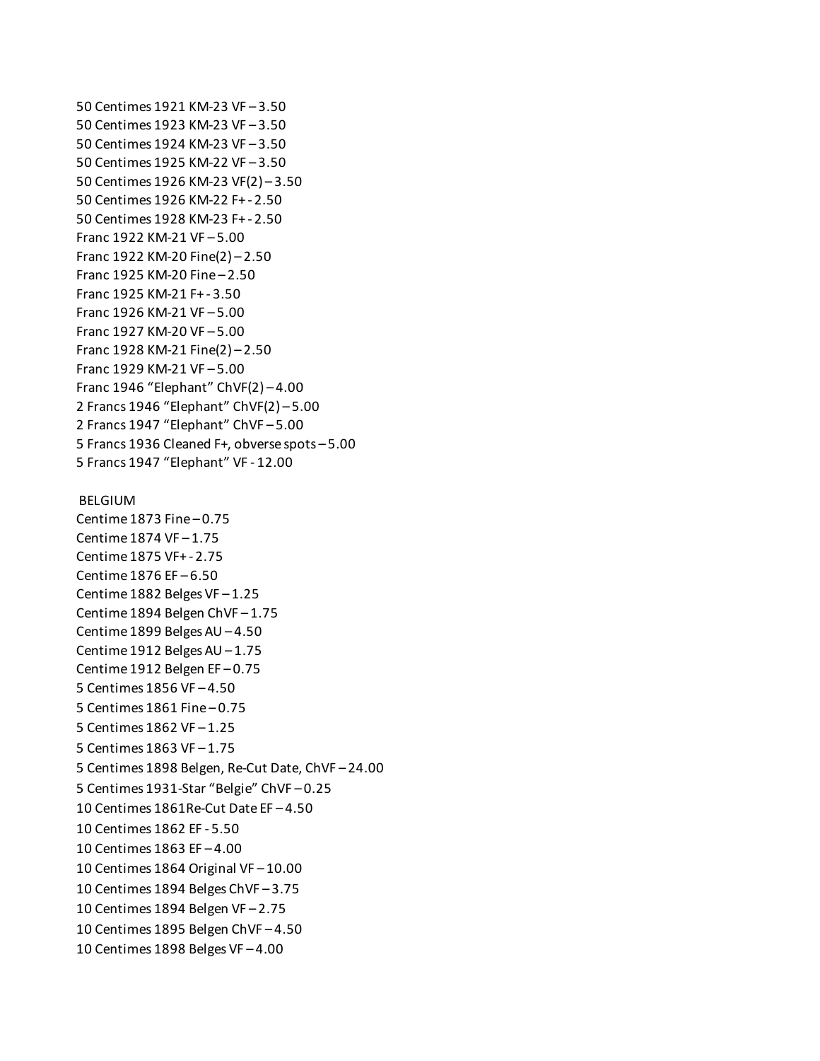50 Centimes 1921 KM-23 VF – 3.50 50 Centimes 1923 KM-23 VF – 3.50 50 Centimes 1924 KM-23 VF – 3.50 50 Centimes 1925 KM-22 VF – 3.50 50 Centimes 1926 KM-23 VF(2) – 3.50 50 Centimes 1926 KM-22 F+ - 2.50 50 Centimes 1928 KM-23 F+ - 2.50 Franc 1922 KM-21 VF – 5.00 Franc 1922 KM-20 Fine(2) – 2.50 Franc 1925 KM-20 Fine – 2.50 Franc 1925 KM-21 F+ - 3.50 Franc 1926 KM-21 VF – 5.00 Franc 1927 KM-20 VF – 5.00 Franc 1928 KM-21 Fine(2) – 2.50 Franc 1929 KM-21 VF – 5.00 Franc 1946 "Elephant" ChVF(2) – 4.00 2 Francs 1946 "Elephant" ChVF(2) – 5.00 2 Francs 1947 "Elephant" ChVF – 5.00 5 Francs 1936 Cleaned F+, obverse spots – 5.00 5 Francs 1947 "Elephant" VF - 12.00 BELGIUM Centime 1873 Fine – 0.75 Centime 1874 VF – 1.75 Centime 1875 VF+ - 2.75 Centime 1876 EF – 6.50 Centime 1882 Belges VF – 1.25 Centime 1894 Belgen ChVF – 1.75 Centime 1899 Belges AU – 4.50 Centime 1912 Belges AU – 1.75 Centime 1912 Belgen EF – 0.75 5 Centimes 1856 VF – 4.50 5 Centimes 1861 Fine – 0.75 5 Centimes 1862 VF – 1.25 5 Centimes 1863 VF – 1.75 5 Centimes 1898 Belgen, Re-Cut Date, ChVF – 24.00 5 Centimes 1931-Star "Belgie" ChVF – 0.25 10 Centimes 1861Re-Cut Date EF – 4.50 10 Centimes 1862 EF - 5.50 10 Centimes 1863 EF – 4.00 10 Centimes 1864 Original VF – 10.00 10 Centimes 1894 Belges ChVF – 3.75 10 Centimes 1894 Belgen VF – 2.75 10 Centimes 1895 Belgen ChVF – 4.50 10 Centimes 1898 Belges VF – 4.00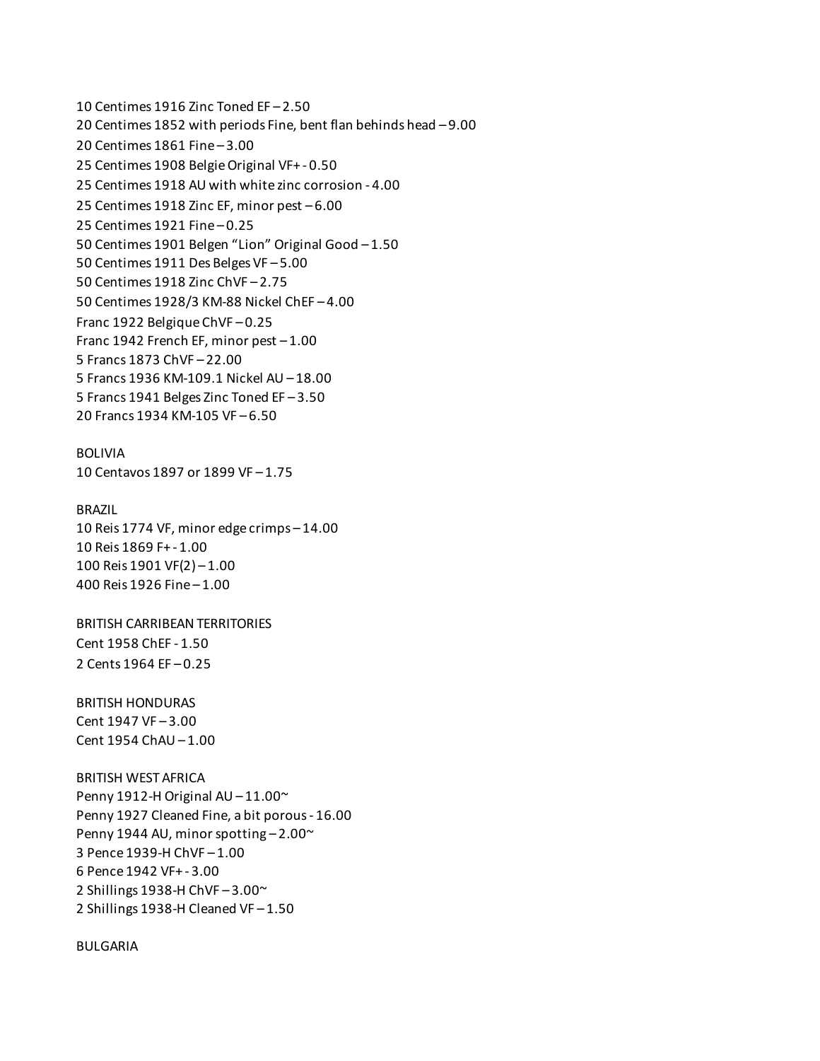10 Centimes 1916 Zinc Toned EF – 2.50 20 Centimes 1852 with periods Fine, bent flan behinds head – 9.00 20 Centimes 1861 Fine – 3.00 25 Centimes 1908 Belgie Original VF+ - 0.50 25 Centimes 1918 AU with white zinc corrosion - 4.00 25 Centimes 1918 Zinc EF, minor pest – 6.00 25 Centimes 1921 Fine – 0.25 50 Centimes 1901 Belgen "Lion" Original Good – 1.50 50 Centimes 1911 Des Belges VF – 5.00 50 Centimes 1918 Zinc ChVF – 2.75 50 Centimes 1928/3 KM-88 Nickel ChEF – 4.00 Franc 1922 Belgique ChVF – 0.25 Franc 1942 French EF, minor pest – 1.00 5 Francs 1873 ChVF – 22.00 5 Francs 1936 KM-109.1 Nickel AU – 18.00 5 Francs 1941 Belges Zinc Toned EF – 3.50 20 Francs 1934 KM-105 VF – 6.50 BOLIVIA 10 Centavos 1897 or 1899 VF – 1.75 BRAZIL

10 Reis 1774 VF, minor edge crimps – 14.00 10 Reis 1869 F+ - 1.00 100 Reis 1901 VF(2) – 1.00 400 Reis 1926 Fine – 1.00

BRITISH CARRIBEAN TERRITORIES Cent 1958 ChEF - 1.50 2 Cents 1964 EF – 0.25

BRITISH HONDURAS Cent 1947 VF – 3.00 Cent 1954 ChAU – 1.00

BRITISH WEST AFRICA Penny 1912-H Original AU  $-11.00$ <sup>~</sup> Penny 1927 Cleaned Fine, a bit porous - 16.00 Penny 1944 AU, minor spotting – 2.00~ 3 Pence 1939-H ChVF – 1.00 6 Pence 1942 VF+ - 3.00 2 Shillings 1938-H ChVF – 3.00~ 2 Shillings 1938-H Cleaned VF – 1.50

BULGARIA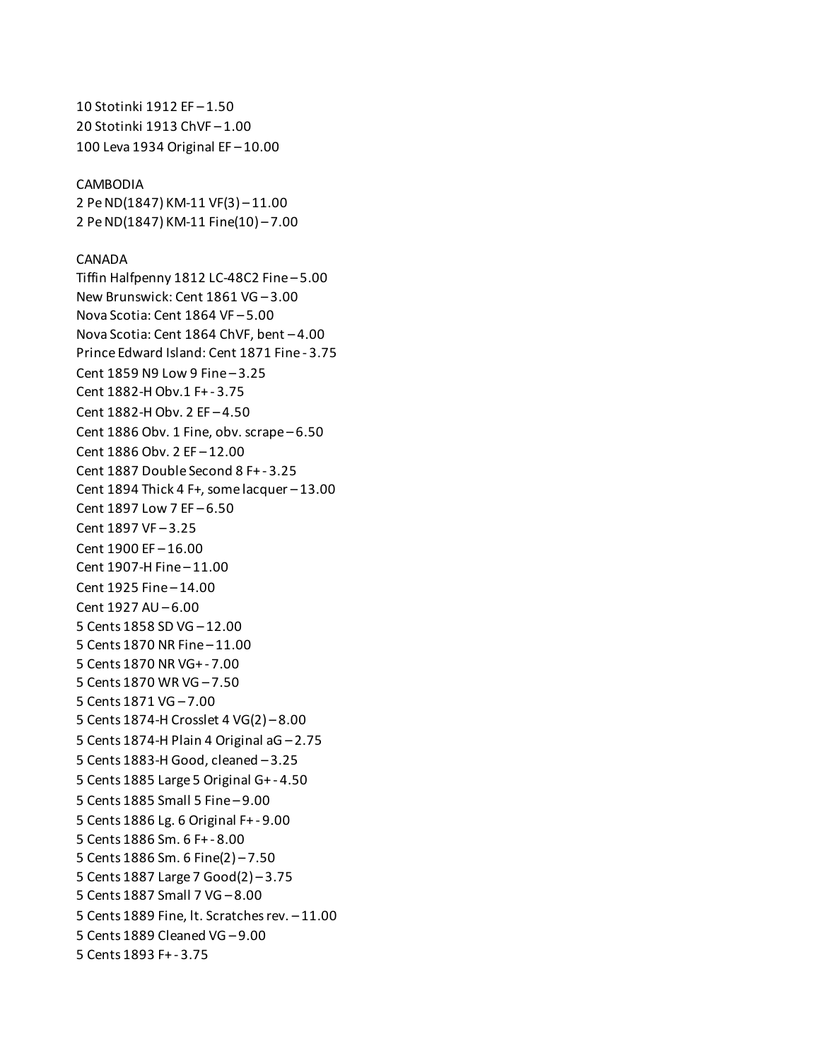10 Stotinki 1912 EF – 1.50 20 Stotinki 1913 ChVF – 1.00 100 Leva 1934 Original EF – 10.00

CAMBODIA 2 Pe ND(1847) KM-11 VF(3) – 11.00 2 Pe ND(1847) KM-11 Fine(10) – 7.00

## CANADA

Tiffin Halfpenny 1812 LC-48C2 Fine – 5.00 New Brunswick: Cent 1861 VG – 3.00 Nova Scotia: Cent 1864 VF – 5.00 Nova Scotia: Cent 1864 ChVF, bent – 4.00 Prince Edward Island: Cent 1871 Fine - 3.75 Cent 1859 N9 Low 9 Fine – 3.25 Cent 1882-H Obv.1 F+ - 3.75 Cent 1882-H Obv. 2 EF – 4.50 Cent 1886 Obv. 1 Fine, obv. scrape – 6.50 Cent 1886 Obv. 2 EF – 12.00 Cent 1887 Double Second 8 F+ - 3.25 Cent 1894 Thick 4 F+, some lacquer – 13.00 Cent 1897 Low 7 EF – 6.50 Cent 1897 VF – 3.25 Cent 1900 EF – 16.00 Cent 1907-H Fine – 11.00 Cent 1925 Fine – 14.00 Cent 1927 AU – 6.00 5 Cents 1858 SD VG – 12.00 5 Cents 1870 NR Fine – 11.00 5 Cents 1870 NR VG+ - 7.00 5 Cents 1870 WR VG – 7.50 5 Cents 1871 VG – 7.00 5 Cents 1874-H Crosslet 4 VG(2) – 8.00 5 Cents 1874-H Plain 4 Original aG – 2.75 5 Cents 1883-H Good, cleaned – 3.25 5 Cents 1885 Large 5 Original G+ - 4.50 5 Cents 1885 Small 5 Fine – 9.00 5 Cents 1886 Lg. 6 Original F+ - 9.00 5 Cents 1886 Sm. 6 F+ - 8.00 5 Cents 1886 Sm. 6 Fine(2) – 7.50 5 Cents 1887 Large 7 Good(2) – 3.75 5 Cents 1887 Small 7 VG – 8.00 5 Cents 1889 Fine, lt. Scratches rev. – 11.00 5 Cents 1889 Cleaned VG – 9.00 5 Cents 1893 F+ - 3.75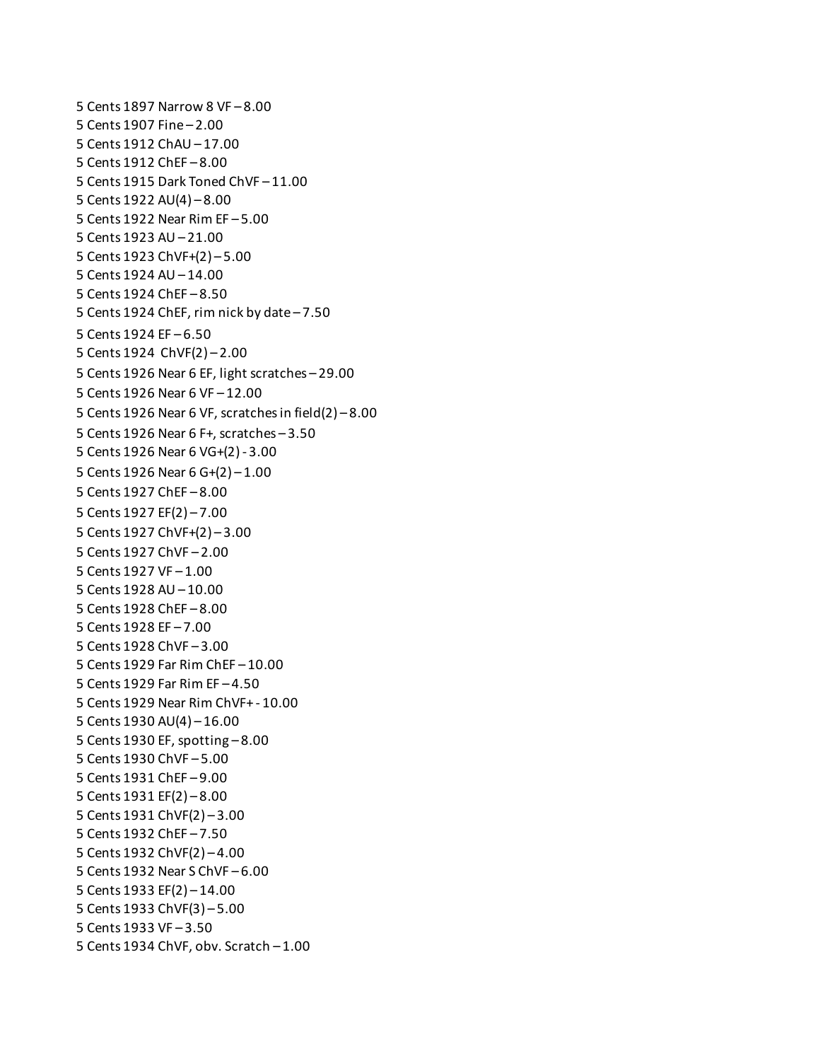5 Cents 1897 Narrow 8 VF – 8.00 5 Cents 1907 Fine – 2.00 5 Cents 1912 ChAU – 17.00 5 Cents 1912 ChEF – 8.00 5 Cents 1915 Dark Toned ChVF – 11.00 5 Cents 1922 AU(4) – 8.00 5 Cents 1922 Near Rim EF – 5.00 5 Cents 1923 AU – 21.00 5 Cents 1923 ChVF+(2) – 5.00 5 Cents 1924 AU – 14.00 5 Cents 1924 ChEF – 8.50 5 Cents 1924 ChEF, rim nick by date – 7.50 5 Cents 1924 EF – 6.50 5 Cents 1924 ChVF(2) – 2.00 5 Cents 1926 Near 6 EF, light scratches – 29.00 5 Cents 1926 Near 6 VF – 12.00 5 Cents 1926 Near 6 VF, scratches in field(2) – 8.00 5 Cents 1926 Near 6 F+, scratches – 3.50 5 Cents 1926 Near 6 VG+(2) - 3.00 5 Cents 1926 Near 6 G+(2) – 1.00 5 Cents 1927 ChEF – 8.00 5 Cents 1927 EF(2) – 7.00 5 Cents 1927 ChVF+(2) – 3.00 5 Cents 1927 ChVF – 2.00 5 Cents 1927 VF – 1.00 5 Cents 1928 AU – 10.00 5 Cents 1928 ChEF – 8.00 5 Cents 1928 EF – 7.00 5 Cents 1928 ChVF – 3.00 5 Cents 1929 Far Rim ChEF – 10.00 5 Cents 1929 Far Rim EF – 4.50 5 Cents 1929 Near Rim ChVF+ - 10.00 5 Cents 1930 AU(4) – 16.00 5 Cents 1930 EF, spotting – 8.00 5 Cents 1930 ChVF – 5.00 5 Cents 1931 ChEF – 9.00 5 Cents 1931 EF(2) – 8.00 5 Cents 1931 ChVF(2) – 3.00 5 Cents 1932 ChEF – 7.50 5 Cents 1932 ChVF(2) – 4.00 5 Cents 1932 Near S ChVF – 6.00 5 Cents 1933 EF(2) – 14.00 5 Cents 1933 ChVF(3) – 5.00 5 Cents 1933 VF – 3.50 5 Cents 1934 ChVF, obv. Scratch – 1.00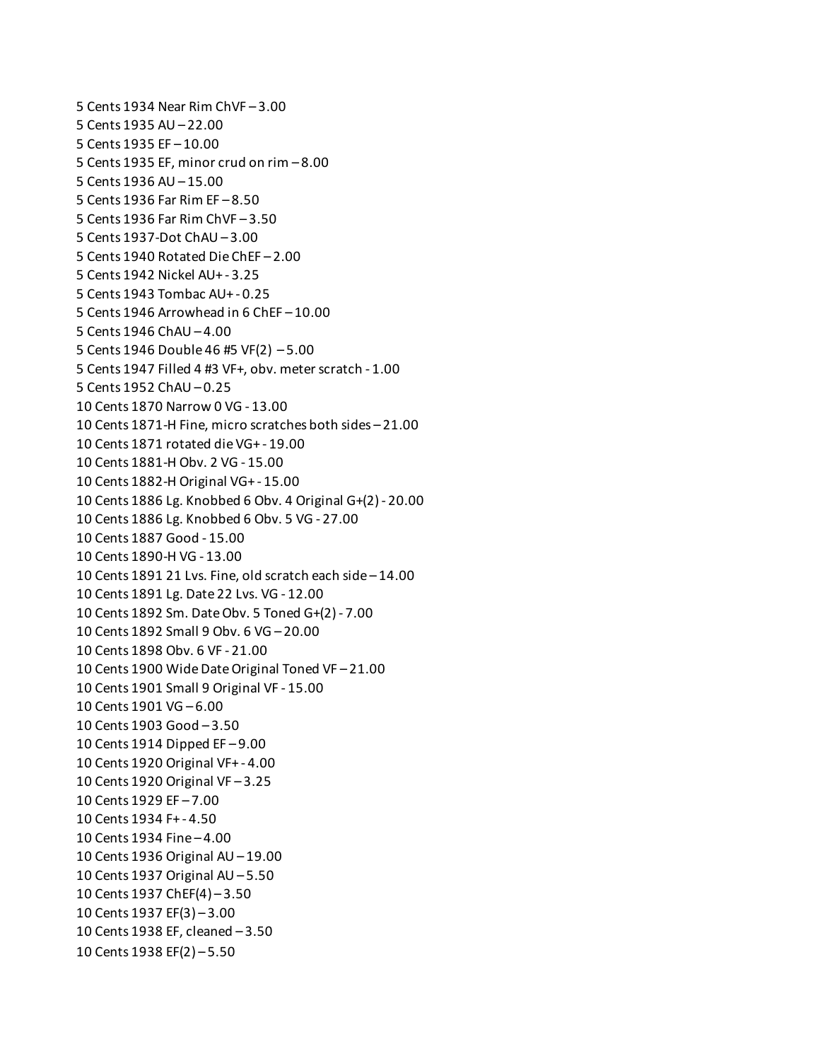5 Cents 1934 Near Rim ChVF – 3.00 5 Cents 1935 AU – 22.00 5 Cents 1935 EF – 10.00 5 Cents 1935 EF, minor crud on rim – 8.00 5 Cents 1936 AU – 15.00 5 Cents 1936 Far Rim EF – 8.50 5 Cents 1936 Far Rim ChVF – 3.50 5 Cents 1937-Dot ChAU – 3.00 5 Cents 1940 Rotated Die ChEF – 2.00 5 Cents 1942 Nickel AU+ - 3.25 5 Cents 1943 Tombac AU+ - 0.25 5 Cents 1946 Arrowhead in 6 ChEF – 10.00 5 Cents 1946 ChAU – 4.00 5 Cents 1946 Double 46 #5 VF(2) – 5.00 5 Cents 1947 Filled 4 #3 VF+, obv. meter scratch - 1.00 5 Cents 1952 ChAU – 0.25 10 Cents 1870 Narrow 0 VG - 13.00 10 Cents 1871-H Fine, micro scratches both sides – 21.00 10 Cents 1871 rotated die VG+ - 19.00 10 Cents 1881-H Obv. 2 VG - 15.00 10 Cents 1882-H Original VG+ - 15.00 10 Cents 1886 Lg. Knobbed 6 Obv. 4 Original G+(2) - 20.00 10 Cents 1886 Lg. Knobbed 6 Obv. 5 VG - 27.00 10 Cents 1887 Good - 15.00 10 Cents 1890-H VG - 13.00 10 Cents 1891 21 Lvs. Fine, old scratch each side – 14.00 10 Cents 1891 Lg. Date 22 Lvs. VG - 12.00 10 Cents 1892 Sm. Date Obv. 5 Toned G+(2) - 7.00 10 Cents 1892 Small 9 Obv. 6 VG – 20.00 10 Cents 1898 Obv. 6 VF - 21.00 10 Cents 1900 Wide Date Original Toned VF – 21.00 10 Cents 1901 Small 9 Original VF - 15.00 10 Cents 1901 VG – 6.00 10 Cents 1903 Good – 3.50 10 Cents 1914 Dipped EF – 9.00 10 Cents 1920 Original VF+ - 4.00 10 Cents 1920 Original VF – 3.25 10 Cents 1929 EF – 7.00 10 Cents 1934 F+ - 4.50 10 Cents 1934 Fine – 4.00 10 Cents 1936 Original AU – 19.00 10 Cents 1937 Original AU – 5.50 10 Cents 1937 ChEF(4) – 3.50 10 Cents 1937 EF(3) – 3.00 10 Cents 1938 EF, cleaned – 3.50 10 Cents 1938 EF(2) – 5.50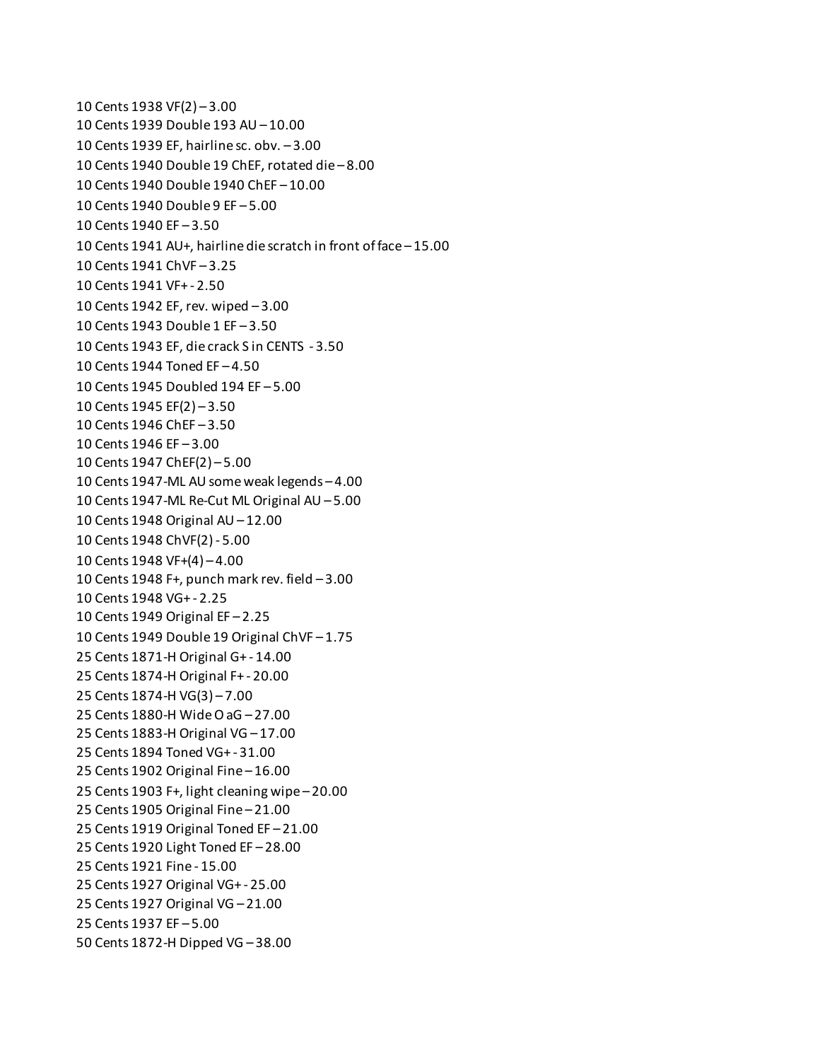10 Cents 1938 VF(2) – 3.00 10 Cents 1939 Double 193 AU – 10.00 10 Cents 1939 EF, hairline sc. obv. – 3.00 10 Cents 1940 Double 19 ChEF, rotated die – 8.00 10 Cents 1940 Double 1940 ChEF – 10.00 10 Cents 1940 Double 9 EF – 5.00 10 Cents 1940 EF – 3.50 10 Cents 1941 AU+, hairline die scratch in front of face – 15.00 10 Cents 1941 ChVF – 3.25 10 Cents 1941 VF+ - 2.50 10 Cents 1942 EF, rev. wiped – 3.00 10 Cents 1943 Double 1 EF – 3.50 10 Cents 1943 EF, die crack S in CENTS - 3.50 10 Cents 1944 Toned EF – 4.50 10 Cents 1945 Doubled 194 EF – 5.00 10 Cents 1945 EF(2) – 3.50 10 Cents 1946 ChEF – 3.50 10 Cents 1946 EF – 3.00 10 Cents 1947 ChEF(2) – 5.00 10 Cents 1947-ML AU some weak legends – 4.00 10 Cents 1947-ML Re-Cut ML Original AU – 5.00 10 Cents 1948 Original AU – 12.00 10 Cents 1948 ChVF(2) - 5.00 10 Cents 1948 VF+(4) – 4.00 10 Cents 1948 F+, punch mark rev. field – 3.00 10 Cents 1948 VG+ - 2.25 10 Cents 1949 Original EF – 2.25 10 Cents 1949 Double 19 Original ChVF – 1.75 25 Cents 1871-H Original G+ - 14.00 25 Cents 1874-H Original F+ - 20.00 25 Cents 1874-H VG(3) – 7.00 25 Cents 1880-H Wide O aG – 27.00 25 Cents 1883-H Original VG – 17.00 25 Cents 1894 Toned VG+ - 31.00 25 Cents 1902 Original Fine – 16.00 25 Cents 1903 F+, light cleaning wipe – 20.00 25 Cents 1905 Original Fine – 21.00 25 Cents 1919 Original Toned EF – 21.00 25 Cents 1920 Light Toned EF – 28.00 25 Cents 1921 Fine - 15.00 25 Cents 1927 Original VG+ - 25.00 25 Cents 1927 Original VG – 21.00 25 Cents 1937 EF – 5.00 50 Cents 1872-H Dipped VG – 38.00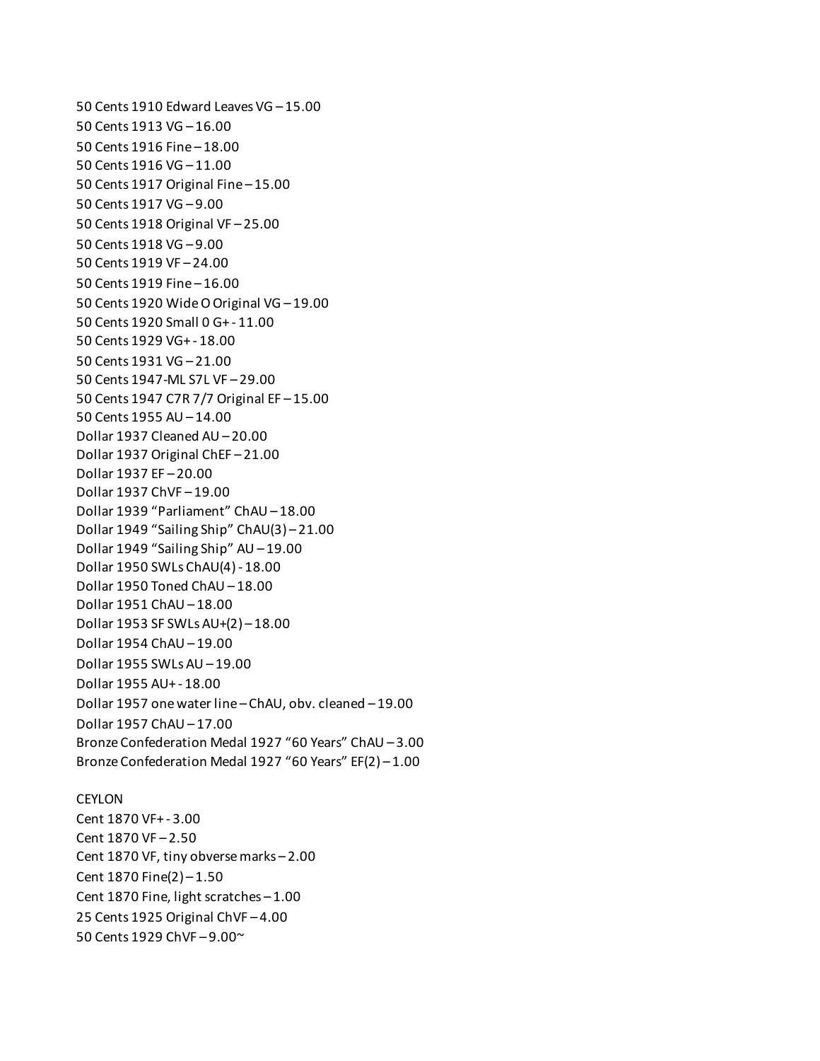50 Cents 1910 Edward Leaves VG – 15.00 50 Cents 1913 VG – 16.00 50 Cents 1916 Fine – 18.00 50 Cents 1916 VG – 11.00 50 Cents 1917 Original Fine – 15.00 50 Cents 1917 VG – 9.00 50 Cents 1918 Original VF – 25.00 50 Cents 1918 VG – 9.00 50 Cents 1919 VF – 24.00 50 Cents 1919 Fine – 16.00 50 Cents 1920 Wide O Original VG – 19.00 50 Cents 1920 Small 0 G+ - 11.00 50 Cents 1929 VG+ - 18.00 50 Cents 1931 VG – 21.00 50 Cents 1947-ML S7L VF – 29.00 50 Cents 1947 C7R 7/7 Original EF – 15.00 50 Cents 1955 AU – 14.00 Dollar 1937 Cleaned AU – 20.00 Dollar 1937 Original ChEF – 21.00 Dollar 1937 EF – 20.00 Dollar 1937 ChVF – 19.00 Dollar 1939 "Parliament" ChAU – 18.00 Dollar 1949 "Sailing Ship" ChAU(3) – 21.00 Dollar 1949 "Sailing Ship" AU – 19.00 Dollar 1950 SWLs ChAU(4) - 18.00 Dollar 1950 Toned ChAU – 18.00 Dollar 1951 ChAU – 18.00 Dollar 1953 SF SWLs AU+(2) – 18.00 Dollar 1954 ChAU – 19.00 Dollar 1955 SWLs AU – 19.00 Dollar 1955 AU+ - 18.00 Dollar 1957 one water line – ChAU, obv. cleaned – 19.00 Dollar 1957 ChAU – 17.00 Bronze Confederation Medal 1927 "60 Years" ChAU – 3.00 Bronze Confederation Medal 1927 "60 Years" EF(2) – 1.00

**CEYLON** Cent 1870 VF+ - 3.00 Cent 1870 VF – 2.50 Cent 1870 VF, tiny obverse marks – 2.00 Cent 1870 Fine(2) – 1.50 Cent 1870 Fine, light scratches – 1.00 25 Cents 1925 Original ChVF – 4.00 50 Cents 1929 ChVF – 9.00~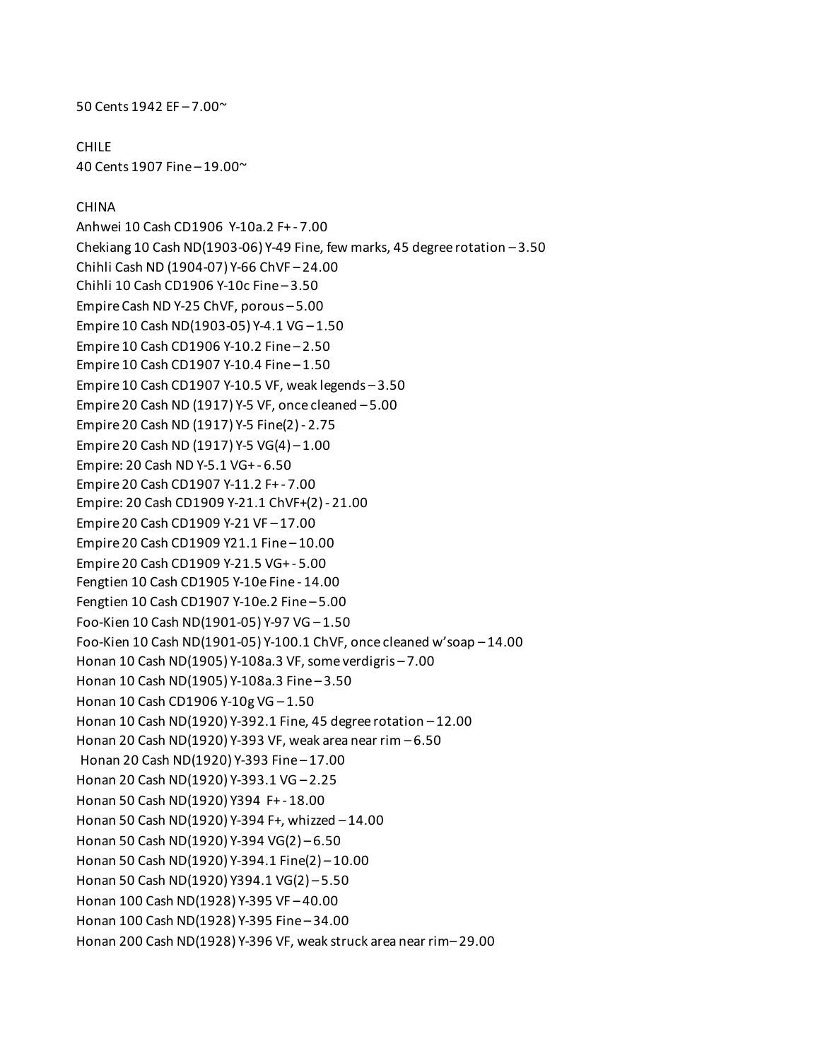50 Cents 1942 EF – 7.00~

CHILE 40 Cents 1907 Fine – 19.00~

#### CHINA

Anhwei 10 Cash CD1906 Y-10a.2 F+ - 7.00 Chekiang 10 Cash ND(1903-06) Y-49 Fine, few marks, 45 degree rotation  $-3.50$ Chihli Cash ND (1904-07) Y-66 ChVF – 24.00 Chihli 10 Cash CD1906 Y-10c Fine – 3.50 Empire Cash ND Y-25 ChVF, porous – 5.00 Empire 10 Cash ND(1903-05) Y-4.1 VG – 1.50 Empire 10 Cash CD1906 Y-10.2 Fine – 2.50 Empire 10 Cash CD1907 Y-10.4 Fine – 1.50 Empire 10 Cash CD1907 Y-10.5 VF, weak legends – 3.50 Empire 20 Cash ND (1917) Y-5 VF, once cleaned  $-5.00$ Empire 20 Cash ND (1917) Y-5 Fine(2) - 2.75 Empire 20 Cash ND (1917) Y-5 VG(4) – 1.00 Empire: 20 Cash ND Y-5.1 VG+ - 6.50 Empire 20 Cash CD1907 Y-11.2 F+ - 7.00 Empire: 20 Cash CD1909 Y-21.1 ChVF+(2) - 21.00 Empire 20 Cash CD1909 Y-21 VF – 17.00 Empire 20 Cash CD1909 Y21.1 Fine – 10.00 Empire 20 Cash CD1909 Y-21.5 VG+ - 5.00 Fengtien 10 Cash CD1905 Y-10e Fine - 14.00 Fengtien 10 Cash CD1907 Y-10e.2 Fine – 5.00 Foo-Kien 10 Cash ND(1901-05) Y-97 VG – 1.50 Foo-Kien 10 Cash ND(1901-05) Y-100.1 ChVF, once cleaned w'soap – 14.00 Honan 10 Cash ND(1905) Y-108a.3 VF, some verdigris – 7.00 Honan 10 Cash ND(1905) Y-108a.3 Fine – 3.50 Honan 10 Cash CD1906 Y-10g VG – 1.50 Honan 10 Cash ND(1920) Y-392.1 Fine, 45 degree rotation – 12.00 Honan 20 Cash ND(1920) Y-393 VF, weak area near rim – 6.50 Honan 20 Cash ND(1920) Y-393 Fine – 17.00 Honan 20 Cash ND(1920) Y-393.1 VG – 2.25 Honan 50 Cash ND(1920) Y394 F+ - 18.00 Honan 50 Cash ND(1920) Y-394 F+, whizzed – 14.00 Honan 50 Cash ND(1920) Y-394 VG(2) – 6.50 Honan 50 Cash ND(1920) Y-394.1 Fine(2) – 10.00 Honan 50 Cash ND(1920) Y394.1 VG(2) – 5.50 Honan 100 Cash ND(1928) Y-395 VF – 40.00 Honan 100 Cash ND(1928) Y-395 Fine – 34.00 Honan 200 Cash ND(1928) Y-396 VF, weak struck area near rim– 29.00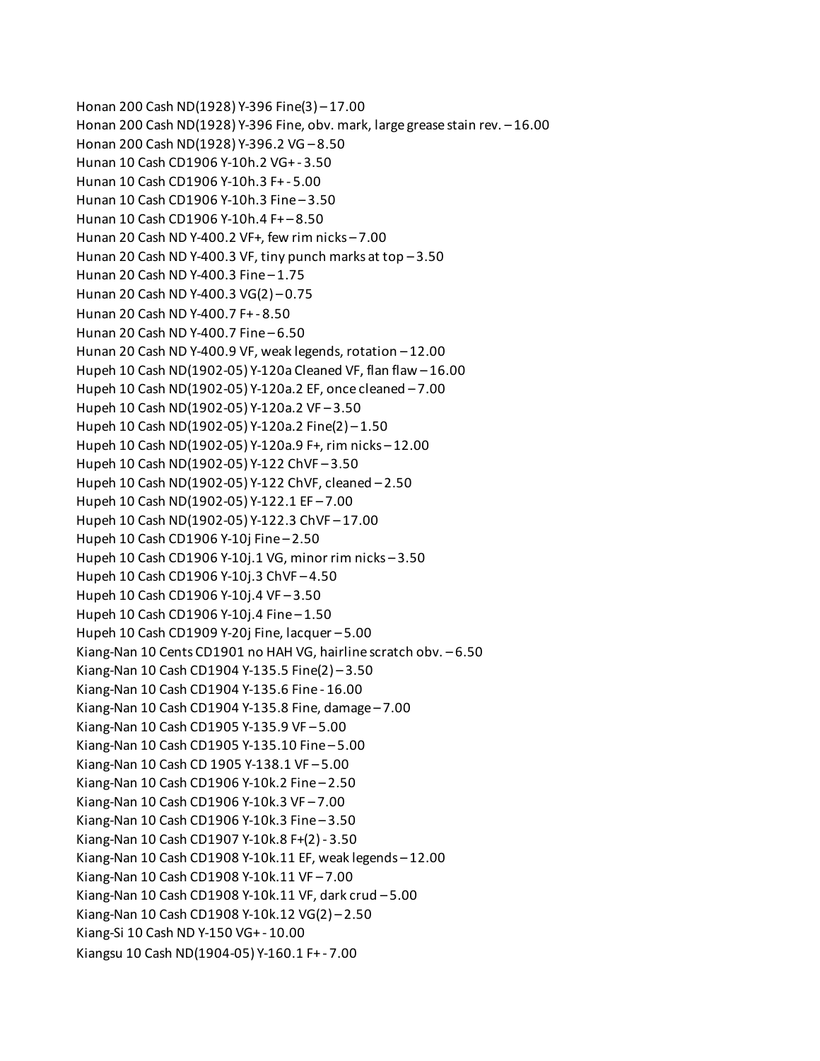Honan 200 Cash ND(1928) Y-396 Fine(3) – 17.00 Honan 200 Cash ND(1928) Y-396 Fine, obv. mark, large grease stain rev. – 16.00 Honan 200 Cash ND(1928) Y-396.2 VG – 8.50 Hunan 10 Cash CD1906 Y-10h.2 VG+ - 3.50 Hunan 10 Cash CD1906 Y-10h.3 F+ - 5.00 Hunan 10 Cash CD1906 Y-10h.3 Fine – 3.50 Hunan 10 Cash CD1906 Y-10h.4 F+ – 8.50 Hunan 20 Cash ND Y-400.2 VF+, few rim nicks – 7.00 Hunan 20 Cash ND Y-400.3 VF, tiny punch marks at top – 3.50 Hunan 20 Cash ND Y-400.3 Fine – 1.75 Hunan 20 Cash ND Y-400.3 VG(2) – 0.75 Hunan 20 Cash ND Y-400.7 F+ - 8.50 Hunan 20 Cash ND Y-400.7 Fine – 6.50 Hunan 20 Cash ND Y-400.9 VF, weak legends, rotation – 12.00 Hupeh 10 Cash ND(1902-05) Y-120a Cleaned VF, flan flaw – 16.00 Hupeh 10 Cash ND(1902-05) Y-120a.2 EF, once cleaned – 7.00 Hupeh 10 Cash ND(1902-05) Y-120a.2 VF – 3.50 Hupeh 10 Cash ND(1902-05) Y-120a.2 Fine(2) – 1.50 Hupeh 10 Cash ND(1902-05) Y-120a.9 F+, rim nicks – 12.00 Hupeh 10 Cash ND(1902-05) Y-122 ChVF – 3.50 Hupeh 10 Cash ND(1902-05) Y-122 ChVF, cleaned – 2.50 Hupeh 10 Cash ND(1902-05) Y-122.1 EF – 7.00 Hupeh 10 Cash ND(1902-05) Y-122.3 ChVF – 17.00 Hupeh 10 Cash CD1906 Y-10j Fine – 2.50 Hupeh 10 Cash CD1906 Y-10j.1 VG, minor rim nicks – 3.50 Hupeh 10 Cash CD1906 Y-10j.3 ChVF – 4.50 Hupeh 10 Cash CD1906 Y-10j.4 VF – 3.50 Hupeh 10 Cash CD1906 Y-10j.4 Fine – 1.50 Hupeh 10 Cash CD1909 Y-20j Fine, lacquer – 5.00 Kiang-Nan 10 Cents CD1901 no HAH VG, hairline scratch obv. – 6.50 Kiang-Nan 10 Cash CD1904 Y-135.5 Fine(2) – 3.50 Kiang-Nan 10 Cash CD1904 Y-135.6 Fine - 16.00 Kiang-Nan 10 Cash CD1904 Y-135.8 Fine, damage – 7.00 Kiang-Nan 10 Cash CD1905 Y-135.9 VF – 5.00 Kiang-Nan 10 Cash CD1905 Y-135.10 Fine – 5.00 Kiang-Nan 10 Cash CD 1905 Y-138.1 VF – 5.00 Kiang-Nan 10 Cash CD1906 Y-10k.2 Fine – 2.50 Kiang-Nan 10 Cash CD1906 Y-10k.3 VF – 7.00 Kiang-Nan 10 Cash CD1906 Y-10k.3 Fine – 3.50 Kiang-Nan 10 Cash CD1907 Y-10k.8 F+(2) - 3.50 Kiang-Nan 10 Cash CD1908 Y-10k.11 EF, weak legends – 12.00 Kiang-Nan 10 Cash CD1908 Y-10k.11 VF – 7.00 Kiang-Nan 10 Cash CD1908 Y-10k.11 VF, dark crud – 5.00 Kiang-Nan 10 Cash CD1908 Y-10k.12 VG(2) – 2.50 Kiang-Si 10 Cash ND Y-150 VG+ - 10.00 Kiangsu 10 Cash ND(1904-05) Y-160.1 F+ - 7.00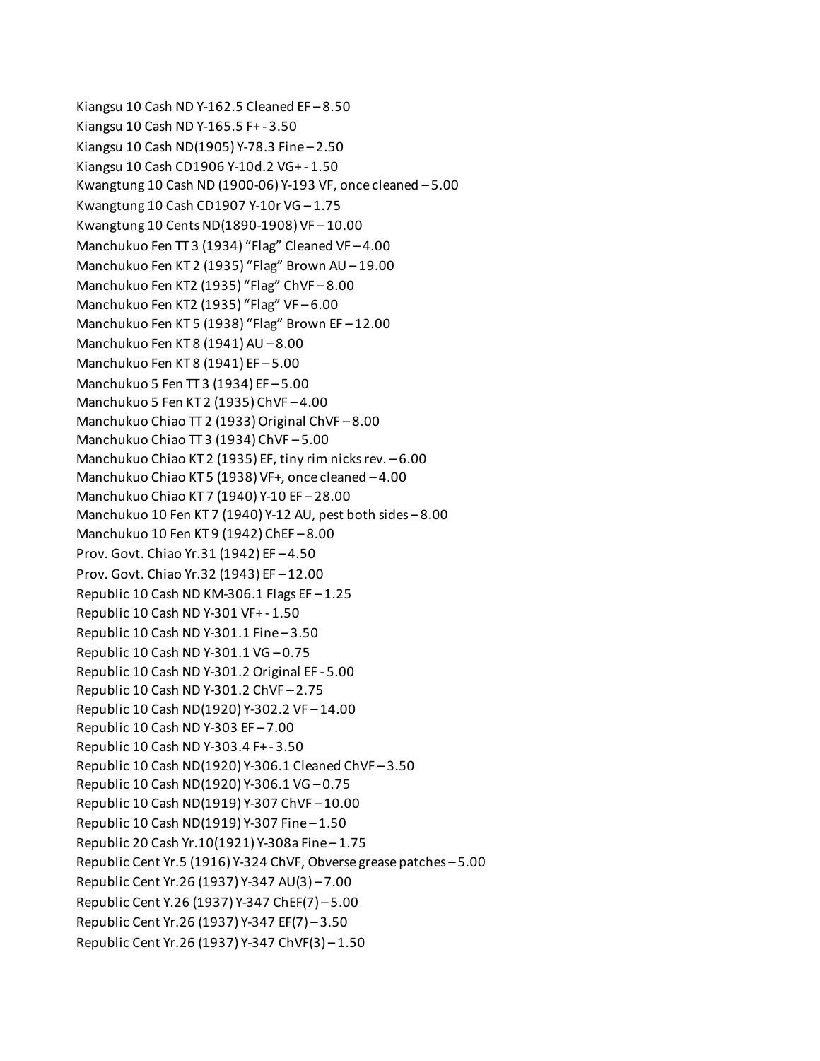Kiangsu 10 Cash ND Y-162.5 Cleaned EF – 8.50 Kiangsu 10 Cash ND Y-165.5 F+ - 3.50 Kiangsu 10 Cash ND(1905) Y-78.3 Fine – 2.50 Kiangsu 10 Cash CD1906 Y-10d.2 VG+ - 1.50 Kwangtung 10 Cash ND (1900-06) Y-193 VF, once cleaned – 5.00 Kwangtung 10 Cash CD1907 Y-10r VG – 1.75 Kwangtung 10 Cents ND(1890-1908) VF – 10.00 Manchukuo Fen TT 3 (1934) "Flag" Cleaned VF – 4.00 Manchukuo Fen KT 2 (1935) "Flag" Brown AU – 19.00 Manchukuo Fen KT2 (1935) "Flag" ChVF – 8.00 Manchukuo Fen KT2 (1935) "Flag" VF – 6.00 Manchukuo Fen KT 5 (1938) "Flag" Brown EF – 12.00 Manchukuo Fen KT 8 (1941) AU – 8.00 Manchukuo Fen KT 8 (1941) EF – 5.00 Manchukuo 5 Fen TT 3 (1934) EF – 5.00 Manchukuo 5 Fen KT 2 (1935) ChVF – 4.00 Manchukuo Chiao TT 2 (1933) Original ChVF – 8.00 Manchukuo Chiao TT 3 (1934) ChVF – 5.00 Manchukuo Chiao KT 2 (1935) EF, tiny rim nicks rev. – 6.00 Manchukuo Chiao KT 5 (1938) VF+, once cleaned – 4.00 Manchukuo Chiao KT 7 (1940) Y-10 EF – 28.00 Manchukuo 10 Fen KT 7 (1940) Y-12 AU, pest both sides – 8.00 Manchukuo 10 Fen KT 9 (1942) ChEF – 8.00 Prov. Govt. Chiao Yr.31 (1942) EF – 4.50 Prov. Govt. Chiao Yr.32 (1943) EF – 12.00 Republic 10 Cash ND KM-306.1 Flags  $EF - 1.25$ Republic 10 Cash ND Y-301 VF+ - 1.50 Republic 10 Cash ND Y-301.1 Fine – 3.50 Republic 10 Cash ND Y-301.1 VG – 0.75 Republic 10 Cash ND Y-301.2 Original EF - 5.00 Republic 10 Cash ND Y-301.2 ChVF – 2.75 Republic 10 Cash ND(1920) Y-302.2 VF – 14.00 Republic 10 Cash ND Y-303 EF – 7.00 Republic 10 Cash ND Y-303.4 F+ - 3.50 Republic 10 Cash ND(1920) Y-306.1 Cleaned ChVF – 3.50 Republic 10 Cash ND(1920) Y-306.1 VG – 0.75 Republic 10 Cash ND(1919) Y-307 ChVF – 10.00 Republic 10 Cash ND(1919) Y-307 Fine – 1.50 Republic 20 Cash Yr.10(1921) Y-308a Fine – 1.75 Republic Cent Yr.5 (1916) Y-324 ChVF, Obverse grease patches – 5.00 Republic Cent Yr.26 (1937) Y-347 AU(3) – 7.00 Republic Cent Y.26 (1937) Y-347 ChEF(7) – 5.00 Republic Cent Yr.26 (1937) Y-347 EF(7) – 3.50 Republic Cent Yr.26 (1937) Y-347 ChVF(3) – 1.50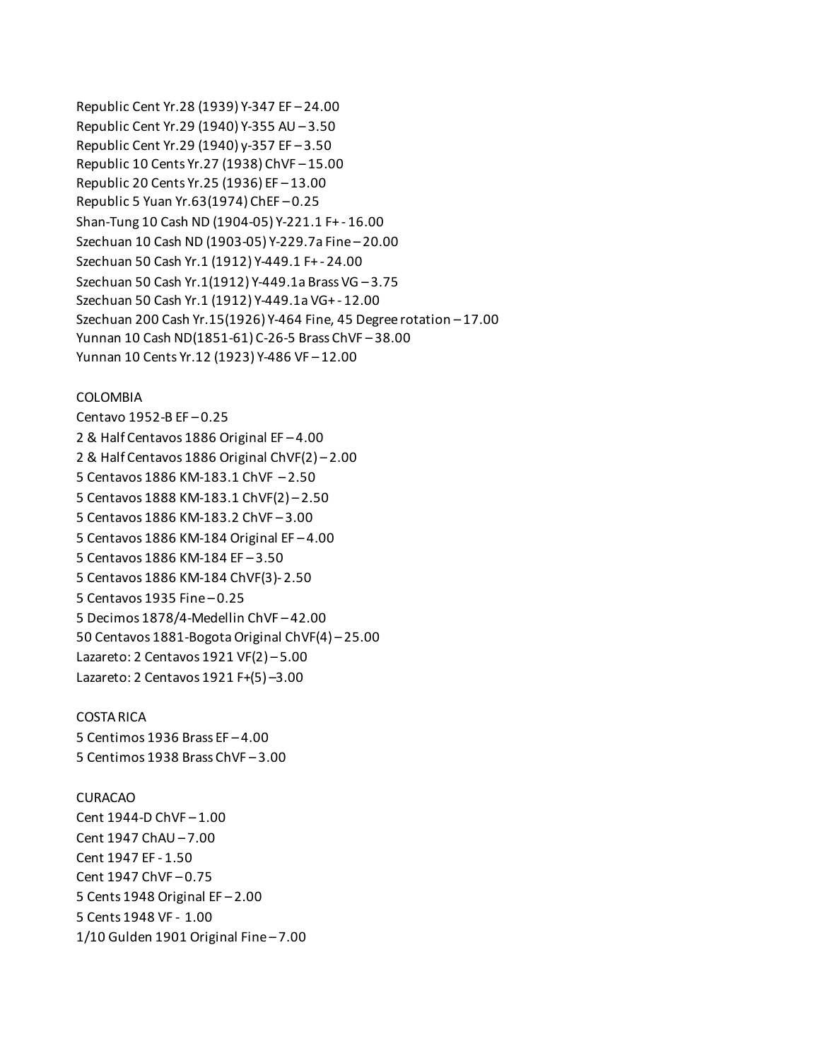Republic Cent Yr.28 (1939) Y-347 EF – 24.00 Republic Cent Yr.29 (1940) Y-355 AU – 3.50 Republic Cent Yr.29 (1940) y-357 EF – 3.50 Republic 10 Cents Yr.27 (1938) ChVF – 15.00 Republic 20 Cents Yr.25 (1936) EF – 13.00 Republic 5 Yuan Yr.63(1974) ChEF – 0.25 Shan-Tung 10 Cash ND (1904-05) Y-221.1 F+ - 16.00 Szechuan 10 Cash ND (1903-05) Y-229.7a Fine – 20.00 Szechuan 50 Cash Yr.1 (1912) Y-449.1 F+ - 24.00 Szechuan 50 Cash Yr.1(1912) Y-449.1a Brass VG – 3.75 Szechuan 50 Cash Yr.1 (1912) Y-449.1a VG+ - 12.00 Szechuan 200 Cash Yr.15(1926) Y-464 Fine, 45 Degree rotation – 17.00 Yunnan 10 Cash ND(1851-61) C-26-5 Brass ChVF – 38.00 Yunnan 10 Cents Yr.12 (1923) Y-486 VF – 12.00

## COLOMBIA

Centavo 1952-B EF – 0.25 2 & Half Centavos 1886 Original EF – 4.00 2 & Half Centavos 1886 Original ChVF(2) – 2.00 5 Centavos 1886 KM-183.1 ChVF – 2.50 5 Centavos 1888 KM-183.1 ChVF(2) – 2.50 5 Centavos 1886 KM-183.2 ChVF – 3.00 5 Centavos 1886 KM-184 Original EF – 4.00 5 Centavos 1886 KM-184 EF – 3.50 5 Centavos 1886 KM-184 ChVF(3)- 2.50 5 Centavos 1935 Fine – 0.25 5 Decimos 1878/4-Medellin ChVF – 42.00 50 Centavos 1881-Bogota Original ChVF(4) – 25.00 Lazareto: 2 Centavos 1921 VF(2) – 5.00 Lazareto: 2 Centavos 1921 F+(5) –3.00

# COSTA RICA 5 Centimos 1936 Brass EF – 4.00 5 Centimos 1938 Brass ChVF – 3.00

CURACAO Cent 1944-D ChVF – 1.00 Cent 1947 ChAU – 7.00 Cent 1947 EF - 1.50 Cent 1947 ChVF – 0.75 5 Cents 1948 Original EF – 2.00 5 Cents 1948 VF - 1.00 1/10 Gulden 1901 Original Fine – 7.00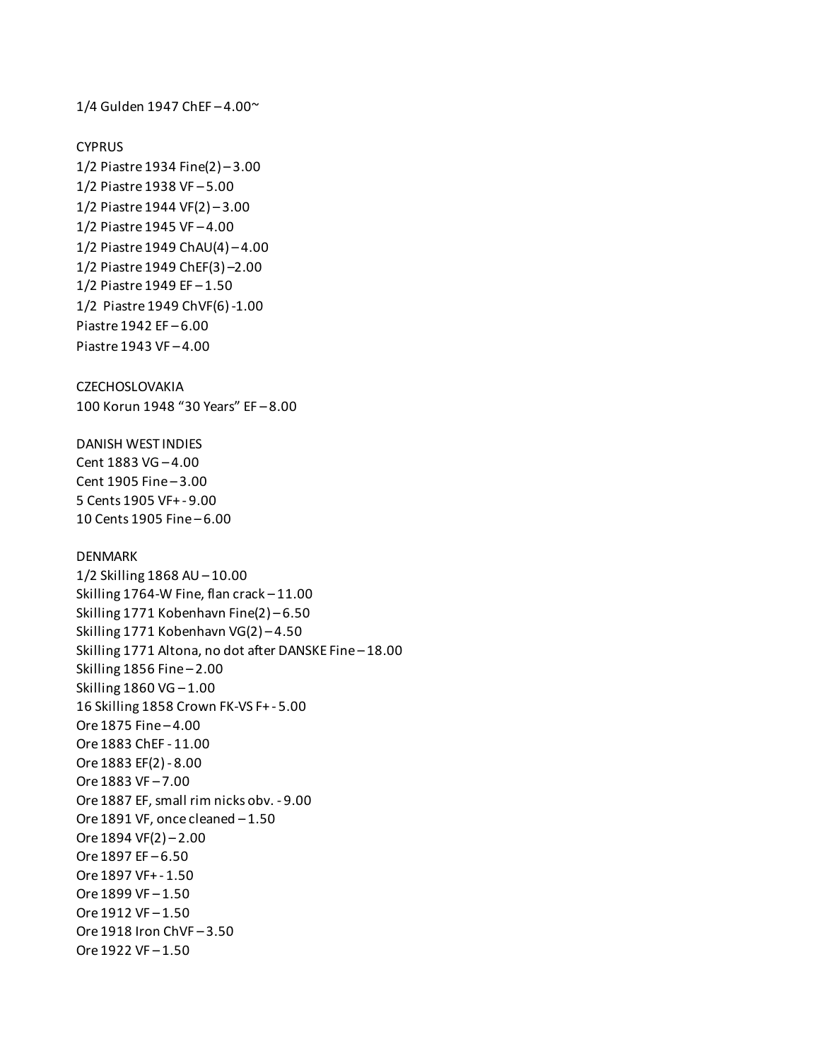$1/4$  Gulden 1947 ChEF-4.00 $\degree$ 

## CYPRUS

1/2 Piastre 1934 Fine(2) – 3.00 1/2 Piastre 1938 VF – 5.00 1/2 Piastre 1944 VF(2) – 3.00 1/2 Piastre 1945 VF – 4.00 1/2 Piastre 1949 ChAU(4) – 4.00 1/2 Piastre 1949 ChEF(3) –2.00 1/2 Piastre 1949 EF – 1.50 1/2 Piastre 1949 ChVF(6) -1.00 Piastre 1942 EF – 6.00 Piastre 1943 VF – 4.00

#### **CZECHOSLOVAKIA**

100 Korun 1948 "30 Years" EF – 8.00

DANISH WEST INDIES Cent 1883 VG – 4.00 Cent 1905 Fine – 3.00 5 Cents 1905 VF+ - 9.00 10 Cents 1905 Fine – 6.00

#### DENMARK

1/2 Skilling 1868 AU – 10.00 Skilling 1764-W Fine, flan crack – 11.00 Skilling 1771 Kobenhavn Fine(2) – 6.50 Skilling 1771 Kobenhavn VG(2) – 4.50 Skilling 1771 Altona, no dot after DANSKE Fine – 18.00 Skilling 1856 Fine – 2.00 Skilling 1860 VG – 1.00 16 Skilling 1858 Crown FK-VS F+ - 5.00 Ore 1875 Fine – 4.00 Ore 1883 ChEF - 11.00 Ore 1883 EF(2) - 8.00 Ore 1883 VF – 7.00 Ore 1887 EF, small rim nicks obv. - 9.00 Ore 1891 VF, once cleaned – 1.50 Ore 1894 VF(2) – 2.00 Ore 1897 EF – 6.50 Ore 1897 VF+ - 1.50 Ore 1899 VF – 1.50 Ore 1912 VF – 1.50 Ore 1918 Iron ChVF – 3.50 Ore 1922 VF – 1.50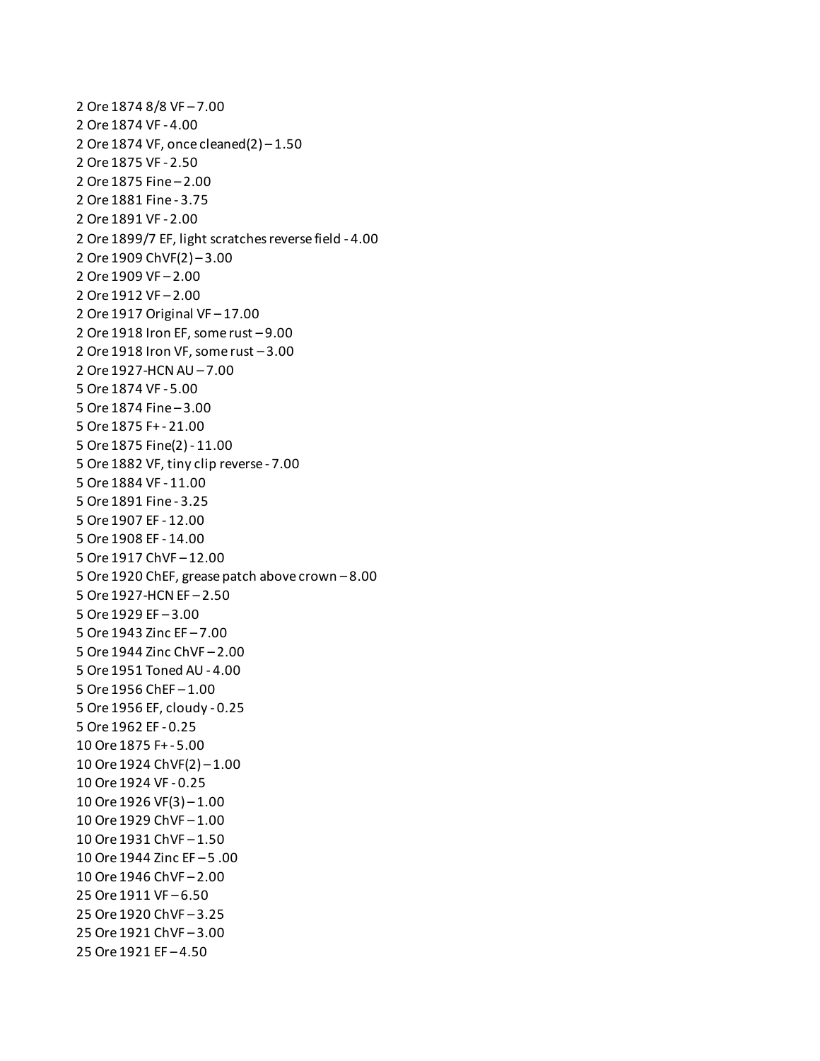2 Ore 1874 8/8 VF – 7.00 2 Ore 1874 VF - 4.00 2 Ore 1874 VF, once cleaned(2) – 1.50 2 Ore 1875 VF - 2.50 2 Ore 1875 Fine – 2.00 2 Ore 1881 Fine - 3.75 2 Ore 1891 VF - 2.00 2 Ore 1899/7 EF, light scratches reverse field - 4.00 2 Ore 1909 ChVF(2) – 3.00 2 Ore 1909 VF – 2.00 2 Ore 1912 VF – 2.00 2 Ore 1917 Original VF – 17.00 2 Ore 1918 Iron EF, some rust – 9.00 2 Ore 1918 Iron VF, some rust – 3.00 2 Ore 1927-HCN AU – 7.00 5 Ore 1874 VF - 5.00 5 Ore 1874 Fine – 3.00 5 Ore 1875 F+ - 21.00 5 Ore 1875 Fine(2) - 11.00 5 Ore 1882 VF, tiny clip reverse - 7.00 5 Ore 1884 VF - 11.00 5 Ore 1891 Fine - 3.25 5 Ore 1907 EF - 12.00 5 Ore 1908 EF - 14.00 5 Ore 1917 ChVF – 12.00 5 Ore 1920 ChEF, grease patch above crown – 8.00 5 Ore 1927-HCN EF – 2.50 5 Ore 1929 EF – 3.00 5 Ore 1943 Zinc EF – 7.00 5 Ore 1944 Zinc ChVF – 2.00 5 Ore 1951 Toned AU - 4.00 5 Ore 1956 ChEF – 1.00 5 Ore 1956 EF, cloudy - 0.25 5 Ore 1962 EF - 0.25 10 Ore 1875 F+ - 5.00 10 Ore 1924 ChVF(2) – 1.00 10 Ore 1924 VF - 0.25 10 Ore 1926 VF(3) – 1.00 10 Ore 1929 ChVF – 1.00 10 Ore 1931 ChVF – 1.50 10 Ore 1944 Zinc EF – 5 .00 10 Ore 1946 ChVF – 2.00 25 Ore 1911 VF – 6.50 25 Ore 1920 ChVF – 3.25 25 Ore 1921 ChVF – 3.00 25 Ore 1921 EF – 4.50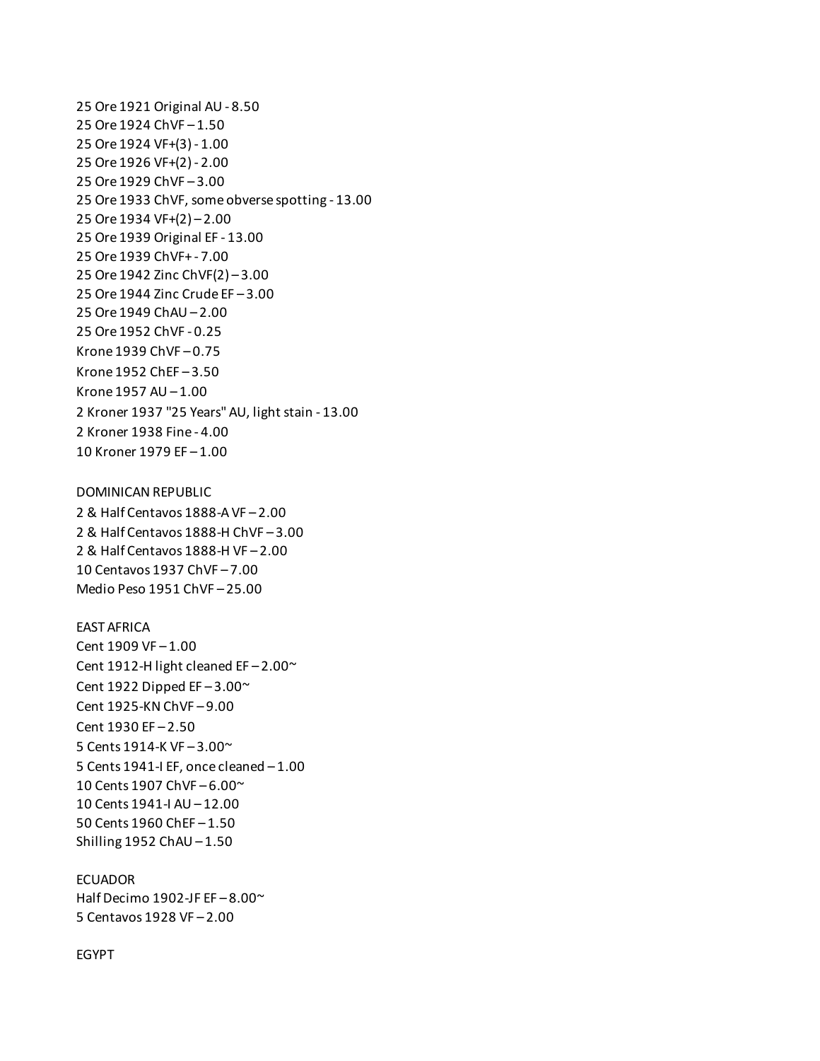25 Ore 1921 Original AU - 8.50 25 Ore 1924 ChVF – 1.50 25 Ore 1924 VF+(3) - 1.00 25 Ore 1926 VF+(2) - 2.00 25 Ore 1929 ChVF – 3.00 25 Ore 1933 ChVF, some obverse spotting - 13.00 25 Ore 1934 VF+(2) – 2.00 25 Ore 1939 Original EF - 13.00 25 Ore 1939 ChVF+ - 7.00 25 Ore 1942 Zinc ChVF(2) – 3.00 25 Ore 1944 Zinc Crude EF – 3.00 25 Ore 1949 ChAU – 2.00 25 Ore 1952 ChVF - 0.25 Krone 1939 ChVF – 0.75 Krone 1952 ChEF – 3.50 Krone 1957 AU – 1.00 2 Kroner 1937 "25 Years" AU, light stain - 13.00 2 Kroner 1938 Fine - 4.00 10 Kroner 1979 EF – 1.00

DOMINICAN REPUBLIC 2 & Half Centavos 1888-A VF – 2.00 2 & Half Centavos 1888-H ChVF – 3.00 2 & Half Centavos 1888-H VF – 2.00 10 Centavos 1937 ChVF – 7.00 Medio Peso 1951 ChVF – 25.00

EAST AFRICA Cent 1909 VF – 1.00 Cent 1912-H light cleaned EF  $-2.00$ <sup>~</sup> Cent 1922 Dipped EF  $-3.00$ <sup>~</sup> Cent 1925-KN ChVF – 9.00 Cent 1930 EF – 2.50 5 Cents 1914-K VF – 3.00~ 5 Cents 1941-I EF, once cleaned – 1.00 10 Cents 1907 ChVF – 6.00~ 10 Cents 1941-I AU – 12.00 50 Cents 1960 ChEF – 1.50 Shilling 1952 ChAU – 1.50

ECUADOR Half Decimo 1902-JF EF $-8.00\text{°}$ 5 Centavos 1928 VF – 2.00

EGYPT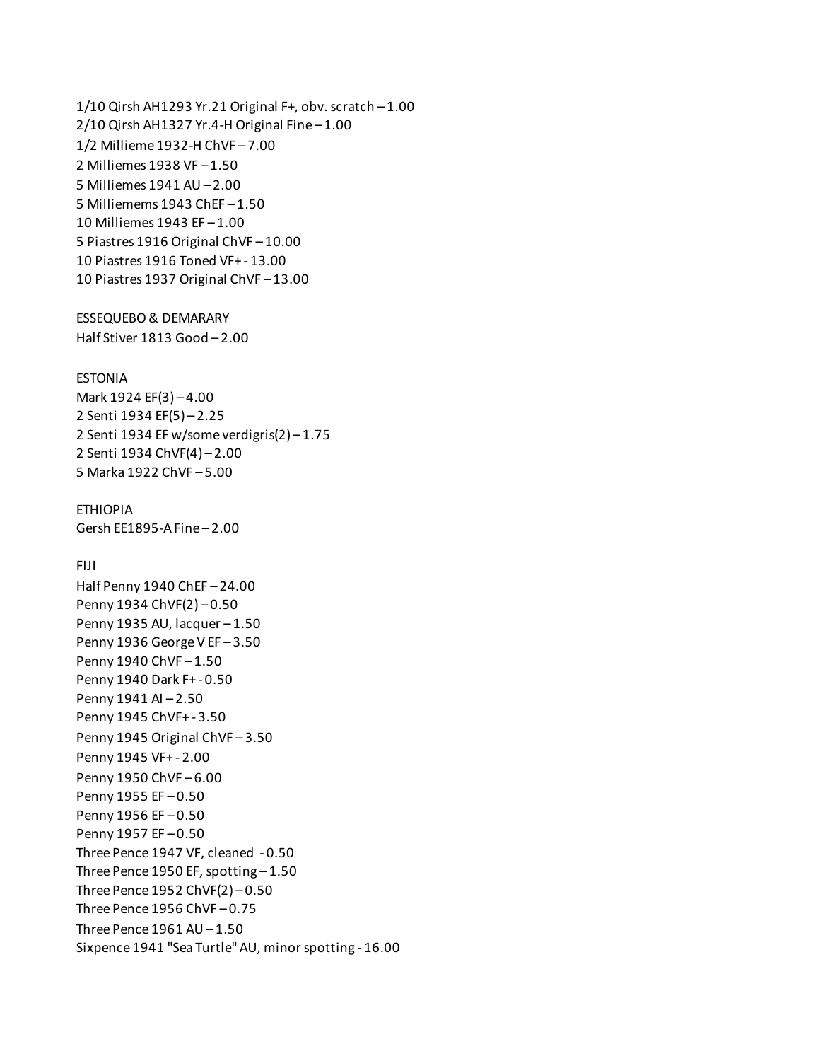1/10 Qirsh AH1293 Yr.21 Original F+, obv. scratch – 1.00 2/10 Qirsh AH1327 Yr.4-H Original Fine – 1.00 1/2 Millieme 1932-H ChVF – 7.00 2 Milliemes 1938 VF – 1.50 5 Milliemes 1941 AU – 2.00 5 Milliemems 1943 ChEF – 1.50 10 Milliemes 1943 EF – 1.00 5 Piastres 1916 Original ChVF – 10.00 10 Piastres 1916 Toned VF+ - 13.00 10 Piastres 1937 Original ChVF – 13.00

# ESSEQUEBO & DEMARARY

Half Stiver 1813 Good – 2.00

## ESTONIA

Mark 1924 EF(3) – 4.00 2 Senti 1934 EF(5) – 2.25 2 Senti 1934 EF w/some verdigris(2) – 1.75 2 Senti 1934 ChVF(4) – 2.00 5 Marka 1922 ChVF – 5.00

## ETHIOPIA

Gersh EE1895-A Fine – 2.00

## FIJI

Half Penny 1940 ChEF – 24.00 Penny 1934 ChVF(2) – 0.50 Penny 1935 AU, lacquer – 1.50 Penny 1936 George V EF – 3.50 Penny 1940 ChVF – 1.50 Penny 1940 Dark F+ - 0.50 Penny 1941 AI – 2.50 Penny 1945 ChVF+ - 3.50 Penny 1945 Original ChVF – 3.50 Penny 1945 VF+ - 2.00 Penny 1950 ChVF – 6.00 Penny 1955 EF – 0.50 Penny 1956 EF – 0.50 Penny 1957 EF – 0.50 Three Pence 1947 VF, cleaned - 0.50 Three Pence 1950 EF, spotting – 1.50 Three Pence 1952 ChVF(2) – 0.50 Three Pence 1956 ChVF – 0.75 Three Pence  $1961$  AU  $-1.50$ Sixpence 1941 "Sea Turtle" AU, minor spotting - 16.00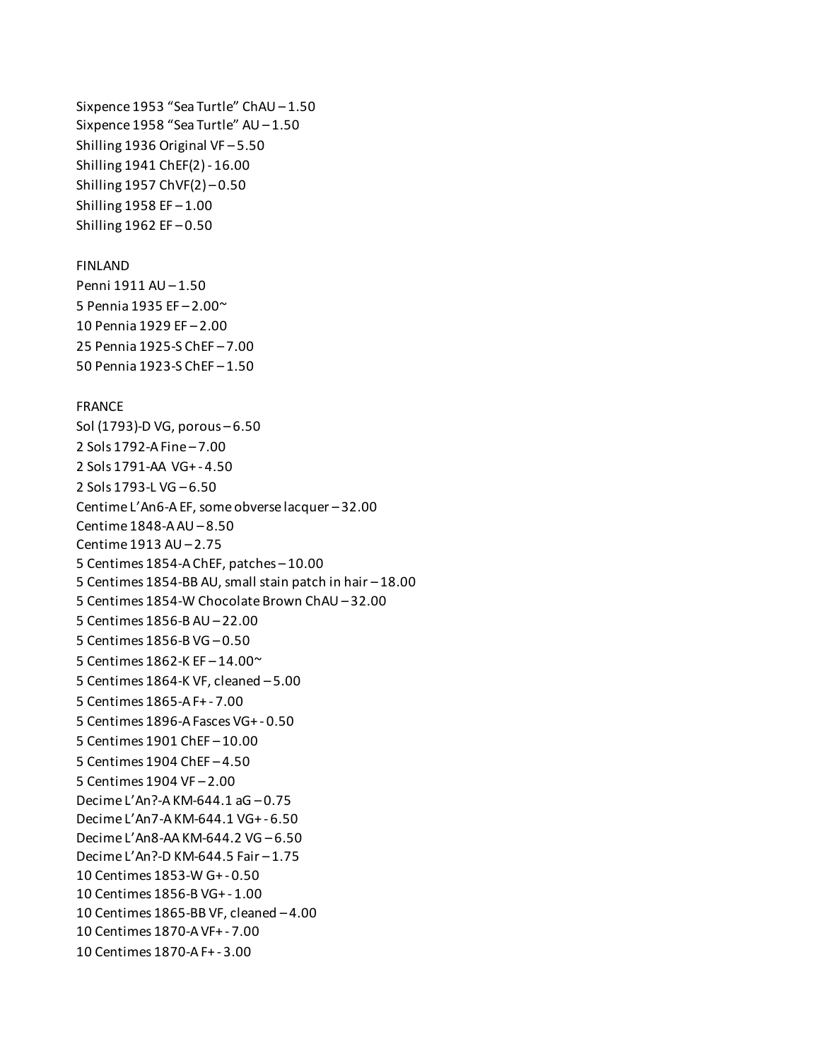Sixpence 1953 "Sea Turtle" ChAU – 1.50 Sixpence 1958 "Sea Turtle" AU – 1.50 Shilling 1936 Original VF – 5.50 Shilling 1941 ChEF(2) - 16.00 Shilling 1957 ChVF(2) – 0.50 Shilling 1958 EF – 1.00 Shilling 1962 EF – 0.50

### FINLAND

Penni 1911 AU – 1.50 5 Pennia 1935 EF – 2.00~ 10 Pennia 1929 EF – 2.00 25 Pennia 1925-S ChEF – 7.00 50 Pennia 1923-S ChEF – 1.50

#### FRANCE

Sol (1793)-D VG, porous – 6.50 2 Sols 1792-A Fine – 7.00 2 Sols 1791-AA VG+ - 4.50 2 Sols 1793-L VG – 6.50 Centime L'An6-A EF, some obverse lacquer – 32.00 Centime 1848-A AU – 8.50 Centime 1913 AU – 2.75 5 Centimes 1854-A ChEF, patches – 10.00 5 Centimes 1854-BB AU, small stain patch in hair – 18.00 5 Centimes 1854-W Chocolate Brown ChAU – 32.00 5 Centimes 1856-B AU – 22.00 5 Centimes 1856-B VG – 0.50 5 Centimes 1862-K EF – 14.00~ 5 Centimes 1864-K VF, cleaned – 5.00 5 Centimes 1865-A F+ - 7.00 5 Centimes 1896-A Fasces VG+ - 0.50 5 Centimes 1901 ChEF – 10.00 5 Centimes 1904 ChEF – 4.50 5 Centimes 1904 VF – 2.00 Decime L'An?-A KM-644.1 aG – 0.75 Decime L'An7-A KM-644.1 VG+ - 6.50 Decime L'An8-AA KM-644.2 VG – 6.50 Decime L'An?-D KM-644.5 Fair – 1.75 10 Centimes 1853-W G+ - 0.50 10 Centimes 1856-B VG+ - 1.00 10 Centimes 1865-BB VF, cleaned – 4.00 10 Centimes 1870-A VF+ - 7.00 10 Centimes 1870-A F+ - 3.00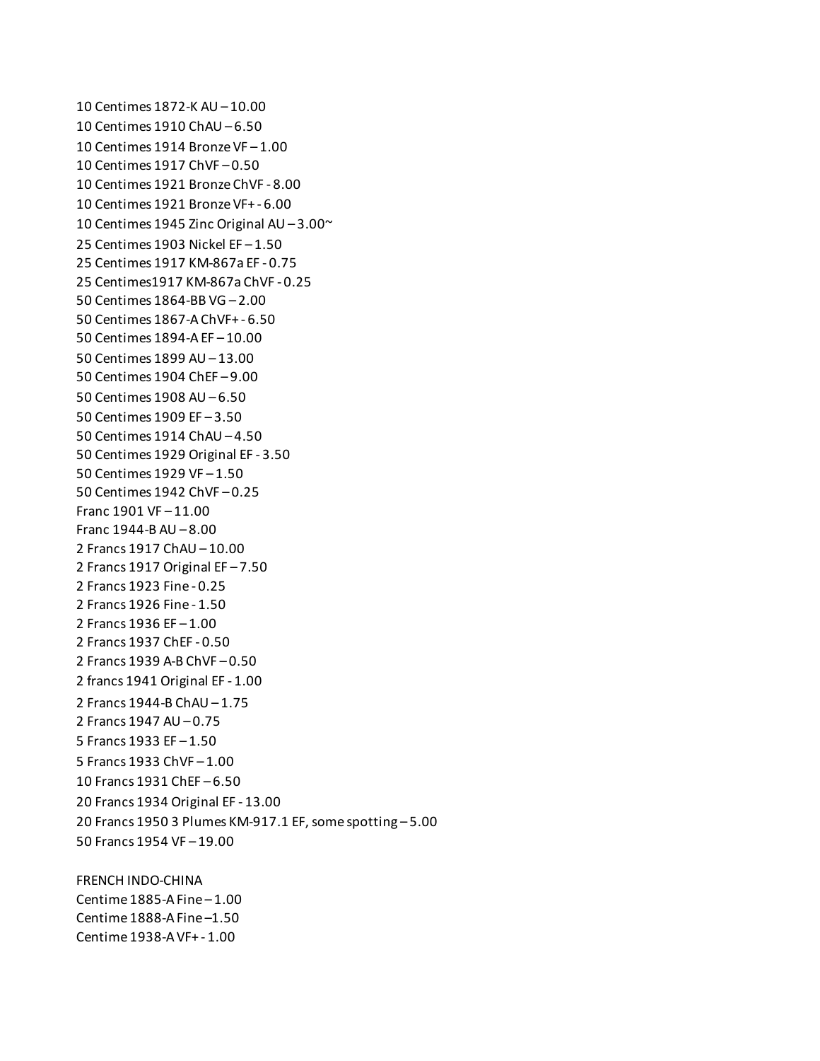10 Centimes 1872-K AU – 10.00 10 Centimes 1910 ChAU – 6.50 10 Centimes 1914 Bronze VF – 1.00 10 Centimes 1917 ChVF – 0.50 10 Centimes 1921 Bronze ChVF - 8.00 10 Centimes 1921 Bronze VF+ - 6.00 10 Centimes 1945 Zinc Original AU – 3.00~ 25 Centimes 1903 Nickel EF – 1.50 25 Centimes 1917 KM-867a EF - 0.75 25 Centimes1917 KM-867a ChVF - 0.25 50 Centimes 1864-BB VG – 2.00 50 Centimes 1867-A ChVF+ - 6.50 50 Centimes 1894-A EF – 10.00 50 Centimes 1899 AU – 13.00 50 Centimes 1904 ChEF – 9.00 50 Centimes 1908 AU – 6.50 50 Centimes 1909 EF – 3.50 50 Centimes 1914 ChAU – 4.50 50 Centimes 1929 Original EF - 3.50 50 Centimes 1929 VF – 1.50 50 Centimes 1942 ChVF – 0.25 Franc 1901 VF – 11.00 Franc 1944-B AU – 8.00 2 Francs 1917 ChAU – 10.00 2 Francs 1917 Original EF – 7.50 2 Francs 1923 Fine - 0.25 2 Francs 1926 Fine - 1.50 2 Francs 1936 EF – 1.00 2 Francs 1937 ChEF - 0.50 2 Francs 1939 A-B ChVF – 0.50 2 francs 1941 Original EF - 1.00 2 Francs 1944-B ChAU – 1.75 2 Francs 1947 AU – 0.75 5 Francs 1933 EF – 1.50 5 Francs 1933 ChVF – 1.00 10 Francs 1931 ChEF – 6.50 20 Francs 1934 Original EF - 13.00 20 Francs 1950 3 Plumes KM-917.1 EF, some spotting – 5.00 50 Francs 1954 VF – 19.00 FRENCH INDO-CHINA Centime 1885-A Fine – 1.00

Centime 1888-A Fine –1.50 Centime 1938-A VF+ - 1.00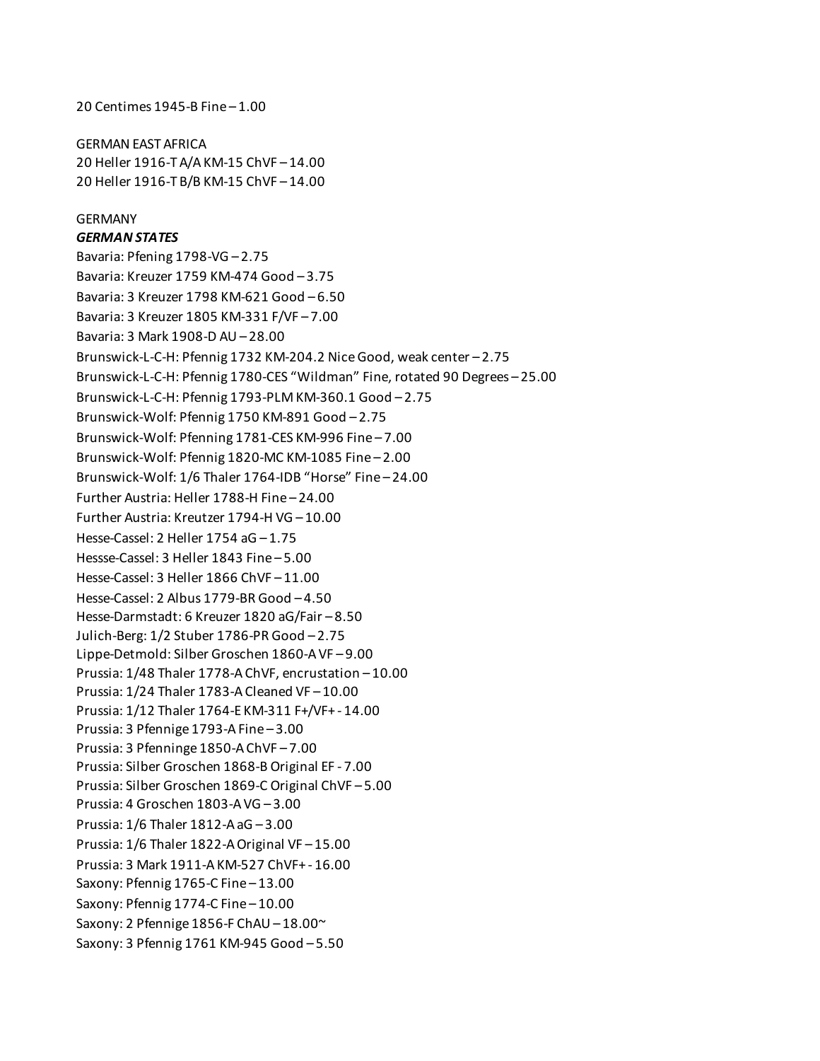20 Centimes 1945-B Fine – 1.00

GERMAN EAST AFRICA 20 Heller 1916-T A/A KM-15 ChVF – 14.00 20 Heller 1916-T B/B KM-15 ChVF – 14.00

## GERMANY

*GERMAN STATES*

Bavaria: Pfening 1798-VG – 2.75 Bavaria: Kreuzer 1759 KM-474 Good – 3.75 Bavaria: 3 Kreuzer 1798 KM-621 Good – 6.50 Bavaria: 3 Kreuzer 1805 KM-331 F/VF – 7.00 Bavaria: 3 Mark 1908-D AU – 28.00 Brunswick-L-C-H: Pfennig 1732 KM-204.2 Nice Good, weak center – 2.75 Brunswick-L-C-H: Pfennig 1780-CES "Wildman" Fine, rotated 90 Degrees – 25.00 Brunswick-L-C-H: Pfennig 1793-PLM KM-360.1 Good – 2.75 Brunswick-Wolf: Pfennig 1750 KM-891 Good – 2.75 Brunswick-Wolf: Pfenning 1781-CES KM-996 Fine – 7.00 Brunswick-Wolf: Pfennig 1820-MC KM-1085 Fine – 2.00 Brunswick-Wolf: 1/6 Thaler 1764-IDB "Horse" Fine – 24.00 Further Austria: Heller 1788-H Fine – 24.00 Further Austria: Kreutzer 1794-H VG – 10.00 Hesse-Cassel: 2 Heller 1754 aG – 1.75 Hessse-Cassel: 3 Heller 1843 Fine – 5.00 Hesse-Cassel: 3 Heller 1866 ChVF – 11.00 Hesse-Cassel: 2 Albus 1779-BR Good – 4.50 Hesse-Darmstadt: 6 Kreuzer 1820 aG/Fair – 8.50 Julich-Berg: 1/2 Stuber 1786-PR Good – 2.75 Lippe-Detmold: Silber Groschen 1860-A VF – 9.00 Prussia: 1/48 Thaler 1778-A ChVF, encrustation – 10.00 Prussia: 1/24 Thaler 1783-A Cleaned VF – 10.00 Prussia: 1/12 Thaler 1764-E KM-311 F+/VF+ - 14.00 Prussia: 3 Pfennige 1793-A Fine – 3.00 Prussia: 3 Pfenninge 1850-A ChVF – 7.00 Prussia: Silber Groschen 1868-B Original EF - 7.00 Prussia: Silber Groschen 1869-C Original ChVF – 5.00 Prussia: 4 Groschen 1803-A VG – 3.00 Prussia: 1/6 Thaler 1812-A aG – 3.00 Prussia: 1/6 Thaler 1822-A Original VF – 15.00 Prussia: 3 Mark 1911-A KM-527 ChVF+ - 16.00 Saxony: Pfennig 1765-C Fine – 13.00 Saxony: Pfennig 1774-C Fine – 10.00 Saxony: 2 Pfennige 1856-F ChAU – 18.00~ Saxony: 3 Pfennig 1761 KM-945 Good – 5.50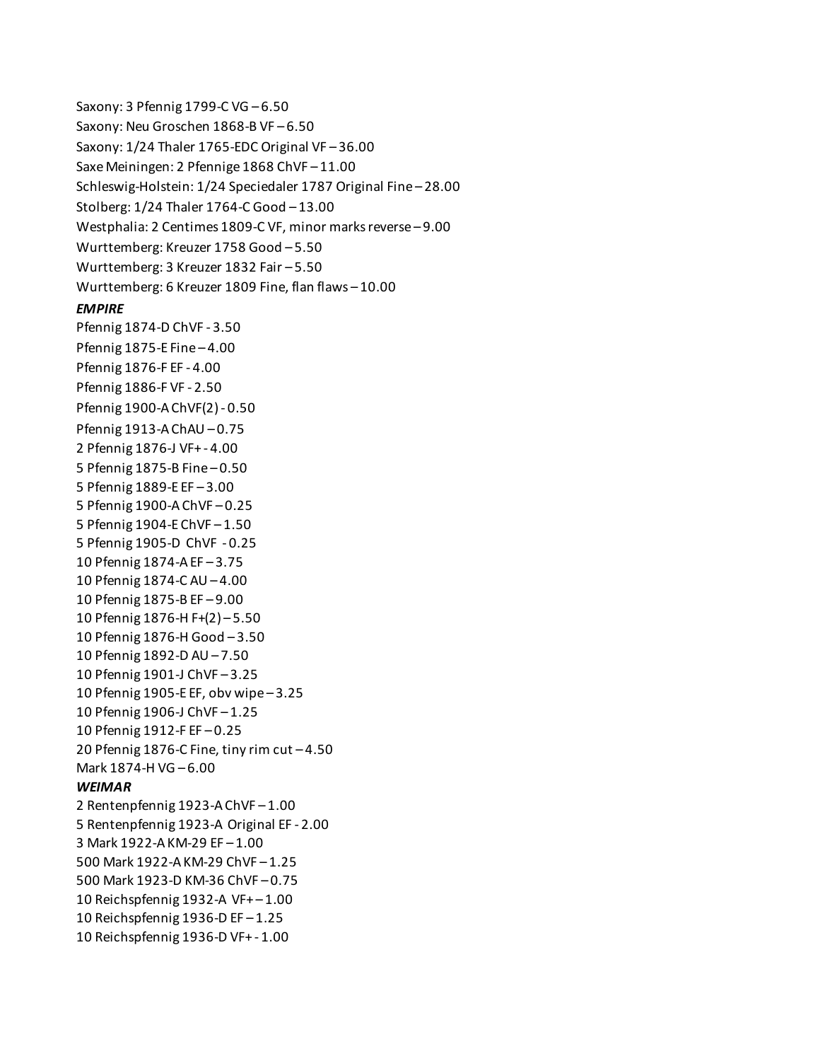Saxony: 3 Pfennig 1799-C VG – 6.50 Saxony: Neu Groschen 1868-B VF – 6.50 Saxony: 1/24 Thaler 1765-EDC Original VF – 36.00 Saxe Meiningen: 2 Pfennige 1868 ChVF – 11.00 Schleswig-Holstein: 1/24 Speciedaler 1787 Original Fine – 28.00 Stolberg: 1/24 Thaler 1764-C Good – 13.00 Westphalia: 2 Centimes 1809-C VF, minor marks reverse – 9.00 Wurttemberg: Kreuzer 1758 Good – 5.50 Wurttemberg: 3 Kreuzer 1832 Fair – 5.50 Wurttemberg: 6 Kreuzer 1809 Fine, flan flaws – 10.00 *EMPIRE* Pfennig 1874-D ChVF - 3.50 Pfennig 1875-E Fine – 4.00 Pfennig 1876-F EF - 4.00 Pfennig 1886-F VF - 2.50 Pfennig 1900-A ChVF(2) - 0.50 Pfennig 1913-A ChAU – 0.75 2 Pfennig 1876-J VF+ - 4.00 5 Pfennig 1875-B Fine – 0.50 5 Pfennig 1889-E EF – 3.00 5 Pfennig 1900-A ChVF – 0.25 5 Pfennig 1904-E ChVF – 1.50 5 Pfennig 1905-D ChVF - 0.25 10 Pfennig 1874-A EF – 3.75 10 Pfennig 1874-C AU – 4.00 10 Pfennig 1875-B EF – 9.00 10 Pfennig 1876-H F+(2) – 5.50 10 Pfennig 1876-H Good – 3.50 10 Pfennig 1892-D AU – 7.50 10 Pfennig 1901-J ChVF – 3.25 10 Pfennig 1905-E EF, obv wipe – 3.25 10 Pfennig 1906-J ChVF – 1.25 10 Pfennig 1912-F EF – 0.25 20 Pfennig 1876-C Fine, tiny rim cut – 4.50 Mark 1874-H VG – 6.00 *WEIMAR* 2 Rentenpfennig 1923-A ChVF – 1.00 5 Rentenpfennig 1923-A Original EF - 2.00 3 Mark 1922-A KM-29 EF – 1.00 500 Mark 1922-A KM-29 ChVF – 1.25 500 Mark 1923-D KM-36 ChVF – 0.75 10 Reichspfennig 1932-A VF+ – 1.00 10 Reichspfennig 1936-D EF – 1.25 10 Reichspfennig 1936-D VF+ - 1.00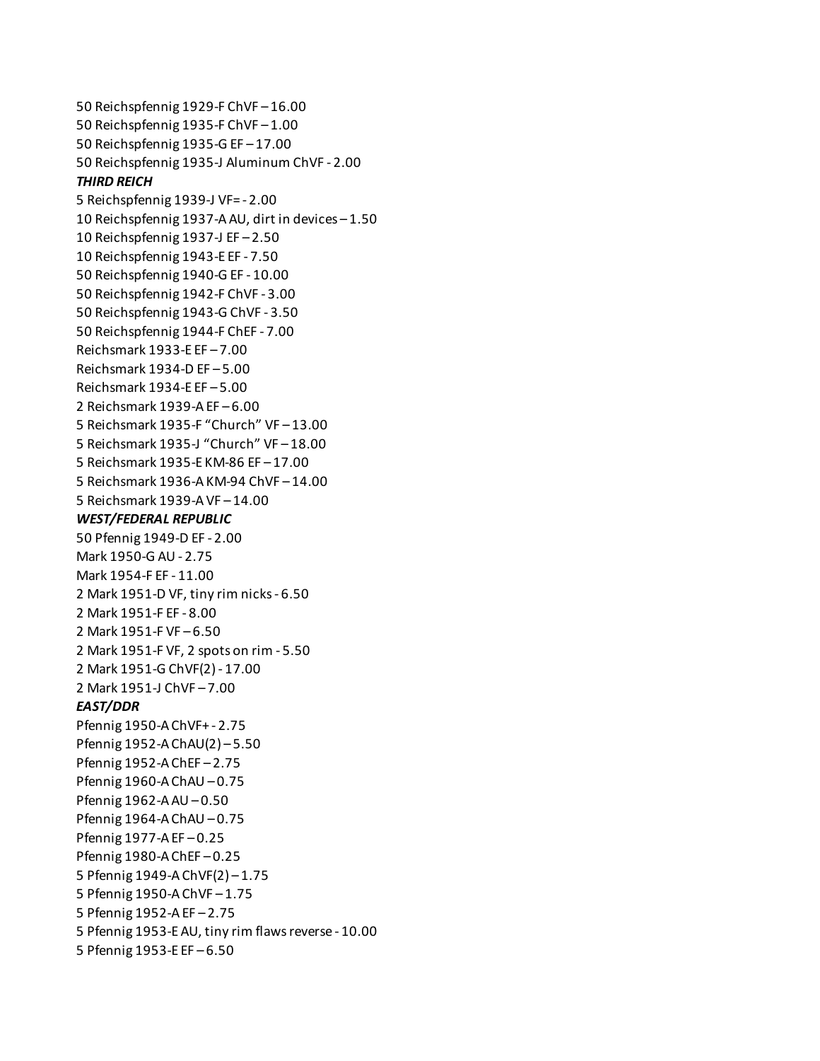50 Reichspfennig 1929-F ChVF – 16.00 50 Reichspfennig 1935-F ChVF – 1.00 50 Reichspfennig 1935-G EF – 17.00 50 Reichspfennig 1935-J Aluminum ChVF - 2.00 *THIRD REICH* 5 Reichspfennig 1939-J VF= - 2.00 10 Reichspfennig 1937-A AU, dirt in devices – 1.50 10 Reichspfennig 1937-J EF – 2.50 10 Reichspfennig 1943-E EF - 7.50 50 Reichspfennig 1940-G EF - 10.00 50 Reichspfennig 1942-F ChVF - 3.00 50 Reichspfennig 1943-G ChVF - 3.50 50 Reichspfennig 1944-F ChEF - 7.00 Reichsmark 1933-E EF – 7.00 Reichsmark 1934-D EF – 5.00 Reichsmark 1934-E EF – 5.00 2 Reichsmark 1939-A EF – 6.00 5 Reichsmark 1935-F "Church" VF – 13.00 5 Reichsmark 1935-J "Church" VF – 18.00 5 Reichsmark 1935-E KM-86 EF – 17.00 5 Reichsmark 1936-A KM-94 ChVF – 14.00 5 Reichsmark 1939-A VF – 14.00 *WEST/FEDERAL REPUBLIC* 50 Pfennig 1949-D EF - 2.00 Mark 1950-G AU - 2.75 Mark 1954-F EF - 11.00 2 Mark 1951-D VF, tiny rim nicks - 6.50 2 Mark 1951-F EF - 8.00 2 Mark 1951-F VF – 6.50 2 Mark 1951-F VF, 2 spots on rim - 5.50 2 Mark 1951-G ChVF(2) - 17.00 2 Mark 1951-J ChVF – 7.00 *EAST/DDR* Pfennig 1950-A ChVF+ - 2.75 Pfennig 1952-A ChAU(2) – 5.50 Pfennig 1952-A ChEF – 2.75 Pfennig 1960-A ChAU $-0.75$ Pfennig 1962-A AU – 0.50 Pfennig 1964-A ChAU $-0.75$ Pfennig 1977-A EF – 0.25 Pfennig 1980-A ChEF – 0.25 5 Pfennig 1949-A ChVF(2) – 1.75 5 Pfennig 1950-A ChVF – 1.75 5 Pfennig 1952-A EF – 2.75 5 Pfennig 1953-E AU, tiny rim flaws reverse - 10.00 5 Pfennig 1953-E EF – 6.50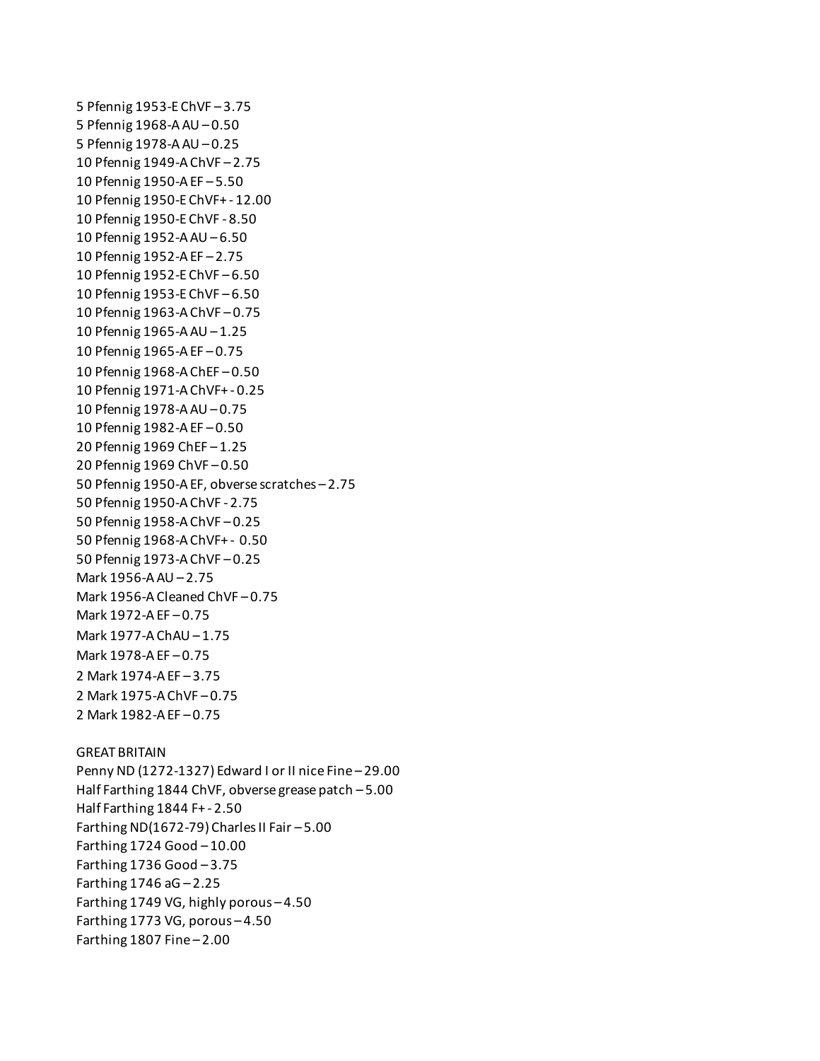5 Pfennig 1953-E ChVF – 3.75 5 Pfennig 1968-A AU – 0.50 5 Pfennig 1978-A AU – 0.25 10 Pfennig 1949-A ChVF – 2.75 10 Pfennig 1950-A EF – 5.50 10 Pfennig 1950-E ChVF+ - 12.00 10 Pfennig 1950-E ChVF - 8.50 10 Pfennig 1952-A AU – 6.50 10 Pfennig 1952-A EF – 2.75 10 Pfennig 1952-E ChVF – 6.50 10 Pfennig 1953-E ChVF – 6.50 10 Pfennig 1963-A ChVF – 0.75 10 Pfennig 1965-A AU – 1.25 10 Pfennig 1965-A EF – 0.75 10 Pfennig 1968-A ChEF – 0.50 10 Pfennig 1971-A ChVF+ - 0.25 10 Pfennig 1978-A AU – 0.75 10 Pfennig 1982-A EF – 0.50 20 Pfennig 1969 ChEF – 1.25 20 Pfennig 1969 ChVF – 0.50 50 Pfennig 1950-A EF, obverse scratches – 2.75 50 Pfennig 1950-A ChVF - 2.75 50 Pfennig 1958-A ChVF – 0.25 50 Pfennig 1968-A ChVF+ - 0.50 50 Pfennig 1973-A ChVF – 0.25 Mark 1956-A AU – 2.75 Mark 1956-A Cleaned ChVF – 0.75 Mark 1972-A EF – 0.75 Mark 1977-A ChAU – 1.75 Mark 1978-A EF – 0.75 2 Mark 1974-A EF – 3.75 2 Mark 1975-A ChVF – 0.75 2 Mark 1982-A EF – 0.75 GREAT BRITAIN Penny ND (1272-1327) Edward I or II nice Fine – 29.00 Half Farthing 1844 ChVF, obverse grease patch – 5.00

Half Farthing 1844 F+ - 2.50 Farthing ND(1672-79) Charles II Fair – 5.00 Farthing 1724 Good – 10.00 Farthing 1736 Good – 3.75 Farthing  $1746$  aG  $-2.25$ Farthing 1749 VG, highly porous – 4.50 Farthing 1773 VG, porous – 4.50 Farthing 1807 Fine – 2.00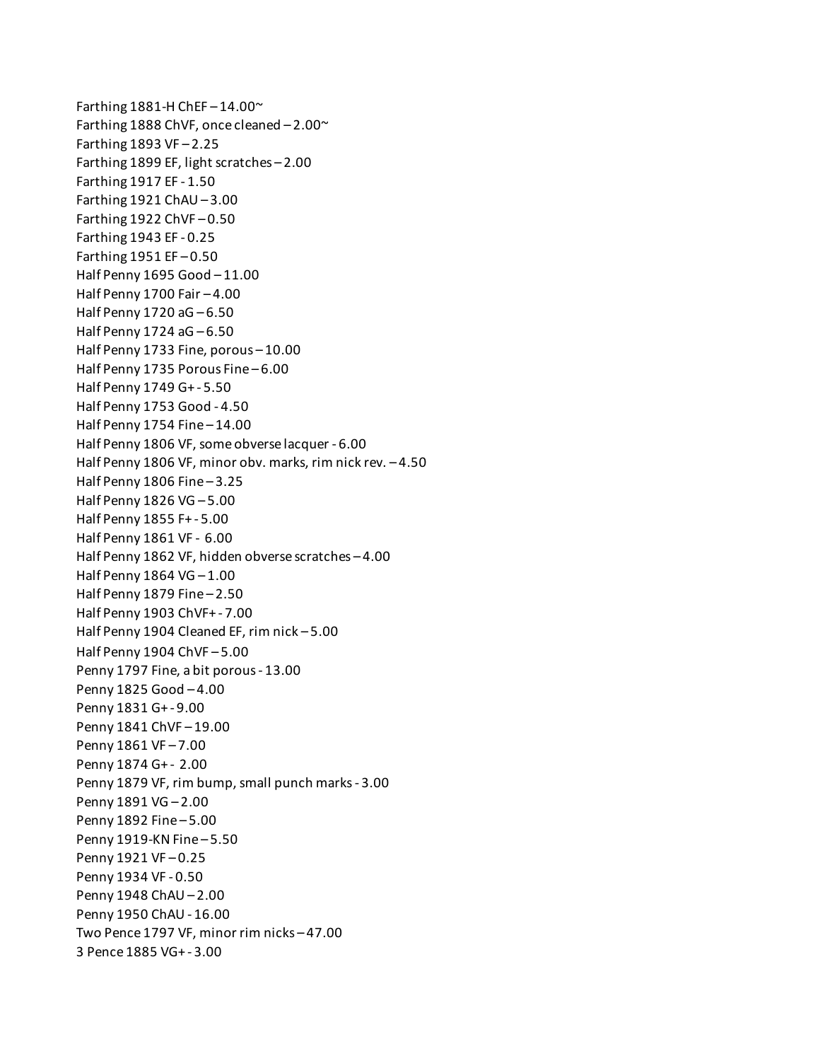Farthing 1881-H ChEF  $-14.00^{\circ}$ Farthing 1888 ChVF, once cleaned  $-2.00<sup>o</sup>$ Farthing 1893 VF – 2.25 Farthing 1899 EF, light scratches – 2.00 Farthing 1917 EF - 1.50 Farthing  $1921$  ChAU  $-3.00$ Farthing  $1922$  ChVF $-0.50$ Farthing 1943 EF - 0.25 Farthing 1951 EF – 0.50 Half Penny 1695 Good – 11.00 Half Penny 1700 Fair – 4.00 Half Penny 1720 aG – 6.50 Half Penny 1724 aG – 6.50 Half Penny 1733 Fine, porous – 10.00 Half Penny 1735 Porous Fine – 6.00 Half Penny 1749 G+ - 5.50 Half Penny 1753 Good - 4.50 Half Penny 1754 Fine – 14.00 Half Penny 1806 VF, some obverse lacquer - 6.00 Half Penny 1806 VF, minor obv. marks, rim nick rev. – 4.50 Half Penny 1806 Fine – 3.25 Half Penny 1826 VG – 5.00 Half Penny 1855 F+ - 5.00 Half Penny 1861 VF - 6.00 Half Penny 1862 VF, hidden obverse scratches – 4.00 Half Penny 1864 VG – 1.00 Half Penny 1879 Fine – 2.50 Half Penny 1903 ChVF+ - 7.00 Half Penny 1904 Cleaned EF, rim nick – 5.00 Half Penny 1904 ChVF – 5.00 Penny 1797 Fine, a bit porous - 13.00 Penny 1825 Good – 4.00 Penny 1831 G+ - 9.00 Penny 1841 ChVF – 19.00 Penny 1861 VF – 7.00 Penny 1874 G+ - 2.00 Penny 1879 VF, rim bump, small punch marks - 3.00 Penny 1891 VG – 2.00 Penny 1892 Fine – 5.00 Penny 1919-KN Fine – 5.50 Penny 1921 VF – 0.25 Penny 1934 VF - 0.50 Penny 1948 ChAU – 2.00 Penny 1950 ChAU - 16.00 Two Pence 1797 VF, minor rim nicks – 47.00 3 Pence 1885 VG+ - 3.00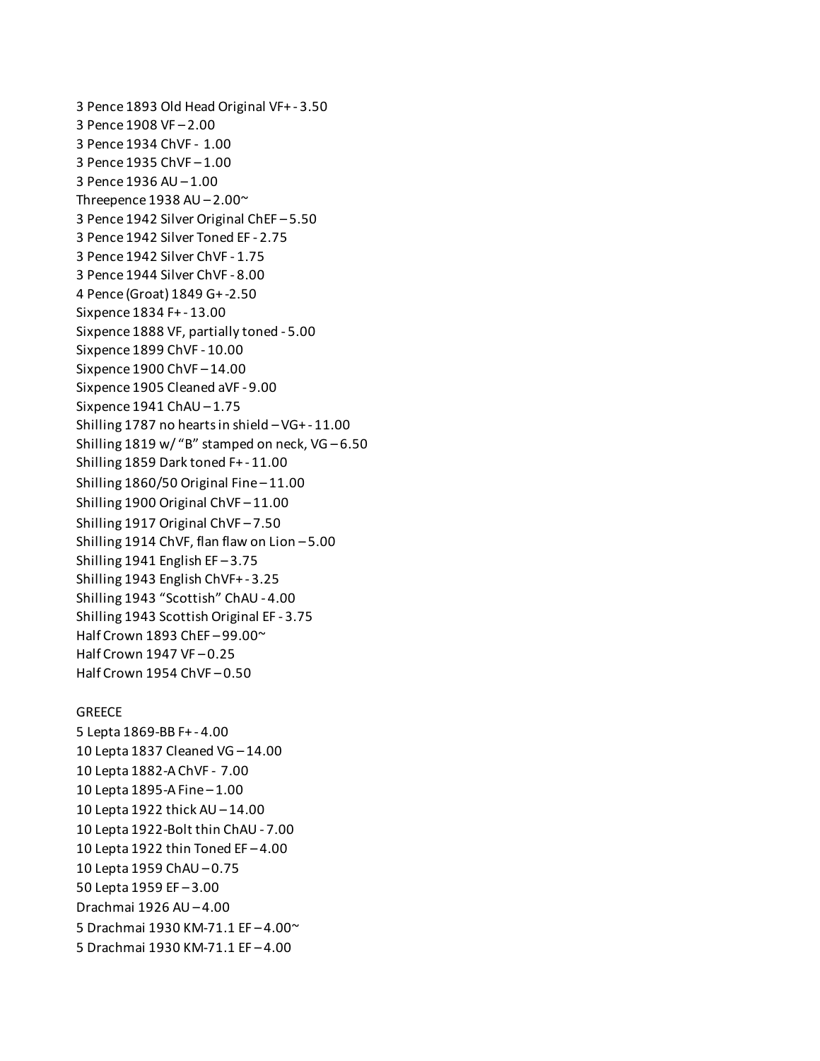3 Pence 1893 Old Head Original VF+ - 3.50 3 Pence 1908 VF – 2.00 3 Pence 1934 ChVF - 1.00 3 Pence 1935 ChVF – 1.00 3 Pence 1936 AU – 1.00 Threepence 1938 AU  $-2.00$ <sup>~</sup> 3 Pence 1942 Silver Original ChEF – 5.50 3 Pence 1942 Silver Toned EF - 2.75 3 Pence 1942 Silver ChVF - 1.75 3 Pence 1944 Silver ChVF - 8.00 4 Pence (Groat) 1849 G+ -2.50 Sixpence 1834 F+ - 13.00 Sixpence 1888 VF, partially toned - 5.00 Sixpence 1899 ChVF - 10.00 Sixpence 1900 ChVF – 14.00 Sixpence 1905 Cleaned aVF - 9.00 Sixpence  $1941$  ChAU  $-1.75$ Shilling 1787 no hearts in shield – VG+ - 11.00 Shilling  $1819$  w/ "B" stamped on neck, VG-6.50 Shilling 1859 Dark toned F+ - 11.00 Shilling 1860/50 Original Fine – 11.00 Shilling 1900 Original ChVF – 11.00 Shilling 1917 Original ChVF – 7.50 Shilling 1914 ChVF, flan flaw on Lion – 5.00 Shilling 1941 English EF – 3.75 Shilling 1943 English ChVF+ - 3.25 Shilling 1943 "Scottish" ChAU - 4.00 Shilling 1943 Scottish Original EF - 3.75 Half Crown 1893 ChEF – 99.00~ Half Crown 1947 VF – 0.25 Half Crown 1954 ChVF – 0.50

#### **GREECE**

5 Lepta 1869-BB F+ - 4.00 10 Lepta 1837 Cleaned VG – 14.00 10 Lepta 1882-A ChVF - 7.00 10 Lepta 1895-A Fine – 1.00 10 Lepta 1922 thick AU – 14.00 10 Lepta 1922-Bolt thin ChAU - 7.00 10 Lepta 1922 thin Toned EF – 4.00 10 Lepta 1959 ChAU – 0.75 50 Lepta 1959 EF – 3.00 Drachmai 1926 AU – 4.00 5 Drachmai 1930 KM-71.1 EF – 4.00~ 5 Drachmai 1930 KM-71.1 EF – 4.00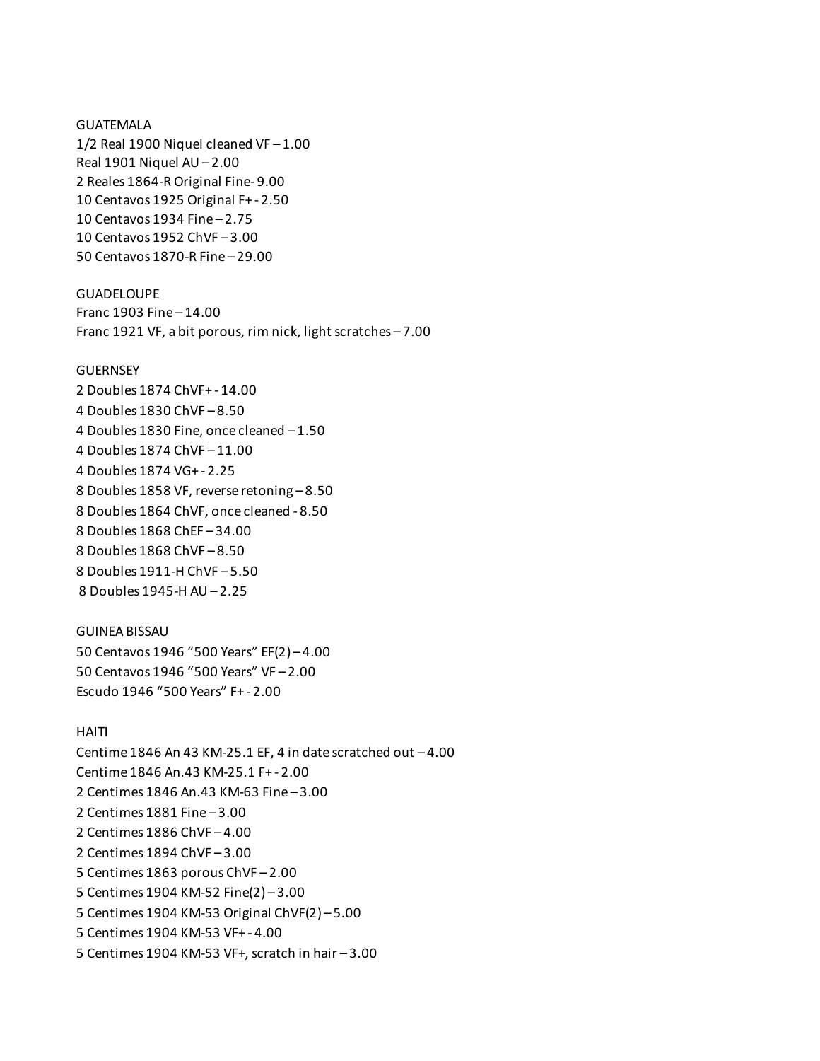## GUATEMALA

 $1/2$  Real 1900 Niquel cleaned VF $-1.00$ Real 1901 Niquel AU – 2.00 2 Reales 1864-R Original Fine- 9.00 10 Centavos 1925 Original F+ - 2.50 10 Centavos 1934 Fine – 2.75 10 Centavos 1952 ChVF – 3.00 50 Centavos 1870-R Fine – 29.00

#### GUADELOUPE

Franc 1903 Fine – 14.00 Franc 1921 VF, a bit porous, rim nick, light scratches – 7.00

#### **GUERNSEY**

2 Doubles 1874 ChVF+ - 14.00 4 Doubles 1830 ChVF – 8.50 4 Doubles 1830 Fine, once cleaned – 1.50 4 Doubles 1874 ChVF – 11.00 4 Doubles 1874 VG+ - 2.25 8 Doubles 1858 VF, reverse retoning – 8.50 8 Doubles 1864 ChVF, once cleaned - 8.50 8 Doubles 1868 ChEF – 34.00 8 Doubles 1868 ChVF – 8.50 8 Doubles 1911-H ChVF – 5.50 8 Doubles 1945-H AU – 2.25

GUINEA BISSAU 50 Centavos 1946 "500 Years" EF(2) – 4.00 50 Centavos 1946 "500 Years" VF – 2.00 Escudo 1946 "500 Years" F+ - 2.00

#### HAITI

Centime 1846 An 43 KM-25.1 EF, 4 in date scratched out – 4.00 Centime 1846 An.43 KM-25.1 F+ - 2.00 2 Centimes 1846 An.43 KM-63 Fine – 3.00 2 Centimes 1881 Fine – 3.00 2 Centimes 1886 ChVF – 4.00 2 Centimes 1894 ChVF – 3.00 5 Centimes 1863 porous ChVF – 2.00 5 Centimes 1904 KM-52 Fine(2) – 3.00 5 Centimes 1904 KM-53 Original ChVF(2) – 5.00 5 Centimes 1904 KM-53 VF+ - 4.00 5 Centimes 1904 KM-53 VF+, scratch in hair – 3.00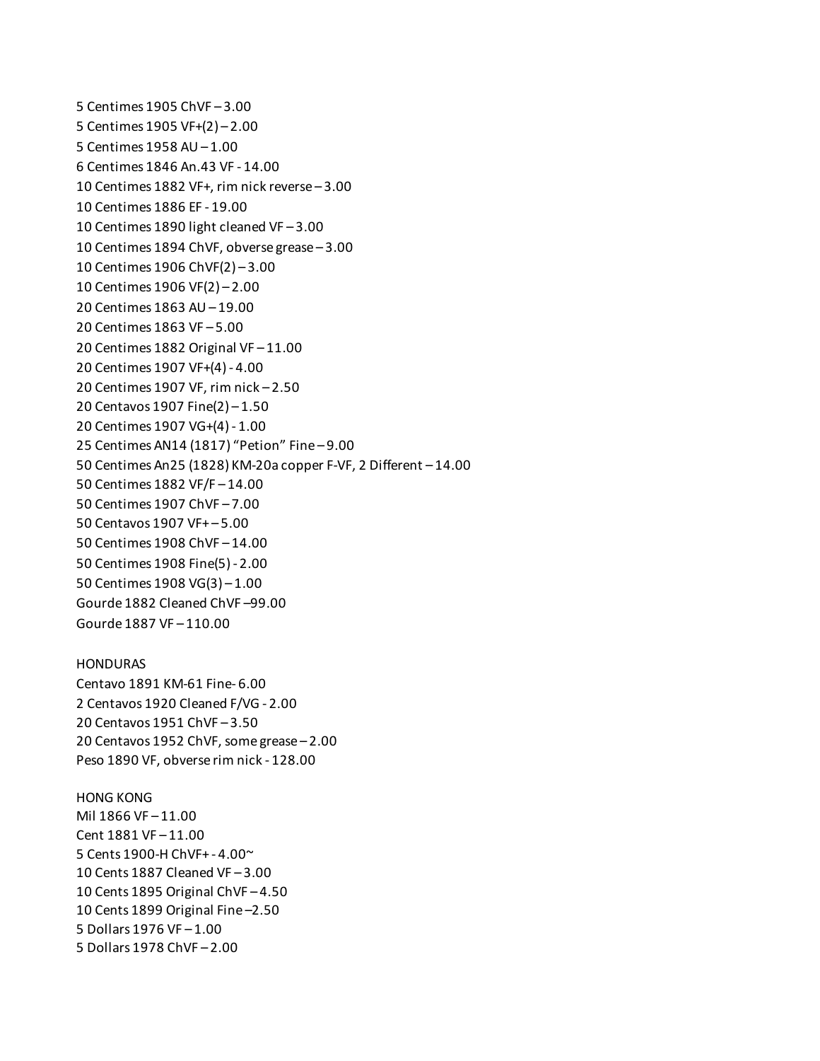5 Centimes 1905 ChVF – 3.00 5 Centimes 1905 VF+(2) – 2.00 5 Centimes 1958 AU – 1.00 6 Centimes 1846 An.43 VF - 14.00 10 Centimes 1882 VF+, rim nick reverse – 3.00 10 Centimes 1886 EF - 19.00 10 Centimes 1890 light cleaned VF – 3.00 10 Centimes 1894 ChVF, obverse grease – 3.00 10 Centimes 1906 ChVF(2) – 3.00 10 Centimes 1906 VF(2) – 2.00 20 Centimes 1863 AU – 19.00 20 Centimes 1863 VF – 5.00 20 Centimes 1882 Original VF – 11.00 20 Centimes 1907 VF+(4) - 4.00 20 Centimes 1907 VF, rim nick – 2.50 20 Centavos 1907 Fine(2) – 1.50 20 Centimes 1907 VG+(4) - 1.00 25 Centimes AN14 (1817) "Petion" Fine – 9.00 50 Centimes An25 (1828) KM-20a copper F-VF, 2 Different – 14.00 50 Centimes 1882 VF/F – 14.00 50 Centimes 1907 ChVF – 7.00 50 Centavos 1907 VF+ – 5.00 50 Centimes 1908 ChVF – 14.00 50 Centimes 1908 Fine(5) - 2.00 50 Centimes 1908 VG(3) – 1.00 Gourde 1882 Cleaned ChVF –99.00 Gourde 1887 VF – 110.00

**HONDURAS** Centavo 1891 KM-61 Fine- 6.00 2 Centavos 1920 Cleaned F/VG - 2.00 20 Centavos 1951 ChVF – 3.50 20 Centavos 1952 ChVF, some grease – 2.00 Peso 1890 VF, obverse rim nick - 128.00

HONG KONG Mil 1866 VF – 11.00 Cent 1881 VF – 11.00 5 Cents 1900-H ChVF+ - 4.00~ 10 Cents 1887 Cleaned VF – 3.00 10 Cents 1895 Original ChVF – 4.50 10 Cents 1899 Original Fine –2.50 5 Dollars 1976 VF – 1.00 5 Dollars 1978 ChVF – 2.00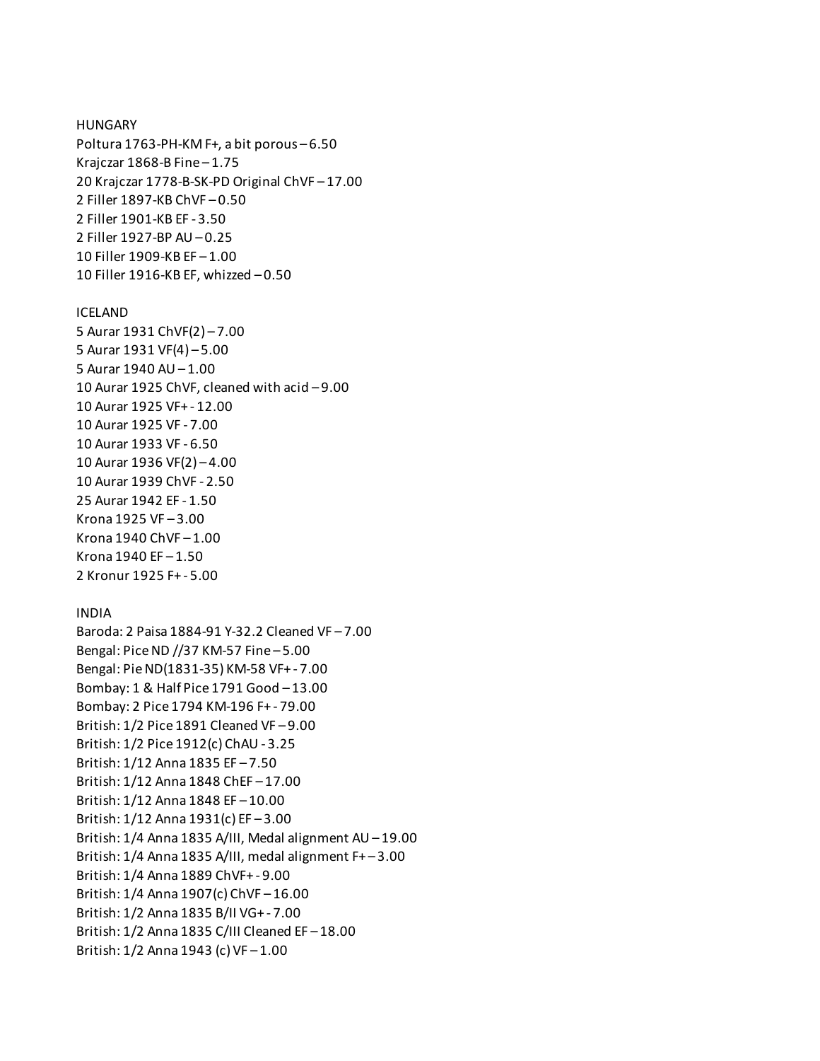# HUNGARY Poltura 1763-PH-KM F+, a bit porous – 6.50 Krajczar 1868-B Fine – 1.75 20 Krajczar 1778-B-SK-PD Original ChVF – 17.00 2 Filler 1897-KB ChVF – 0.50 2 Filler 1901-KB EF - 3.50 2 Filler 1927-BP AU – 0.25 10 Filler 1909-KB EF – 1.00 10 Filler 1916-KB EF, whizzed – 0.50

#### ICELAND

5 Aurar 1931 ChVF(2) – 7.00 5 Aurar 1931 VF(4) – 5.00 5 Aurar 1940 AU – 1.00 10 Aurar 1925 ChVF, cleaned with acid – 9.00 10 Aurar 1925 VF+ - 12.00 10 Aurar 1925 VF - 7.00 10 Aurar 1933 VF - 6.50 10 Aurar 1936 VF(2) – 4.00 10 Aurar 1939 ChVF - 2.50 25 Aurar 1942 EF - 1.50 Krona 1925 VF – 3.00 Krona 1940 ChVF – 1.00 Krona 1940 EF – 1.50 2 Kronur 1925 F+ - 5.00

#### INDIA

Baroda: 2 Paisa 1884-91 Y-32.2 Cleaned VF – 7.00 Bengal: Pice ND //37 KM-57 Fine – 5.00 Bengal: Pie ND(1831-35) KM-58 VF+ - 7.00 Bombay: 1 & Half Pice 1791 Good – 13.00 Bombay: 2 Pice 1794 KM-196 F+ - 79.00 British: 1/2 Pice 1891 Cleaned VF – 9.00 British: 1/2 Pice 1912(c) ChAU - 3.25 British: 1/12 Anna 1835 EF – 7.50 British: 1/12 Anna 1848 ChEF – 17.00 British: 1/12 Anna 1848 EF – 10.00 British: 1/12 Anna 1931(c) EF – 3.00 British: 1/4 Anna 1835 A/III, Medal alignment AU – 19.00 British: 1/4 Anna 1835 A/III, medal alignment F+ – 3.00 British: 1/4 Anna 1889 ChVF+ - 9.00 British: 1/4 Anna 1907(c) ChVF – 16.00 British: 1/2 Anna 1835 B/II VG+ - 7.00 British: 1/2 Anna 1835 C/III Cleaned EF – 18.00 British: 1/2 Anna 1943 (c) VF – 1.00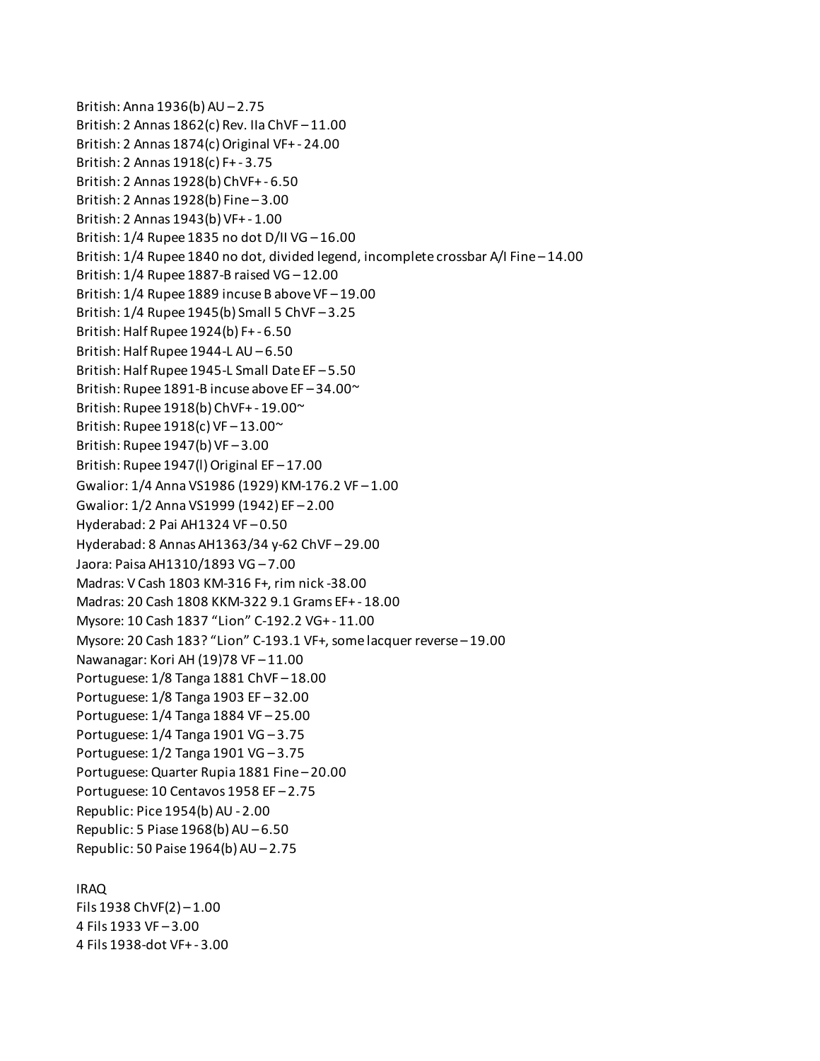British: Anna 1936(b) AU – 2.75 British: 2 Annas 1862(c) Rev. IIa ChVF – 11.00 British: 2 Annas 1874(c) Original VF+ - 24.00 British: 2 Annas 1918(c) F+ - 3.75 British: 2 Annas 1928(b) ChVF+ - 6.50 British: 2 Annas 1928(b) Fine – 3.00 British: 2 Annas 1943(b) VF+ - 1.00 British: 1/4 Rupee 1835 no dot D/II VG – 16.00 British: 1/4 Rupee 1840 no dot, divided legend, incomplete crossbar A/I Fine – 14.00 British: 1/4 Rupee 1887-B raised VG – 12.00 British: 1/4 Rupee 1889 incuse B above VF – 19.00 British: 1/4 Rupee 1945(b) Small 5 ChVF – 3.25 British: Half Rupee 1924(b) F+ - 6.50 British: Half Rupee 1944-L AU – 6.50 British: Half Rupee 1945-L Small Date EF – 5.50 British: Rupee 1891-B incuse above EF – 34.00~ British: Rupee 1918(b) ChVF+ - 19.00~ British: Rupee  $1918(c)$  VF  $-13.00<sup>\sim</sup>$ British: Rupee 1947(b) VF – 3.00 British: Rupee 1947(l) Original EF – 17.00 Gwalior: 1/4 Anna VS1986 (1929) KM-176.2 VF – 1.00 Gwalior: 1/2 Anna VS1999 (1942) EF – 2.00 Hyderabad: 2 Pai AH1324 VF – 0.50 Hyderabad: 8 Annas AH1363/34 y-62 ChVF – 29.00 Jaora: Paisa AH1310/1893 VG – 7.00 Madras: V Cash 1803 KM-316 F+, rim nick -38.00 Madras: 20 Cash 1808 KKM-322 9.1 Grams EF+ - 18.00 Mysore: 10 Cash 1837 "Lion" C-192.2 VG+ - 11.00 Mysore: 20 Cash 183? "Lion" C-193.1 VF+, some lacquer reverse – 19.00 Nawanagar: Kori AH (19)78 VF – 11.00 Portuguese: 1/8 Tanga 1881 ChVF – 18.00 Portuguese: 1/8 Tanga 1903 EF – 32.00 Portuguese: 1/4 Tanga 1884 VF – 25.00 Portuguese: 1/4 Tanga 1901 VG – 3.75 Portuguese: 1/2 Tanga 1901 VG – 3.75 Portuguese: Quarter Rupia 1881 Fine – 20.00 Portuguese: 10 Centavos 1958 EF – 2.75 Republic: Pice 1954(b) AU - 2.00 Republic: 5 Piase 1968(b) AU – 6.50 Republic: 50 Paise 1964(b) AU – 2.75

## IRAQ

Fils 1938 ChVF $(2) - 1.00$ 4 Fils 1933 VF – 3.00 4 Fils 1938-dot VF+ - 3.00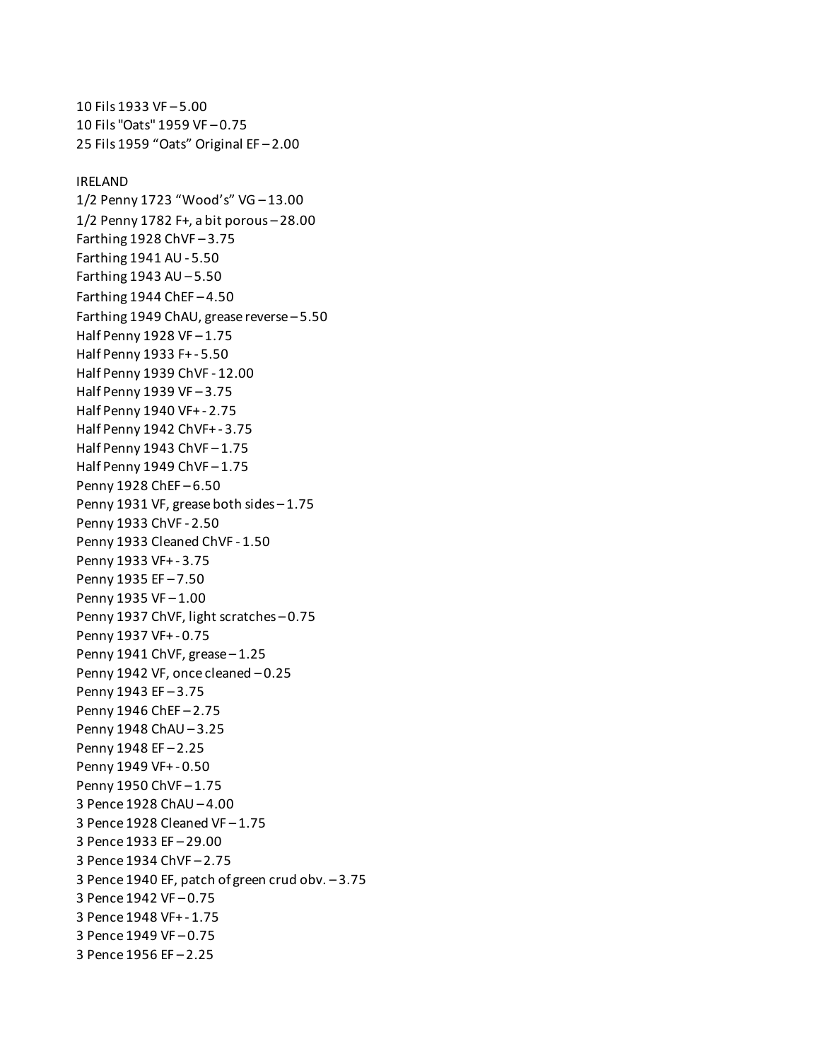10 Fils 1933 VF – 5.00 10 Fils "Oats" 1959 VF – 0.75 25 Fils 1959 "Oats" Original EF – 2.00

#### IRELAND

1/2 Penny 1723 "Wood's" VG – 13.00 1/2 Penny 1782 F+, a bit porous – 28.00 Farthing 1928 ChVF – 3.75 Farthing 1941 AU - 5.50 Farthing 1943 AU – 5.50 Farthing 1944 ChEF $-4.50$ Farthing 1949 ChAU, grease reverse – 5.50 Half Penny 1928 VF – 1.75 Half Penny 1933 F+ - 5.50 Half Penny 1939 ChVF - 12.00 Half Penny 1939 VF – 3.75 Half Penny 1940 VF+ - 2.75 Half Penny 1942 ChVF+ - 3.75 Half Penny 1943 ChVF – 1.75 Half Penny 1949 ChVF – 1.75 Penny 1928 ChEF – 6.50 Penny 1931 VF, grease both sides – 1.75 Penny 1933 ChVF - 2.50 Penny 1933 Cleaned ChVF - 1.50 Penny 1933 VF+ - 3.75 Penny 1935 EF – 7.50 Penny 1935 VF – 1.00 Penny 1937 ChVF, light scratches – 0.75 Penny 1937 VF+ - 0.75 Penny 1941 ChVF, grease - 1.25 Penny 1942 VF, once cleaned – 0.25 Penny 1943 EF – 3.75 Penny 1946 ChEF – 2.75 Penny 1948 ChAU – 3.25 Penny 1948 EF – 2.25 Penny 1949 VF+ - 0.50 Penny 1950 ChVF – 1.75 3 Pence 1928 ChAU – 4.00 3 Pence 1928 Cleaned VF – 1.75 3 Pence 1933 EF – 29.00 3 Pence 1934 ChVF – 2.75 3 Pence 1940 EF, patch of green crud obv. – 3.75 3 Pence 1942 VF – 0.75 3 Pence 1948 VF+ - 1.75 3 Pence 1949 VF – 0.75 3 Pence 1956 EF – 2.25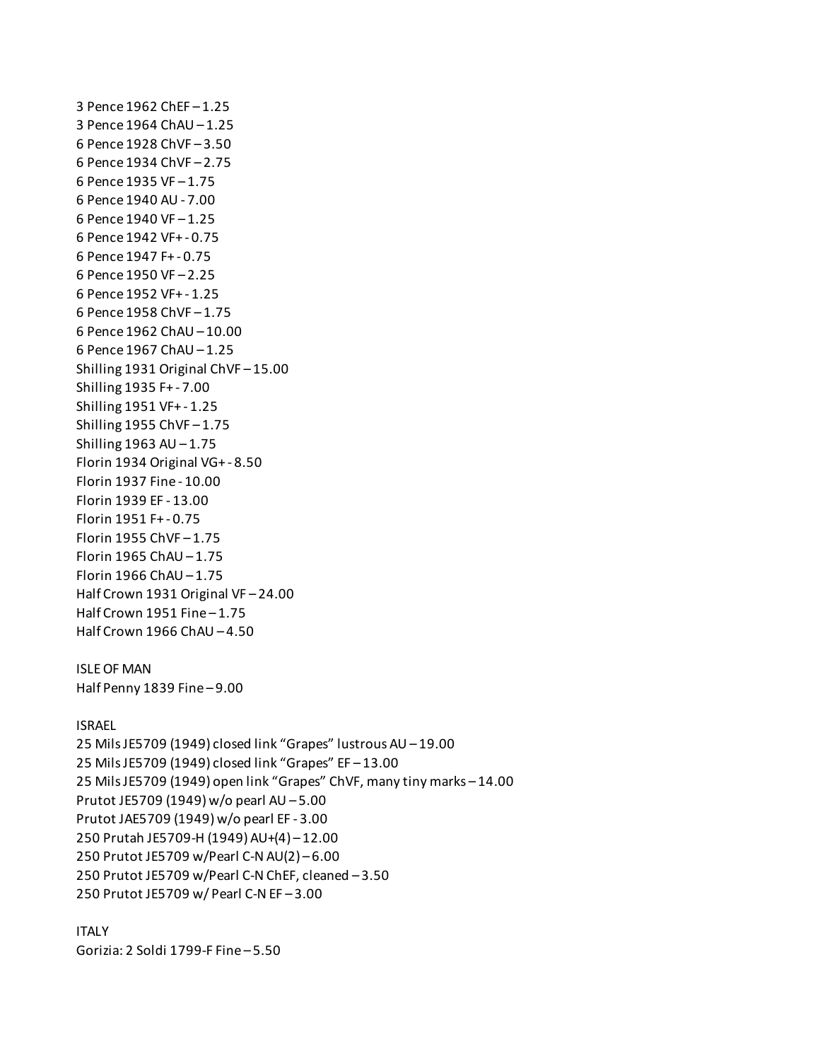3 Pence 1962 ChEF – 1.25 3 Pence 1964 ChAU – 1.25 6 Pence 1928 ChVF – 3.50 6 Pence 1934 ChVF – 2.75 6 Pence 1935 VF – 1.75 6 Pence 1940 AU - 7.00 6 Pence 1940 VF – 1.25 6 Pence 1942 VF+ - 0.75 6 Pence 1947 F+ - 0.75 6 Pence 1950 VF – 2.25 6 Pence 1952 VF+ - 1.25 6 Pence 1958 ChVF – 1.75 6 Pence 1962 ChAU – 10.00 6 Pence 1967 ChAU – 1.25 Shilling 1931 Original ChVF – 15.00 Shilling 1935 F+ - 7.00 Shilling 1951 VF+ - 1.25 Shilling 1955 ChVF – 1.75 Shilling 1963 AU – 1.75 Florin 1934 Original VG+ - 8.50 Florin 1937 Fine - 10.00 Florin 1939 EF - 13.00 Florin 1951 F+ - 0.75 Florin 1955 ChVF – 1.75 Florin 1965 ChAU – 1.75 Florin 1966 ChAU – 1.75 Half Crown 1931 Original VF – 24.00 Half Crown 1951 Fine – 1.75 Half Crown 1966 ChAU – 4.50

## ISLE OF MAN Half Penny 1839 Fine – 9.00

ISRAEL

25 Mils JE5709 (1949) closed link "Grapes" lustrous AU – 19.00 25 Mils JE5709 (1949) closed link "Grapes" EF – 13.00 25 Mils JE5709 (1949) open link "Grapes" ChVF, many tiny marks – 14.00 Prutot JE5709 (1949) w/o pearl AU – 5.00 Prutot JAE5709 (1949) w/o pearl EF - 3.00 250 Prutah JE5709-H (1949) AU+(4) – 12.00 250 Prutot JE5709 w/Pearl C-N AU(2) – 6.00 250 Prutot JE5709 w/Pearl C-N ChEF, cleaned – 3.50 250 Prutot JE5709 w/ Pearl C-N EF – 3.00

ITALY Gorizia: 2 Soldi 1799-F Fine – 5.50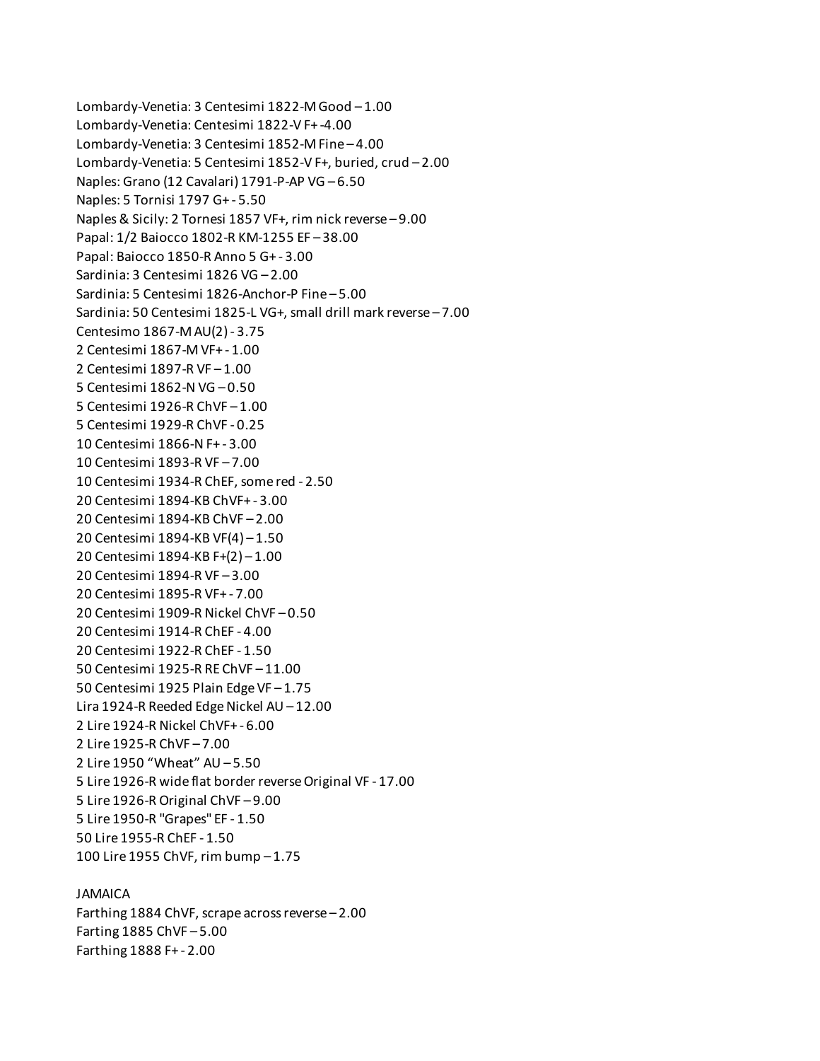Lombardy-Venetia: 3 Centesimi 1822-M Good – 1.00 Lombardy-Venetia: Centesimi 1822-V F+ -4.00 Lombardy-Venetia: 3 Centesimi 1852-M Fine – 4.00 Lombardy-Venetia: 5 Centesimi 1852-V F+, buried, crud – 2.00 Naples: Grano (12 Cavalari) 1791-P-AP VG – 6.50 Naples: 5 Tornisi 1797 G+ - 5.50 Naples & Sicily: 2 Tornesi 1857 VF+, rim nick reverse – 9.00 Papal: 1/2 Baiocco 1802-R KM-1255 EF – 38.00 Papal: Baiocco 1850-R Anno 5 G+ - 3.00 Sardinia: 3 Centesimi 1826 VG – 2.00 Sardinia: 5 Centesimi 1826-Anchor-P Fine – 5.00 Sardinia: 50 Centesimi 1825-L VG+, small drill mark reverse – 7.00 Centesimo 1867-M AU(2) - 3.75 2 Centesimi 1867-M VF+ - 1.00 2 Centesimi 1897-R VF – 1.00 5 Centesimi 1862-N VG – 0.50 5 Centesimi 1926-R ChVF – 1.00 5 Centesimi 1929-R ChVF - 0.25 10 Centesimi 1866-N F+ - 3.00 10 Centesimi 1893-R VF – 7.00 10 Centesimi 1934-R ChEF, some red - 2.50 20 Centesimi 1894-KB ChVF+ - 3.00 20 Centesimi 1894-KB ChVF – 2.00 20 Centesimi 1894-KB VF(4) – 1.50 20 Centesimi 1894-KB F+(2) – 1.00 20 Centesimi 1894-R VF – 3.00 20 Centesimi 1895-R VF+ - 7.00 20 Centesimi 1909-R Nickel ChVF – 0.50 20 Centesimi 1914-R ChEF - 4.00 20 Centesimi 1922-R ChEF - 1.50 50 Centesimi 1925-R RE ChVF – 11.00 50 Centesimi 1925 Plain Edge VF – 1.75 Lira 1924-R Reeded Edge Nickel AU – 12.00 2 Lire 1924-R Nickel ChVF+ - 6.00 2 Lire 1925-R ChVF – 7.00 2 Lire 1950 "Wheat" AU – 5.50 5 Lire 1926-R wide flat border reverse Original VF - 17.00 5 Lire 1926-R Original ChVF – 9.00 5 Lire 1950-R "Grapes" EF - 1.50 50 Lire 1955-R ChEF - 1.50 100 Lire 1955 ChVF, rim bump – 1.75

### JAMAICA

Farthing 1884 ChVF, scrape across reverse – 2.00 Farting 1885 ChVF – 5.00 Farthing 1888 F+ - 2.00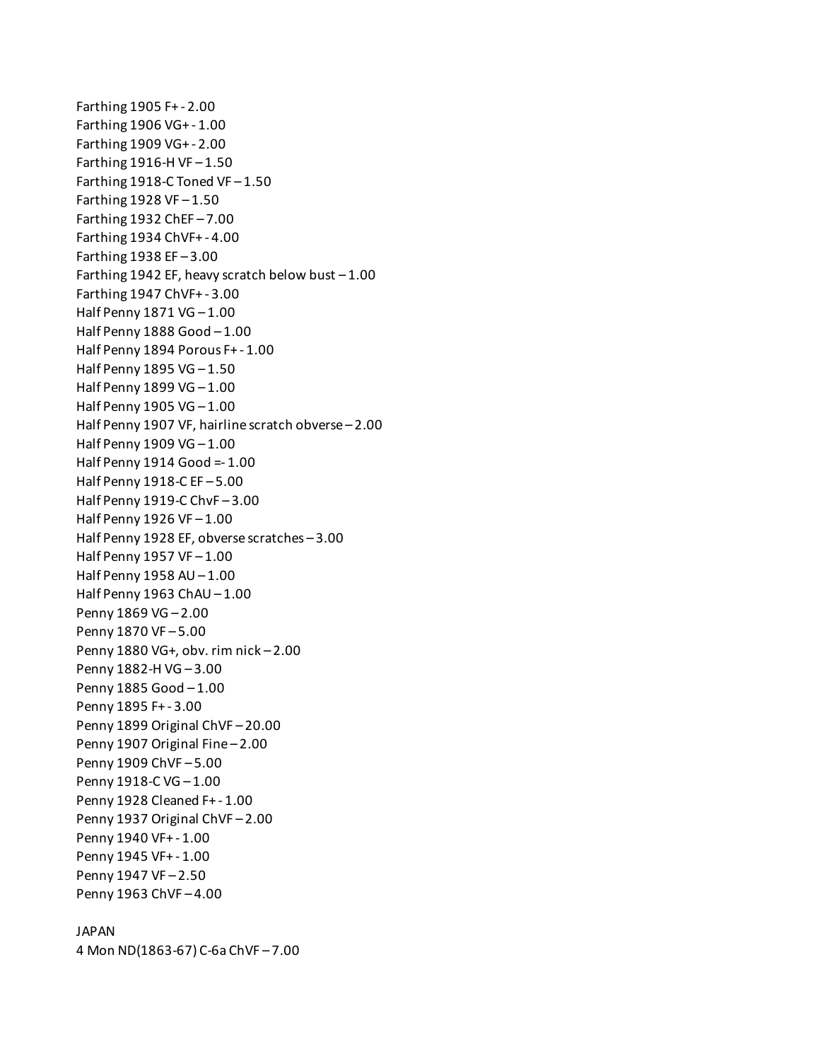Farthing 1905 F+ - 2.00 Farthing 1906 VG+ - 1.00 Farthing 1909 VG+ - 2.00 Farthing 1916-H VF $-1.50$ Farthing 1918-C Toned VF $-1.50$ Farthing 1928 VF – 1.50 Farthing 1932 ChEF – 7.00 Farthing 1934 ChVF+ - 4.00 Farthing 1938 EF – 3.00 Farthing 1942 EF, heavy scratch below bust – 1.00 Farthing 1947 ChVF+ - 3.00 Half Penny 1871 VG – 1.00 Half Penny 1888 Good – 1.00 Half Penny 1894 Porous F+ - 1.00 Half Penny 1895 VG – 1.50 Half Penny 1899 VG – 1.00 Half Penny 1905 VG – 1.00 Half Penny 1907 VF, hairline scratch obverse – 2.00 Half Penny 1909 VG – 1.00 Half Penny 1914 Good =- 1.00 Half Penny 1918-C EF – 5.00 Half Penny 1919-C ChvF – 3.00 Half Penny 1926 VF – 1.00 Half Penny 1928 EF, obverse scratches – 3.00 Half Penny 1957 VF – 1.00 Half Penny 1958 AU – 1.00 Half Penny 1963 ChAU – 1.00 Penny 1869 VG – 2.00 Penny 1870 VF – 5.00 Penny 1880 VG+, obv. rim nick – 2.00 Penny 1882-H VG – 3.00 Penny 1885 Good – 1.00 Penny 1895 F+ - 3.00 Penny 1899 Original ChVF – 20.00 Penny 1907 Original Fine – 2.00 Penny 1909 ChVF – 5.00 Penny 1918-C VG – 1.00 Penny 1928 Cleaned F+ - 1.00 Penny 1937 Original ChVF – 2.00 Penny 1940 VF+ - 1.00 Penny 1945 VF+ - 1.00 Penny 1947 VF – 2.50 Penny 1963 ChVF – 4.00

## JAPAN

4 Mon ND(1863-67) C-6a ChVF – 7.00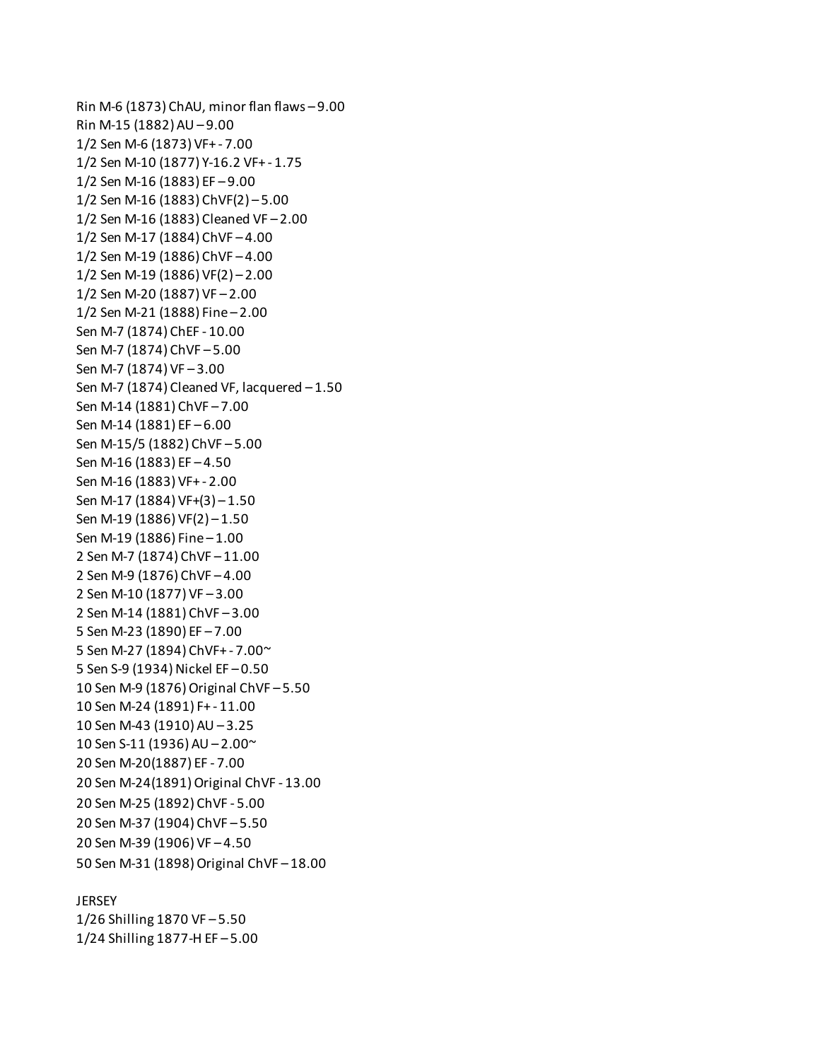Rin M-6 (1873) ChAU, minor flan flaws – 9.00 Rin M-15 (1882) AU – 9.00 1/2 Sen M-6 (1873) VF+ - 7.00 1/2 Sen M-10 (1877) Y-16.2 VF+ - 1.75 1/2 Sen M-16 (1883) EF – 9.00 1/2 Sen M-16 (1883) ChVF(2) – 5.00 1/2 Sen M-16 (1883) Cleaned VF – 2.00 1/2 Sen M-17 (1884) ChVF – 4.00 1/2 Sen M-19 (1886) ChVF – 4.00 1/2 Sen M-19 (1886) VF(2) – 2.00 1/2 Sen M-20 (1887) VF – 2.00 1/2 Sen M-21 (1888) Fine – 2.00 Sen M-7 (1874) ChEF - 10.00 Sen M-7 (1874) ChVF – 5.00 Sen M-7 (1874) VF – 3.00 Sen M-7 (1874) Cleaned VF, lacquered – 1.50 Sen M-14 (1881) ChVF – 7.00 Sen M-14 (1881) EF – 6.00 Sen M-15/5 (1882) ChVF – 5.00 Sen M-16 (1883) EF – 4.50 Sen M-16 (1883) VF+ - 2.00 Sen M-17 (1884) VF+(3) - 1.50 Sen M-19 (1886) VF(2) – 1.50 Sen M-19 (1886) Fine – 1.00 2 Sen M-7 (1874) ChVF – 11.00 2 Sen M-9 (1876) ChVF – 4.00 2 Sen M-10 (1877) VF – 3.00 2 Sen M-14 (1881) ChVF – 3.00 5 Sen M-23 (1890) EF – 7.00 5 Sen M-27 (1894) ChVF+ - 7.00~ 5 Sen S-9 (1934) Nickel EF – 0.50 10 Sen M-9 (1876) Original ChVF – 5.50 10 Sen M-24 (1891) F+ - 11.00 10 Sen M-43 (1910) AU – 3.25 10 Sen S-11 (1936) AU – 2.00~ 20 Sen M-20(1887) EF - 7.00 20 Sen M-24(1891) Original ChVF - 13.00 20 Sen M-25 (1892) ChVF - 5.00 20 Sen M-37 (1904) ChVF – 5.50 20 Sen M-39 (1906) VF – 4.50 50 Sen M-31 (1898) Original ChVF – 18.00

## **JERSEY**

1/26 Shilling 1870 VF – 5.50 1/24 Shilling 1877-H EF – 5.00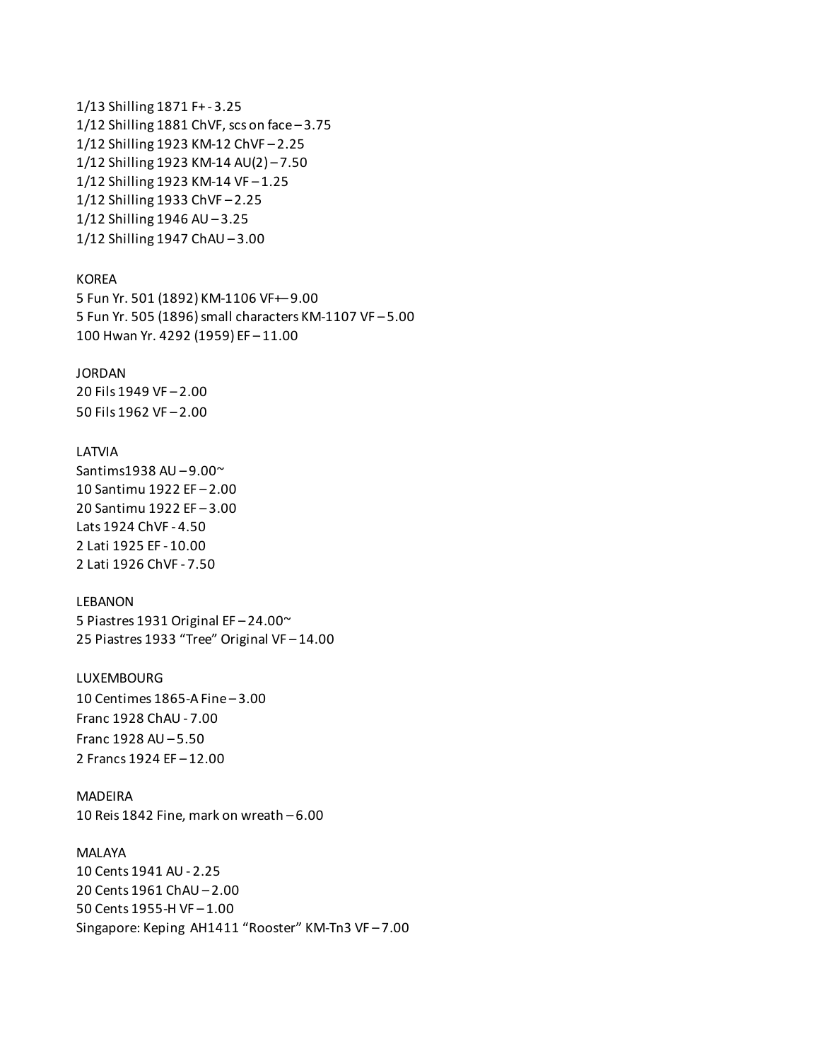1/13 Shilling 1871 F+ - 3.25 1/12 Shilling 1881 ChVF, scs on face – 3.75 1/12 Shilling 1923 KM-12 ChVF – 2.25 1/12 Shilling 1923 KM-14 AU(2) – 7.50 1/12 Shilling 1923 KM-14 VF – 1.25 1/12 Shilling 1933 ChVF – 2.25 1/12 Shilling 1946 AU – 3.25 1/12 Shilling 1947 ChAU – 3.00

## KOREA

5 Fun Yr. 501 (1892) KM-1106 VF+– 9.00 5 Fun Yr. 505 (1896) small characters KM-1107 VF – 5.00 100 Hwan Yr. 4292 (1959) EF – 11.00

#### **JORDAN**

20 Fils 1949 VF – 2.00 50 Fils 1962 VF – 2.00

#### LATVIA

Santims1938 AU – 9.00~ 10 Santimu 1922 EF – 2.00 20 Santimu 1922 EF – 3.00 Lats 1924 ChVF - 4.50 2 Lati 1925 EF - 10.00 2 Lati 1926 ChVF - 7.50

#### LEBANON

5 Piastres 1931 Original EF – 24.00~ 25 Piastres 1933 "Tree" Original VF – 14.00

#### LUXEMBOURG

10 Centimes 1865-A Fine – 3.00 Franc 1928 ChAU - 7.00 Franc 1928 AU – 5.50 2 Francs 1924 EF – 12.00

# MADEIRA

10 Reis 1842 Fine, mark on wreath – 6.00

#### MALAYA

10 Cents 1941 AU - 2.25 20 Cents 1961 ChAU – 2.00 50 Cents 1955-H VF – 1.00 Singapore: Keping AH1411 "Rooster" KM-Tn3 VF – 7.00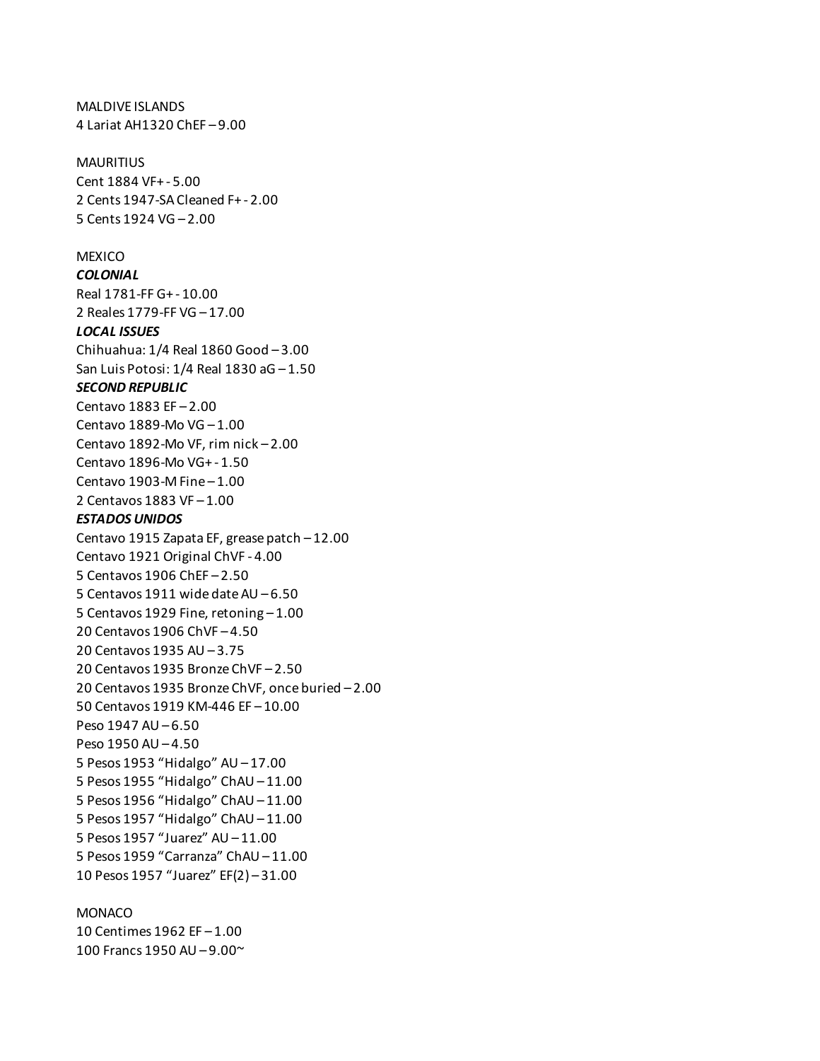MALDIVE ISLANDS 4 Lariat AH1320 ChEF – 9.00 **MAURITIUS** Cent 1884 VF+ - 5.00 2 Cents 1947-SA Cleaned F+ - 2.00 5 Cents 1924 VG – 2.00 **MEXICO** *COLONIAL* Real 1781-FF G+ - 10.00 2 Reales 1779-FF VG – 17.00 *LOCAL ISSUES* Chihuahua: 1/4 Real 1860 Good – 3.00 San Luis Potosi: 1/4 Real 1830 aG – 1.50 *SECOND REPUBLIC*  Centavo 1883 EF – 2.00 Centavo 1889-Mo VG – 1.00 Centavo 1892-Mo VF, rim nick – 2.00 Centavo 1896-Mo VG+ - 1.50 Centavo 1903-M Fine – 1.00 2 Centavos 1883 VF – 1.00 *ESTADOS UNIDOS* Centavo 1915 Zapata EF, grease patch – 12.00 Centavo 1921 Original ChVF - 4.00 5 Centavos 1906 ChEF – 2.50 5 Centavos 1911 wide date AU – 6.50 5 Centavos 1929 Fine, retoning – 1.00 20 Centavos 1906 ChVF – 4.50 20 Centavos 1935 AU – 3.75 20 Centavos 1935 Bronze ChVF – 2.50 20 Centavos 1935 Bronze ChVF, once buried – 2.00 50 Centavos 1919 KM-446 EF – 10.00 Peso 1947 AU – 6.50 Peso 1950 AU – 4.50 5 Pesos 1953 "Hidalgo" AU – 17.00 5 Pesos 1955 "Hidalgo" ChAU – 11.00 5 Pesos 1956 "Hidalgo" ChAU – 11.00 5 Pesos 1957 "Hidalgo" ChAU – 11.00 5 Pesos 1957 "Juarez" AU – 11.00 5 Pesos 1959 "Carranza" ChAU – 11.00 10 Pesos 1957 "Juarez" EF(2) – 31.00

MONACO 10 Centimes 1962 EF – 1.00 100 Francs 1950 AU – 9.00~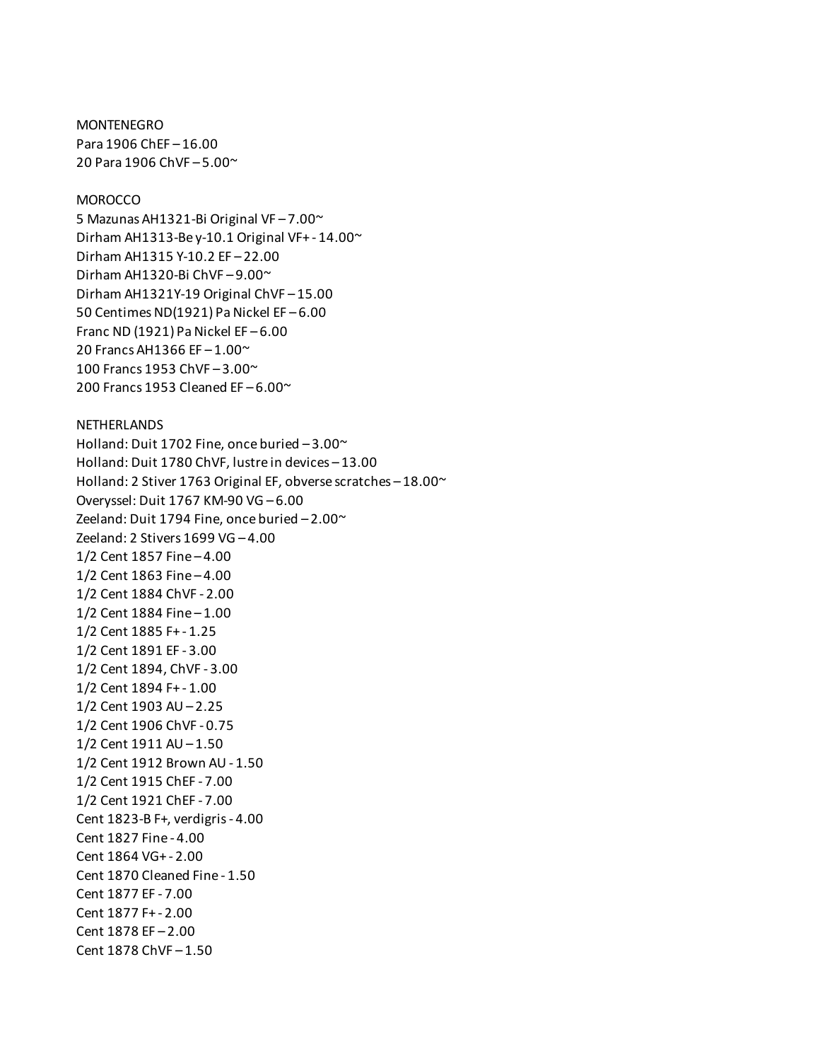MONTENEGRO Para 1906 ChEF – 16.00 20 Para 1906 ChVF – 5.00~

#### MOROCCO

5 Mazunas AH1321-Bi Original VF – 7.00~ Dirham AH1313-Be y-10.1 Original VF+ - 14.00~ Dirham AH1315 Y-10.2 EF – 22.00 Dirham AH1320-Bi ChVF – 9.00~ Dirham AH1321Y-19 Original ChVF – 15.00 50 Centimes ND(1921) Pa Nickel EF – 6.00 Franc ND (1921) Pa Nickel EF – 6.00 20 Francs AH1366 EF – 1.00~ 100 Francs 1953 ChVF – 3.00~ 200 Francs 1953 Cleaned EF $-6.00\text{°}$ 

#### NETHERLANDS

Holland: Duit 1702 Fine, once buried – 3.00~ Holland: Duit 1780 ChVF, lustre in devices – 13.00 Holland: 2 Stiver 1763 Original EF, obverse scratches – 18.00~ Overyssel: Duit 1767 KM-90 VG – 6.00 Zeeland: Duit 1794 Fine, once buried – 2.00~ Zeeland: 2 Stivers 1699 VG – 4.00 1/2 Cent 1857 Fine – 4.00 1/2 Cent 1863 Fine – 4.00 1/2 Cent 1884 ChVF - 2.00 1/2 Cent 1884 Fine – 1.00 1/2 Cent 1885 F+ - 1.25 1/2 Cent 1891 EF - 3.00 1/2 Cent 1894, ChVF - 3.00 1/2 Cent 1894 F+ - 1.00 1/2 Cent 1903 AU – 2.25 1/2 Cent 1906 ChVF - 0.75 1/2 Cent 1911 AU – 1.50 1/2 Cent 1912 Brown AU - 1.50 1/2 Cent 1915 ChEF - 7.00 1/2 Cent 1921 ChEF - 7.00 Cent 1823-B F+, verdigris - 4.00 Cent 1827 Fine - 4.00 Cent 1864 VG+ - 2.00 Cent 1870 Cleaned Fine - 1.50 Cent 1877 EF - 7.00 Cent 1877 F+ - 2.00 Cent 1878 EF – 2.00 Cent 1878 ChVF – 1.50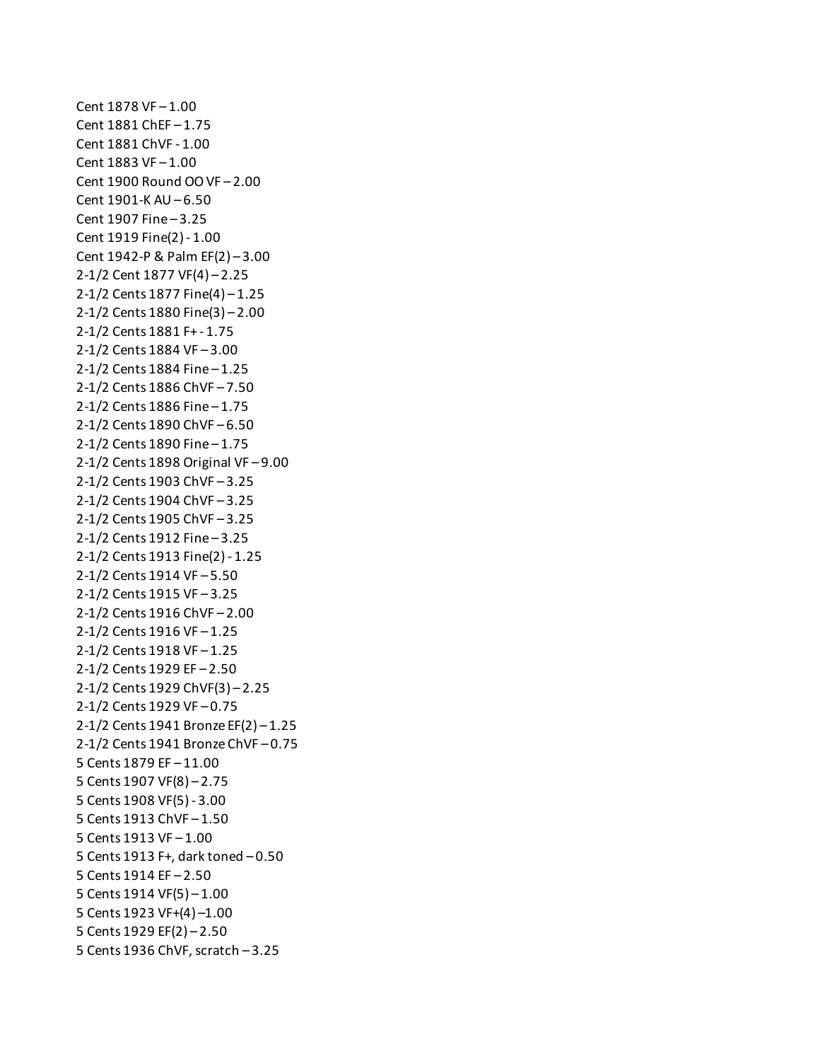Cent 1878 VF – 1.00 Cent 1881 ChEF – 1.75 Cent 1881 ChVF - 1.00 Cent 1883 VF – 1.00 Cent 1900 Round OO VF – 2.00 Cent 1901-K AU – 6.50 Cent 1907 Fine – 3.25 Cent 1919 Fine(2) - 1.00 Cent 1942-P & Palm EF(2) – 3.00 2-1/2 Cent 1877 VF(4) – 2.25 2-1/2 Cents 1877 Fine(4) – 1.25 2-1/2 Cents 1880 Fine(3) – 2.00 2-1/2 Cents 1881 F+ - 1.75 2-1/2 Cents 1884 VF – 3.00 2-1/2 Cents 1884 Fine – 1.25 2-1/2 Cents 1886 ChVF – 7.50 2-1/2 Cents 1886 Fine – 1.75 2-1/2 Cents 1890 ChVF – 6.50 2-1/2 Cents 1890 Fine – 1.75 2-1/2 Cents 1898 Original VF – 9.00 2-1/2 Cents 1903 ChVF – 3.25 2-1/2 Cents 1904 ChVF – 3.25 2-1/2 Cents 1905 ChVF – 3.25 2-1/2 Cents 1912 Fine – 3.25 2-1/2 Cents 1913 Fine(2) - 1.25 2-1/2 Cents 1914 VF – 5.50 2-1/2 Cents 1915 VF – 3.25 2-1/2 Cents 1916 ChVF – 2.00 2-1/2 Cents 1916 VF – 1.25 2-1/2 Cents 1918 VF – 1.25 2-1/2 Cents 1929 EF – 2.50 2-1/2 Cents 1929 ChVF(3) – 2.25 2-1/2 Cents 1929 VF – 0.75 2-1/2 Cents 1941 Bronze EF(2) – 1.25 2-1/2 Cents 1941 Bronze ChVF – 0.75 5 Cents 1879 EF – 11.00 5 Cents 1907 VF(8) – 2.75 5 Cents 1908 VF(5) - 3.00 5 Cents 1913 ChVF – 1.50 5 Cents 1913 VF – 1.00 5 Cents 1913 F+, dark toned – 0.50 5 Cents 1914 EF – 2.50 5 Cents 1914 VF(5) – 1.00 5 Cents 1923 VF+(4) –1.00 5 Cents 1929 EF(2) – 2.50 5 Cents 1936 ChVF, scratch – 3.25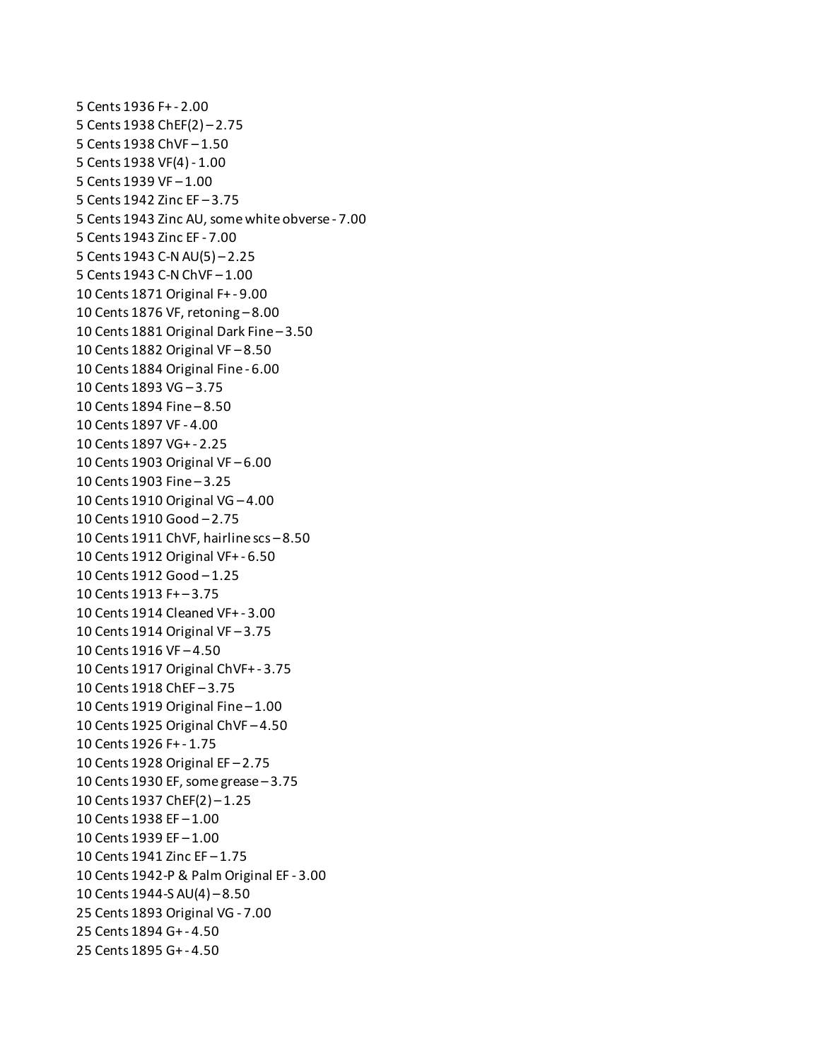5 Cents 1936 F+ - 2.00 5 Cents 1938 ChEF(2) – 2.75 5 Cents 1938 ChVF – 1.50 5 Cents 1938 VF(4) - 1.00 5 Cents 1939 VF – 1.00 5 Cents 1942 Zinc EF – 3.75 5 Cents 1943 Zinc AU, some white obverse - 7.00 5 Cents 1943 Zinc EF - 7.00 5 Cents 1943 C-N AU(5) – 2.25 5 Cents 1943 C-N ChVF – 1.00 10 Cents 1871 Original F+ - 9.00 10 Cents 1876 VF, retoning – 8.00 10 Cents 1881 Original Dark Fine – 3.50 10 Cents 1882 Original VF – 8.50 10 Cents 1884 Original Fine - 6.00 10 Cents 1893 VG – 3.75 10 Cents 1894 Fine – 8.50 10 Cents 1897 VF - 4.00 10 Cents 1897 VG+ - 2.25 10 Cents 1903 Original VF – 6.00 10 Cents 1903 Fine – 3.25 10 Cents 1910 Original VG – 4.00 10 Cents 1910 Good – 2.75 10 Cents 1911 ChVF, hairline scs – 8.50 10 Cents 1912 Original VF+ - 6.50 10 Cents 1912 Good – 1.25 10 Cents 1913 F+ – 3.75 10 Cents 1914 Cleaned VF+ - 3.00 10 Cents 1914 Original VF – 3.75 10 Cents 1916 VF – 4.50 10 Cents 1917 Original ChVF+ - 3.75 10 Cents 1918 ChEF – 3.75 10 Cents 1919 Original Fine – 1.00 10 Cents 1925 Original ChVF – 4.50 10 Cents 1926 F+ - 1.75 10 Cents 1928 Original EF – 2.75 10 Cents 1930 EF, some grease – 3.75 10 Cents 1937 ChEF(2) – 1.25 10 Cents 1938 EF – 1.00 10 Cents 1939 EF – 1.00 10 Cents 1941 Zinc EF – 1.75 10 Cents 1942-P & Palm Original EF - 3.00 10 Cents 1944-S AU(4) – 8.50 25 Cents 1893 Original VG - 7.00 25 Cents 1894 G+ - 4.50 25 Cents 1895 G+ - 4.50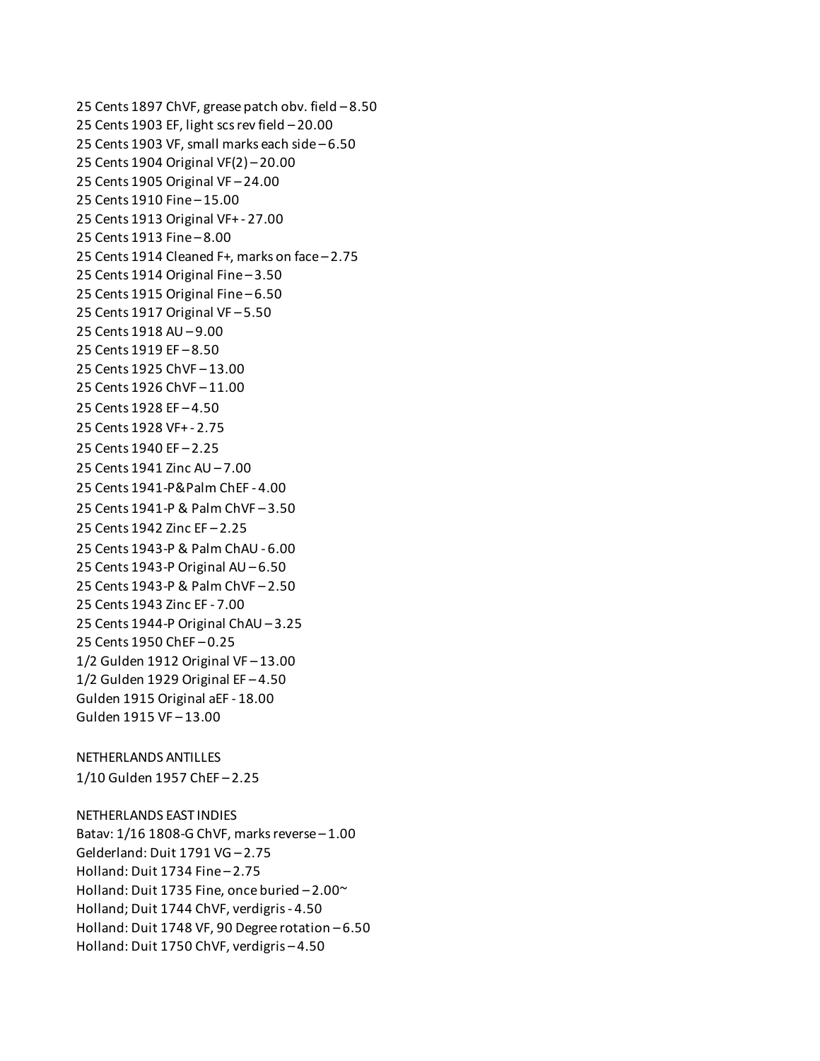25 Cents 1897 ChVF, grease patch obv. field – 8.50 25 Cents 1903 EF, light scs rev field – 20.00 25 Cents 1903 VF, small marks each side – 6.50 25 Cents 1904 Original VF(2) – 20.00 25 Cents 1905 Original VF – 24.00 25 Cents 1910 Fine – 15.00 25 Cents 1913 Original VF+ - 27.00 25 Cents 1913 Fine – 8.00 25 Cents 1914 Cleaned F+, marks on face – 2.75 25 Cents 1914 Original Fine – 3.50 25 Cents 1915 Original Fine – 6.50 25 Cents 1917 Original VF – 5.50 25 Cents 1918 AU – 9.00 25 Cents 1919 EF – 8.50 25 Cents 1925 ChVF – 13.00 25 Cents 1926 ChVF – 11.00 25 Cents 1928 EF – 4.50 25 Cents 1928 VF+ - 2.75 25 Cents 1940 EF – 2.25 25 Cents 1941 Zinc AU – 7.00 25 Cents 1941-P&Palm ChEF - 4.00 25 Cents 1941-P & Palm ChVF – 3.50 25 Cents 1942 Zinc EF – 2.25 25 Cents 1943-P & Palm ChAU - 6.00 25 Cents 1943-P Original AU – 6.50 25 Cents 1943-P & Palm ChVF – 2.50 25 Cents 1943 Zinc EF - 7.00 25 Cents 1944-P Original ChAU – 3.25 25 Cents 1950 ChEF – 0.25 1/2 Gulden 1912 Original VF – 13.00 1/2 Gulden 1929 Original EF – 4.50 Gulden 1915 Original aEF - 18.00 Gulden 1915 VF – 13.00 NETHERLANDS ANTILLES

1/10 Gulden 1957 ChEF – 2.25

NETHERLANDS EAST INDIES Batav: 1/16 1808-G ChVF, marks reverse – 1.00 Gelderland: Duit 1791 VG – 2.75 Holland: Duit 1734 Fine – 2.75 Holland: Duit 1735 Fine, once buried – 2.00~ Holland; Duit 1744 ChVF, verdigris - 4.50 Holland: Duit 1748 VF, 90 Degree rotation – 6.50 Holland: Duit 1750 ChVF, verdigris – 4.50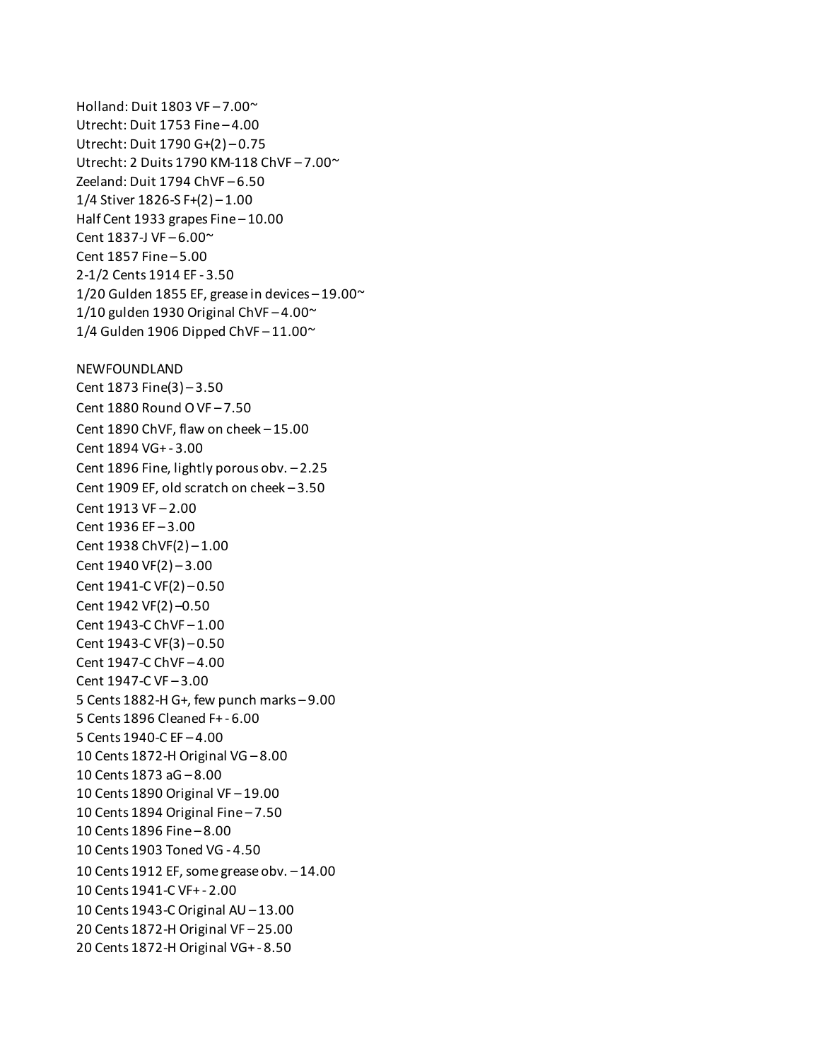Holland: Duit 1803 VF – 7.00~ Utrecht: Duit 1753 Fine – 4.00 Utrecht: Duit 1790 G+(2) – 0.75 Utrecht: 2 Duits 1790 KM-118 ChVF – 7.00~ Zeeland: Duit 1794 ChVF – 6.50 1/4 Stiver 1826-S F+ $(2)$  – 1.00 Half Cent 1933 grapes Fine – 10.00 Cent 1837-J VF $-6.00$ <sup>~</sup> Cent 1857 Fine – 5.00 2-1/2 Cents 1914 EF - 3.50 1/20 Gulden 1855 EF, grease in devices  $-19.00^{\circ}$ 1/10 gulden 1930 Original ChVF $-4.00<sup>o</sup>$ 1/4 Gulden 1906 Dipped ChVF $-11.00\text{°}$ NEWFOUNDLAND Cent 1873 Fine(3) – 3.50 Cent 1880 Round O VF – 7.50 Cent 1890 ChVF, flaw on cheek – 15.00 Cent 1894 VG+ - 3.00 Cent 1896 Fine, lightly porous obv. – 2.25 Cent 1909 EF, old scratch on cheek – 3.50 Cent 1913 VF – 2.00 Cent 1936 EF – 3.00 Cent 1938 ChVF(2) – 1.00 Cent 1940 VF(2) – 3.00 Cent 1941-C VF(2) – 0.50 Cent 1942 VF(2) –0.50 Cent 1943-C ChVF – 1.00 Cent 1943-C VF(3) – 0.50 Cent 1947-C ChVF – 4.00 Cent 1947-C VF – 3.00 5 Cents 1882-H G+, few punch marks – 9.00 5 Cents 1896 Cleaned F+ - 6.00 5 Cents 1940-C EF – 4.00 10 Cents 1872-H Original VG – 8.00 10 Cents 1873 aG – 8.00 10 Cents 1890 Original VF – 19.00 10 Cents 1894 Original Fine – 7.50 10 Cents 1896 Fine – 8.00 10 Cents 1903 Toned VG - 4.50 10 Cents 1912 EF, some grease obv. – 14.00 10 Cents 1941-C VF+ - 2.00 10 Cents 1943-C Original AU – 13.00 20 Cents 1872-H Original VF – 25.00 20 Cents 1872-H Original VG+ - 8.50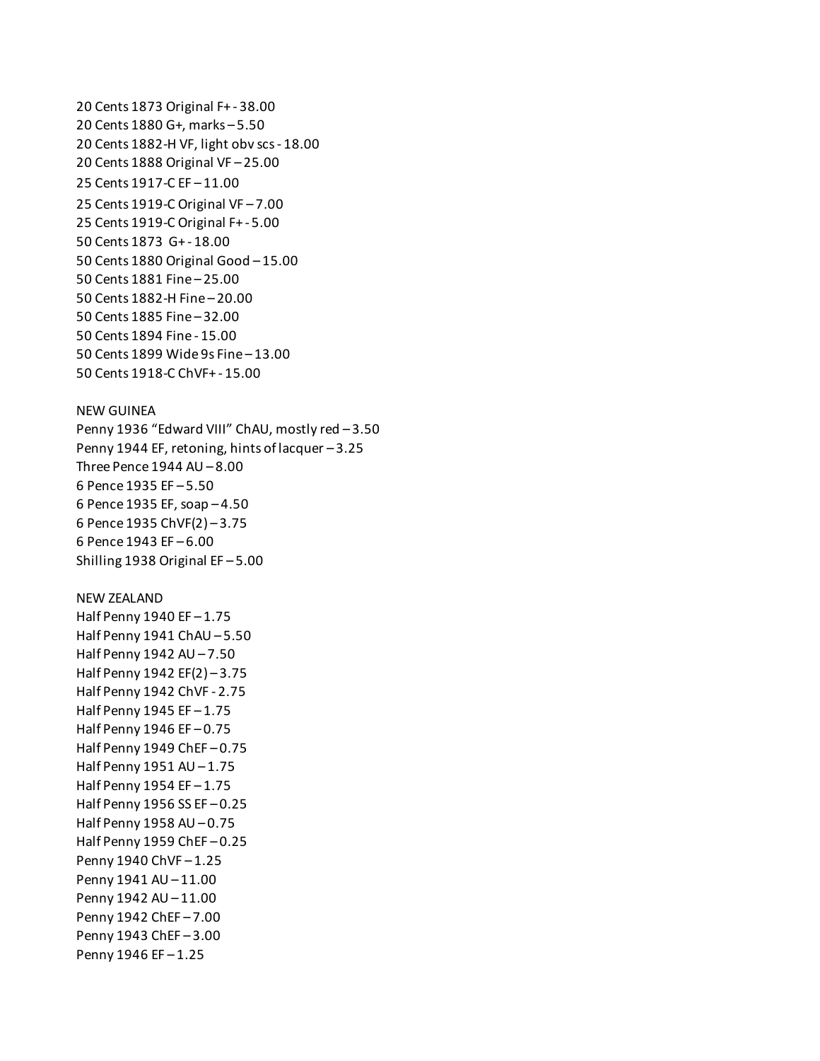20 Cents 1873 Original F+ - 38.00 20 Cents 1880 G+, marks – 5.50 20 Cents 1882-H VF, light obv scs - 18.00 20 Cents 1888 Original VF – 25.00 25 Cents 1917-C EF – 11.00 25 Cents 1919-C Original VF – 7.00 25 Cents 1919-C Original F+ - 5.00 50 Cents 1873 G+ - 18.00 50 Cents 1880 Original Good – 15.00 50 Cents 1881 Fine – 25.00 50 Cents 1882-H Fine – 20.00 50 Cents 1885 Fine – 32.00 50 Cents 1894 Fine - 15.00 50 Cents 1899 Wide 9s Fine – 13.00 50 Cents 1918-C ChVF+ - 15.00

#### NEW GUINEA

Penny 1936 "Edward VIII" ChAU, mostly red – 3.50 Penny 1944 EF, retoning, hints of lacquer – 3.25 Three Pence 1944 AU – 8.00 6 Pence 1935 EF – 5.50 6 Pence 1935 EF, soap – 4.50 6 Pence 1935 ChVF(2) – 3.75 6 Pence 1943 EF – 6.00 Shilling 1938 Original EF – 5.00

#### NEW ZEALAND

Half Penny 1940 EF – 1.75 Half Penny 1941 ChAU – 5.50 Half Penny 1942 AU – 7.50 Half Penny 1942 EF(2) – 3.75 Half Penny 1942 ChVF - 2.75 Half Penny 1945 EF – 1.75 Half Penny 1946 EF – 0.75 Half Penny 1949 ChEF – 0.75 Half Penny 1951 AU – 1.75 Half Penny 1954 EF – 1.75 Half Penny 1956 SS EF – 0.25 Half Penny 1958 AU – 0.75 Half Penny 1959 ChEF – 0.25 Penny 1940 ChVF – 1.25 Penny 1941 AU – 11.00 Penny 1942 AU – 11.00 Penny 1942 ChEF – 7.00 Penny 1943 ChEF – 3.00 Penny 1946 EF – 1.25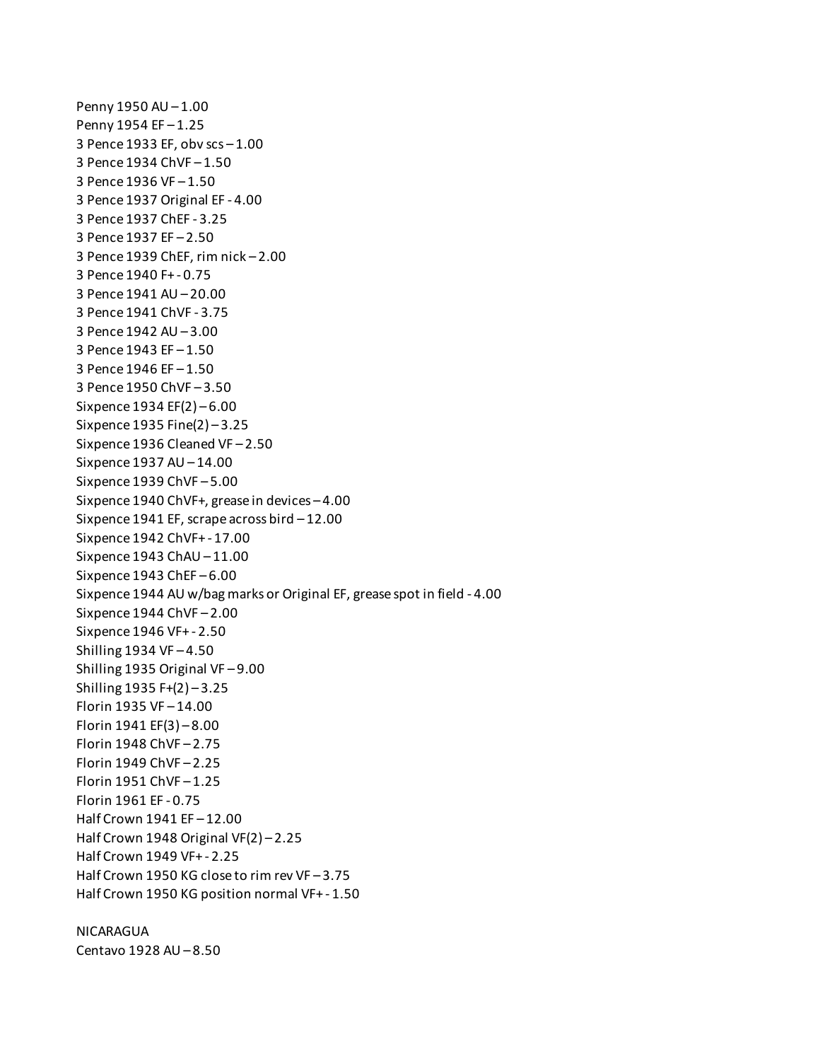Penny 1950 AU – 1.00 Penny 1954 EF – 1.25 3 Pence 1933 EF, obv scs – 1.00 3 Pence 1934 ChVF – 1.50 3 Pence 1936 VF – 1.50 3 Pence 1937 Original EF - 4.00 3 Pence 1937 ChEF - 3.25 3 Pence 1937 EF – 2.50 3 Pence 1939 ChEF, rim nick – 2.00 3 Pence 1940 F+ - 0.75 3 Pence 1941 AU – 20.00 3 Pence 1941 ChVF - 3.75 3 Pence 1942 AU – 3.00 3 Pence 1943 EF – 1.50 3 Pence 1946 EF – 1.50 3 Pence 1950 ChVF – 3.50 Sixpence 1934 EF(2) – 6.00 Sixpence 1935 Fine(2) – 3.25 Sixpence 1936 Cleaned VF – 2.50 Sixpence 1937 AU – 14.00 Sixpence 1939 ChVF – 5.00 Sixpence 1940 ChVF+, grease in devices – 4.00 Sixpence 1941 EF, scrape across bird – 12.00 Sixpence 1942 ChVF+ - 17.00 Sixpence 1943 ChAU – 11.00 Sixpence 1943 ChEF – 6.00 Sixpence 1944 AU w/bag marks or Original EF, grease spot in field - 4.00 Sixpence 1944 ChVF – 2.00 Sixpence 1946 VF+ - 2.50 Shilling 1934 VF – 4.50 Shilling 1935 Original VF – 9.00 Shilling 1935 F+(2) – 3.25 Florin 1935 VF – 14.00 Florin 1941 EF(3) – 8.00 Florin 1948 ChVF – 2.75 Florin 1949 ChVF – 2.25 Florin 1951 ChVF – 1.25 Florin 1961 EF - 0.75 Half Crown 1941 EF – 12.00 Half Crown 1948 Original VF(2) – 2.25 Half Crown 1949 VF+ - 2.25 Half Crown 1950 KG close to rim rev VF – 3.75 Half Crown 1950 KG position normal VF+ - 1.50

**NICARAGUA** Centavo 1928 AU – 8.50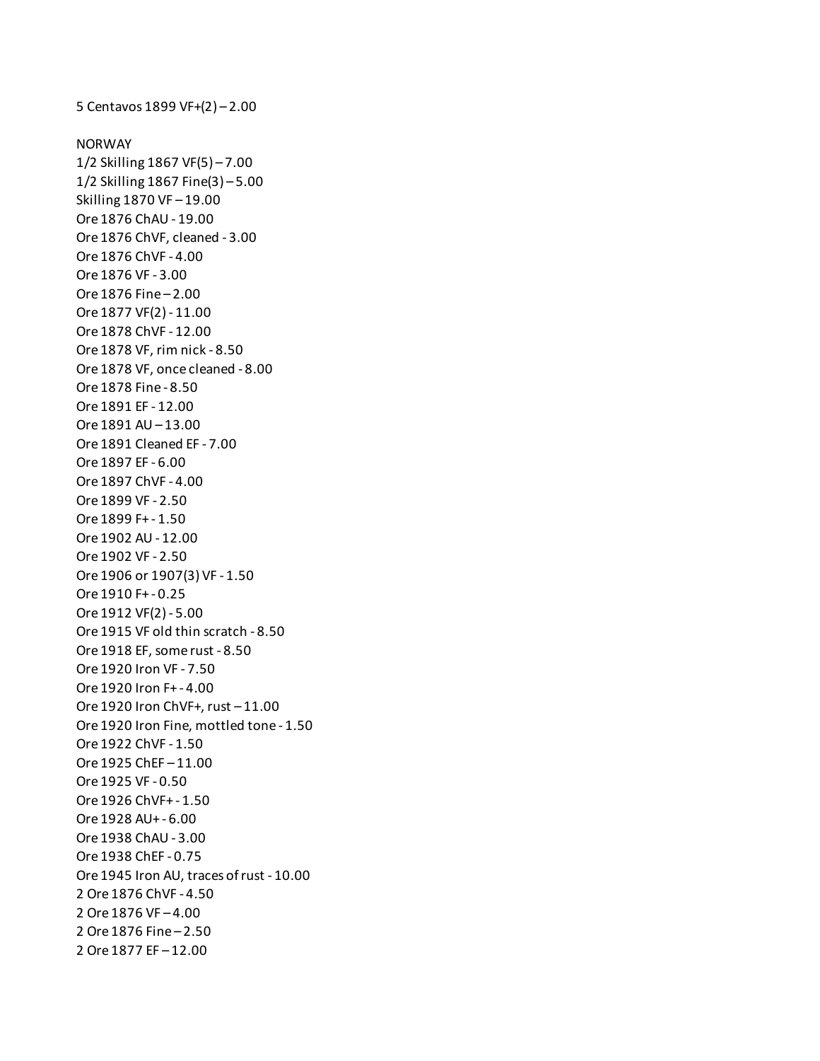5 Centavos 1899 VF+(2) – 2.00

#### NORWAY

1/2 Skilling 1867 VF(5) – 7.00 1/2 Skilling 1867 Fine(3) – 5.00 Skilling 1870 VF – 19.00 Ore 1876 ChAU - 19.00 Ore 1876 ChVF, cleaned - 3.00 Ore 1876 ChVF - 4.00 Ore 1876 VF - 3.00 Ore 1876 Fine – 2.00 Ore 1877 VF(2) - 11.00 Ore 1878 ChVF - 12.00 Ore 1878 VF, rim nick - 8.50 Ore 1878 VF, once cleaned - 8.00 Ore 1878 Fine - 8.50 Ore 1891 EF - 12.00 Ore 1891 AU – 13.00 Ore 1891 Cleaned EF - 7.00 Ore 1897 EF - 6.00 Ore 1897 ChVF - 4.00 Ore 1899 VF - 2.50 Ore 1899 F+ - 1.50 Ore 1902 AU - 12.00 Ore 1902 VF - 2.50 Ore 1906 or 1907(3) VF - 1.50 Ore 1910 F+ - 0.25 Ore 1912 VF(2) - 5.00 Ore 1915 VF old thin scratch - 8.50 Ore 1918 EF, some rust - 8.50 Ore 1920 Iron VF - 7.50 Ore 1920 Iron F+ - 4.00 Ore 1920 Iron ChVF+, rust – 11.00 Ore 1920 Iron Fine, mottled tone - 1.50 Ore 1922 ChVF - 1.50 Ore 1925 ChEF – 11.00 Ore 1925 VF - 0.50 Ore 1926 ChVF+ - 1.50 Ore 1928 AU+ - 6.00 Ore 1938 ChAU - 3.00 Ore 1938 ChEF - 0.75 Ore 1945 Iron AU, traces of rust - 10.00 2 Ore 1876 ChVF - 4.50 2 Ore 1876 VF – 4.00 2 Ore 1876 Fine – 2.50 2 Ore 1877 EF – 12.00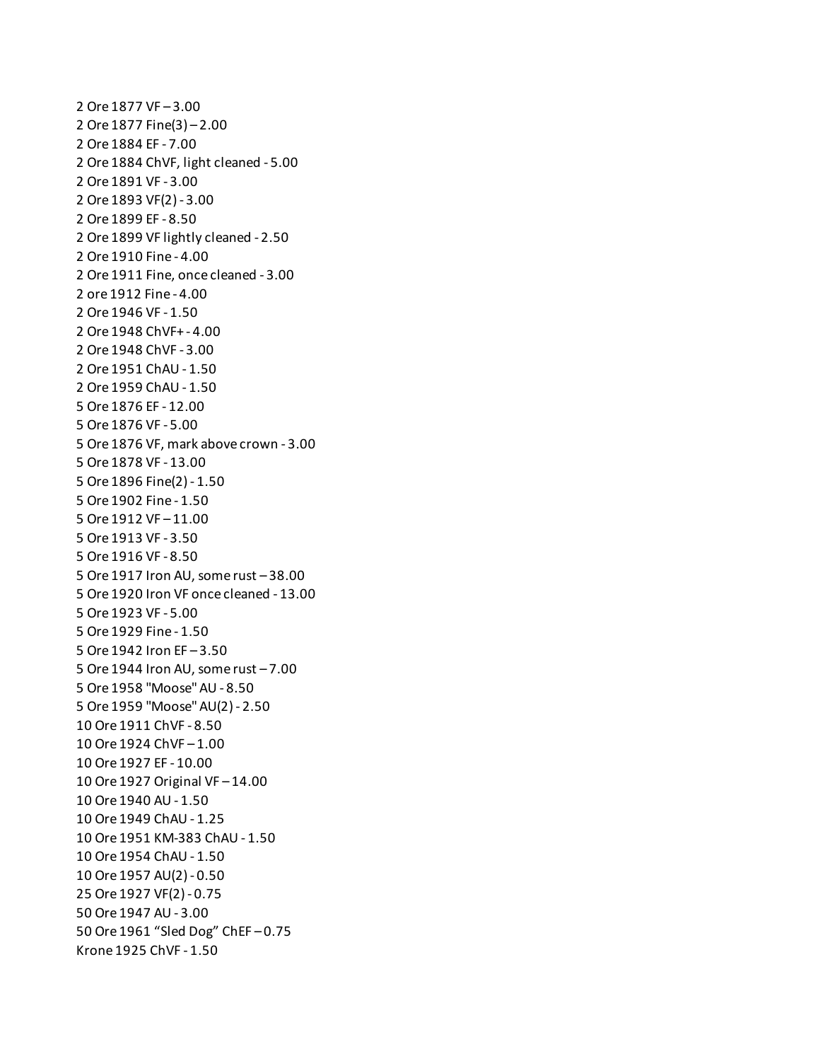2 Ore 1877 VF – 3.00 2 Ore 1877 Fine(3) – 2.00 2 Ore 1884 EF - 7.00 2 Ore 1884 ChVF, light cleaned - 5.00 2 Ore 1891 VF - 3.00 2 Ore 1893 VF(2) - 3.00 2 Ore 1899 EF - 8.50 2 Ore 1899 VF lightly cleaned - 2.50 2 Ore 1910 Fine - 4.00 2 Ore 1911 Fine, once cleaned - 3.00 2 ore 1912 Fine - 4.00 2 Ore 1946 VF - 1.50 2 Ore 1948 ChVF+ - 4.00 2 Ore 1948 ChVF - 3.00 2 Ore 1951 ChAU - 1.50 2 Ore 1959 ChAU - 1.50 5 Ore 1876 EF - 12.00 5 Ore 1876 VF - 5.00 5 Ore 1876 VF, mark above crown - 3.00 5 Ore 1878 VF - 13.00 5 Ore 1896 Fine(2) - 1.50 5 Ore 1902 Fine - 1.50 5 Ore 1912 VF – 11.00 5 Ore 1913 VF - 3.50 5 Ore 1916 VF - 8.50 5 Ore 1917 Iron AU, some rust – 38.00 5 Ore 1920 Iron VF once cleaned - 13.00 5 Ore 1923 VF - 5.00 5 Ore 1929 Fine - 1.50 5 Ore 1942 Iron EF – 3.50 5 Ore 1944 Iron AU, some rust – 7.00 5 Ore 1958 "Moose" AU - 8.50 5 Ore 1959 "Moose" AU(2) - 2.50 10 Ore 1911 ChVF - 8.50 10 Ore 1924 ChVF – 1.00 10 Ore 1927 EF - 10.00 10 Ore 1927 Original VF – 14.00 10 Ore 1940 AU - 1.50 10 Ore 1949 ChAU - 1.25 10 Ore 1951 KM-383 ChAU - 1.50 10 Ore 1954 ChAU - 1.50 10 Ore 1957 AU(2) - 0.50 25 Ore 1927 VF(2) - 0.75 50 Ore 1947 AU - 3.00 50 Ore 1961 "Sled Dog" ChEF – 0.75 Krone 1925 ChVF - 1.50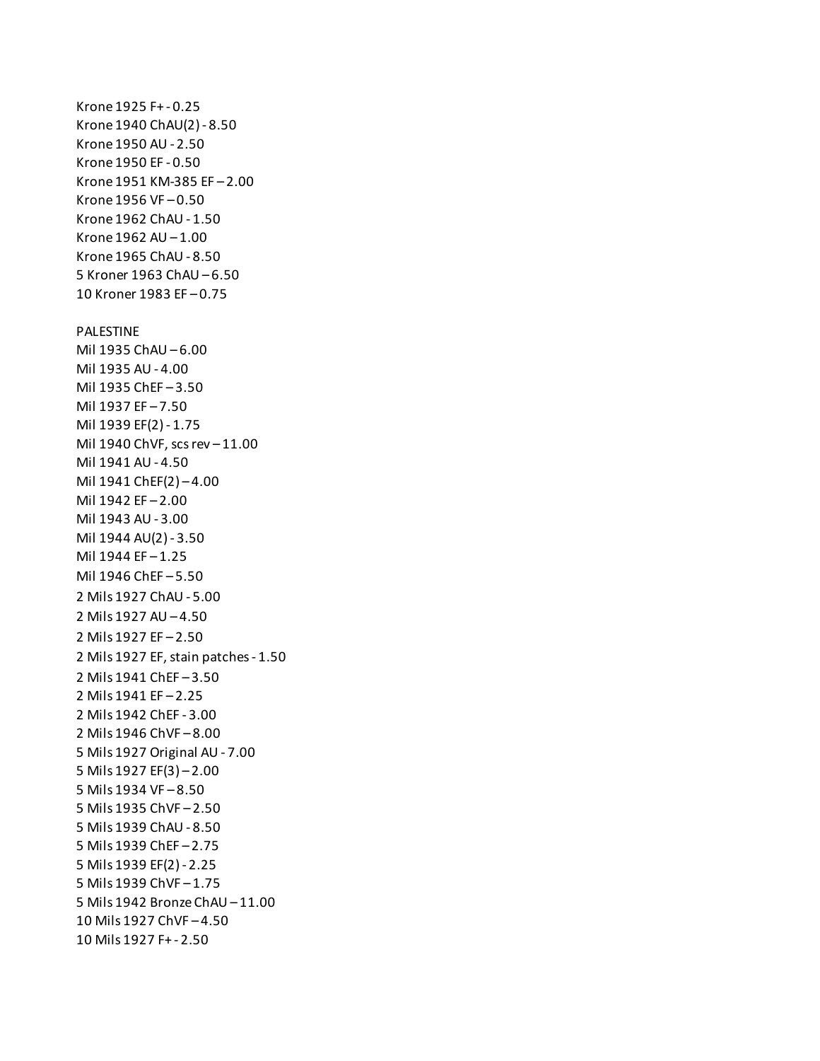Krone 1925 F+ - 0.25 Krone 1940 ChAU(2) - 8.50 Krone 1950 AU - 2.50 Krone 1950 EF - 0.50 Krone 1951 KM-385 EF – 2.00 Krone 1956 VF – 0.50 Krone 1962 ChAU - 1.50 Krone 1962 AU – 1.00 Krone 1965 ChAU - 8.50 5 Kroner 1963 ChAU – 6.50 10 Kroner 1983 EF – 0.75 PALESTINE Mil 1935 ChAU – 6.00 Mil 1935 AU - 4.00 Mil 1935 ChEF – 3.50 Mil 1937 EF – 7.50 Mil 1939 EF(2) - 1.75 Mil 1940 ChVF, scs rev – 11.00 Mil 1941 AU - 4.50 Mil 1941 ChEF(2) – 4.00 Mil 1942 EF – 2.00 Mil 1943 AU - 3.00 Mil 1944 AU(2) - 3.50 Mil 1944 EF – 1.25 Mil 1946 ChEF – 5.50 2 Mils 1927 ChAU - 5.00 2 Mils 1927 AU – 4.50 2 Mils 1927 EF – 2.50 2 Mils 1927 EF, stain patches - 1.50 2 Mils 1941 ChEF – 3.50 2 Mils 1941 EF – 2.25 2 Mils 1942 ChEF - 3.00 2 Mils 1946 ChVF – 8.00 5 Mils 1927 Original AU - 7.00 5 Mils 1927 EF(3) – 2.00 5 Mils 1934 VF – 8.50 5 Mils 1935 ChVF – 2.50 5 Mils 1939 ChAU - 8.50 5 Mils 1939 ChEF – 2.75 5 Mils 1939 EF(2) - 2.25 5 Mils 1939 ChVF – 1.75 5 Mils 1942 Bronze ChAU – 11.00 10 Mils 1927 ChVF – 4.50 10 Mils 1927 F+ - 2.50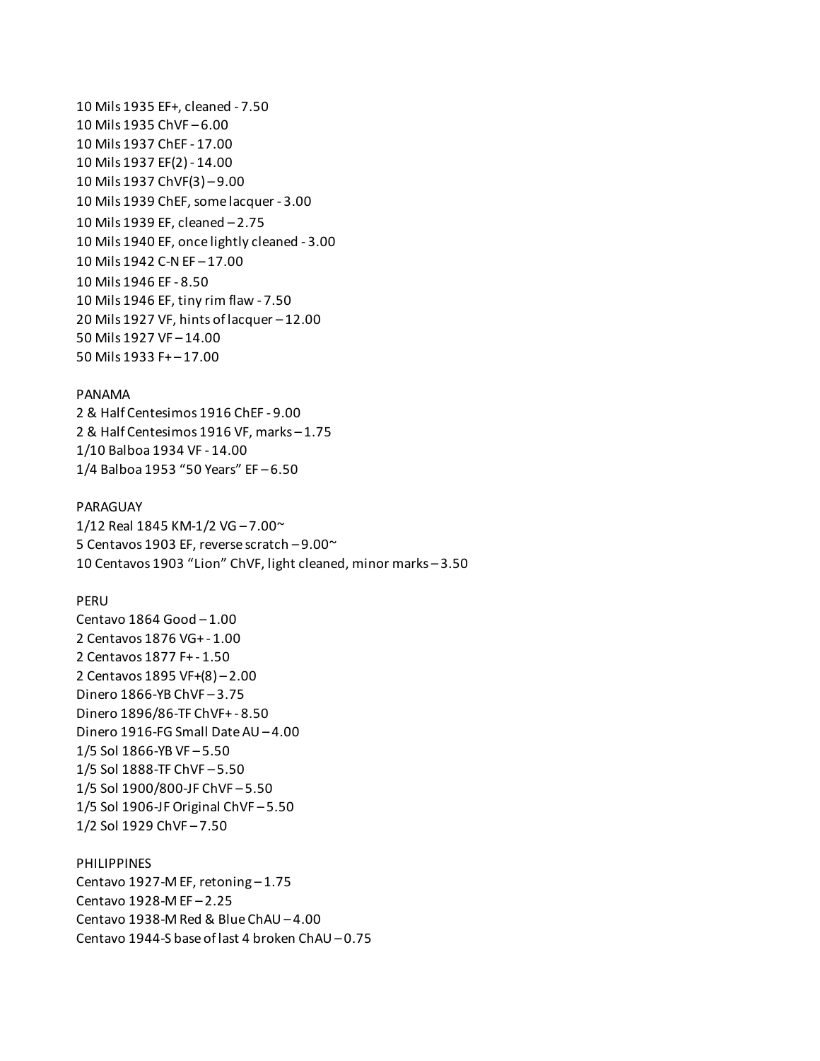10 Mils 1935 EF+, cleaned - 7.50 10 Mils 1935 ChVF – 6.00 10 Mils 1937 ChEF - 17.00 10 Mils 1937 EF(2) - 14.00 10 Mils 1937 ChVF(3) – 9.00 10 Mils 1939 ChEF, some lacquer - 3.00 10 Mils 1939 EF, cleaned – 2.75 10 Mils 1940 EF, once lightly cleaned - 3.00 10 Mils 1942 C-N EF – 17.00 10 Mils 1946 EF - 8.50 10 Mils 1946 EF, tiny rim flaw - 7.50 20 Mils 1927 VF, hints of lacquer – 12.00 50 Mils 1927 VF – 14.00 50 Mils 1933 F+ – 17.00

## PANAMA

2 & Half Centesimos 1916 ChEF - 9.00 2 & Half Centesimos 1916 VF, marks – 1.75 1/10 Balboa 1934 VF - 14.00 1/4 Balboa 1953 "50 Years" EF – 6.50

## PARAGUAY

1/12 Real 1845 KM-1/2 VG-7.00 $\degree$ 5 Centavos 1903 EF, reverse scratch – 9.00~ 10 Centavos 1903 "Lion" ChVF, light cleaned, minor marks – 3.50

#### PERU

Centavo  $1864$  Good  $-1.00$ 2 Centavos 1876 VG+ - 1.00 2 Centavos 1877 F+ - 1.50 2 Centavos 1895 VF+(8) – 2.00 Dinero 1866-YB ChVF – 3.75 Dinero 1896/86-TF ChVF+ - 8.50 Dinero 1916-FG Small Date AU – 4.00 1/5 Sol 1866-YB VF – 5.50 1/5 Sol 1888-TF ChVF – 5.50 1/5 Sol 1900/800-JF ChVF – 5.50 1/5 Sol 1906-JF Original ChVF – 5.50 1/2 Sol 1929 ChVF – 7.50

#### PHILIPPINES

Centavo 1927-M EF, retoning-1.75 Centavo 1928-M EF – 2.25 Centavo 1938-M Red & Blue ChAU – 4.00 Centavo 1944-S base of last 4 broken ChAU – 0.75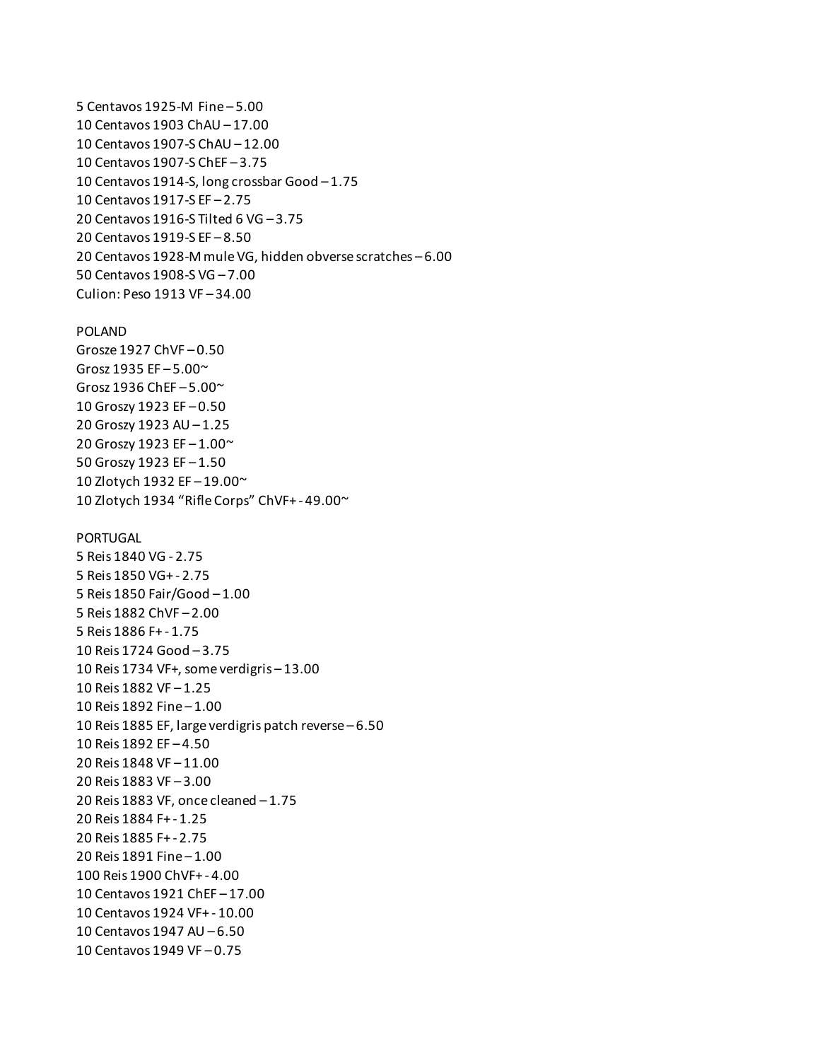5 Centavos 1925-M Fine – 5.00 10 Centavos 1903 ChAU – 17.00 10 Centavos 1907-S ChAU – 12.00 10 Centavos 1907-S ChEF – 3.75 10 Centavos 1914-S, long crossbar Good – 1.75 10 Centavos 1917-S EF – 2.75 20 Centavos 1916-S Tilted 6 VG – 3.75 20 Centavos 1919-S EF – 8.50 20 Centavos 1928-M mule VG, hidden obverse scratches – 6.00 50 Centavos 1908-S VG – 7.00 Culion: Peso 1913 VF – 34.00 POLAND Grosze 1927 ChVF – 0.50 Grosz 1935 EF – 5.00~ Grosz 1936 ChEF $-5.00$ <sup>~</sup> 10 Groszy 1923 EF – 0.50 20 Groszy 1923 AU – 1.25 20 Groszy 1923 EF – 1.00~ 50 Groszy 1923 EF – 1.50 10 Zlotych 1932 EF – 19.00~ 10 Zlotych 1934 "Rifle Corps" ChVF+ - 49.00~ PORTUGAL 5 Reis 1840 VG - 2.75 5 Reis 1850 VG+ - 2.75 5 Reis 1850 Fair/Good – 1.00 5 Reis 1882 ChVF – 2.00 5 Reis 1886 F+ - 1.75 10 Reis 1724 Good – 3.75 10 Reis 1734 VF+, some verdigris – 13.00 10 Reis 1882 VF – 1.25 10 Reis 1892 Fine – 1.00 10 Reis 1885 EF, large verdigris patch reverse – 6.50 10 Reis 1892 EF – 4.50 20 Reis 1848 VF – 11.00 20 Reis 1883 VF – 3.00 20 Reis 1883 VF, once cleaned – 1.75 20 Reis 1884 F+ - 1.25 20 Reis 1885 F+ - 2.75 20 Reis 1891 Fine – 1.00 100 Reis 1900 ChVF+ - 4.00 10 Centavos 1921 ChEF – 17.00 10 Centavos 1924 VF+ - 10.00 10 Centavos 1947 AU – 6.50 10 Centavos 1949 VF – 0.75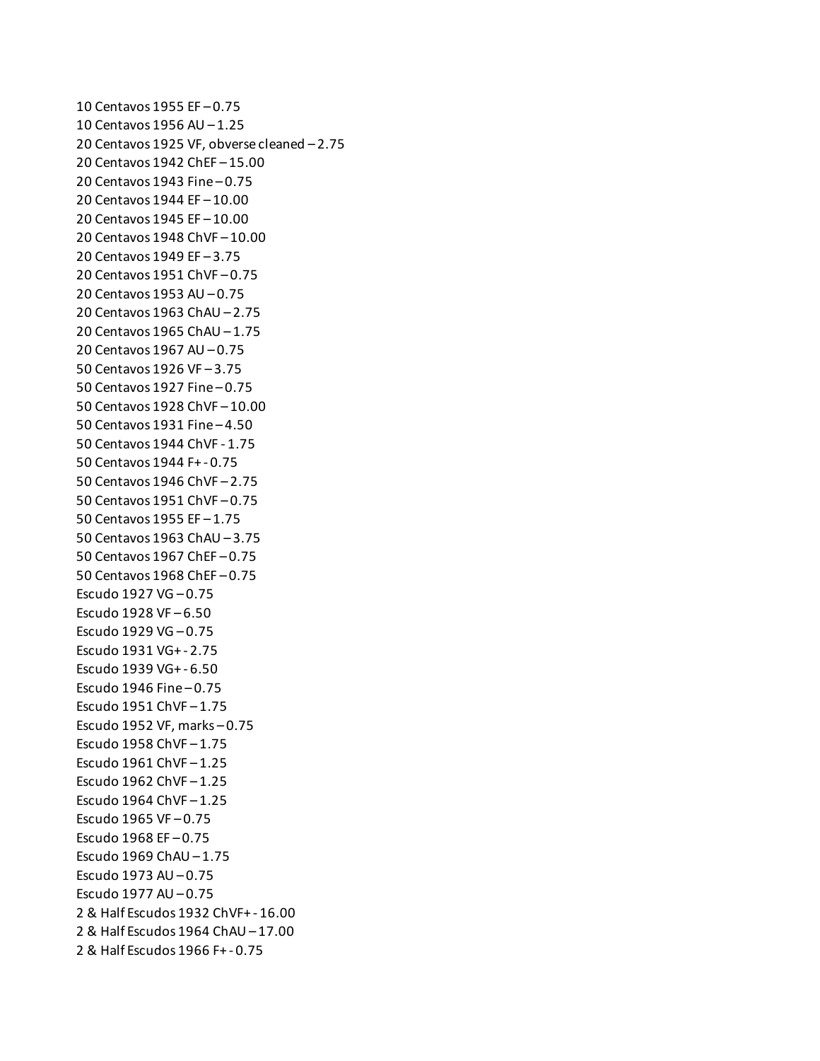10 Centavos 1955 EF – 0.75 10 Centavos 1956 AU – 1.25 20 Centavos 1925 VF, obverse cleaned – 2.75 20 Centavos 1942 ChEF – 15.00 20 Centavos 1943 Fine – 0.75 20 Centavos 1944 EF – 10.00 20 Centavos 1945 EF – 10.00 20 Centavos 1948 ChVF – 10.00 20 Centavos 1949 EF – 3.75 20 Centavos 1951 ChVF – 0.75 20 Centavos 1953 AU – 0.75 20 Centavos 1963 ChAU – 2.75 20 Centavos 1965 ChAU – 1.75 20 Centavos 1967 AU – 0.75 50 Centavos 1926 VF – 3.75 50 Centavos 1927 Fine – 0.75 50 Centavos 1928 ChVF – 10.00 50 Centavos 1931 Fine – 4.50 50 Centavos 1944 ChVF - 1.75 50 Centavos 1944 F+ - 0.75 50 Centavos 1946 ChVF – 2.75 50 Centavos 1951 ChVF – 0.75 50 Centavos 1955 EF – 1.75 50 Centavos 1963 ChAU – 3.75 50 Centavos 1967 ChEF – 0.75 50 Centavos 1968 ChEF – 0.75 Escudo 1927 VG – 0.75 Escudo 1928 VF – 6.50 Escudo 1929 VG – 0.75 Escudo 1931 VG+ - 2.75 Escudo 1939 VG+ - 6.50 Escudo 1946 Fine – 0.75 Escudo 1951 ChVF – 1.75 Escudo 1952 VF, marks – 0.75 Escudo 1958 ChVF – 1.75 Escudo 1961 ChVF – 1.25 Escudo 1962 ChVF – 1.25 Escudo 1964 ChVF – 1.25 Escudo 1965 VF – 0.75 Escudo 1968 EF – 0.75 Escudo 1969 ChAU – 1.75 Escudo 1973 AU – 0.75 Escudo 1977 AU – 0.75 2 & Half Escudos 1932 ChVF+ - 16.00 2 & Half Escudos 1964 ChAU – 17.00 2 & Half Escudos 1966 F+ - 0.75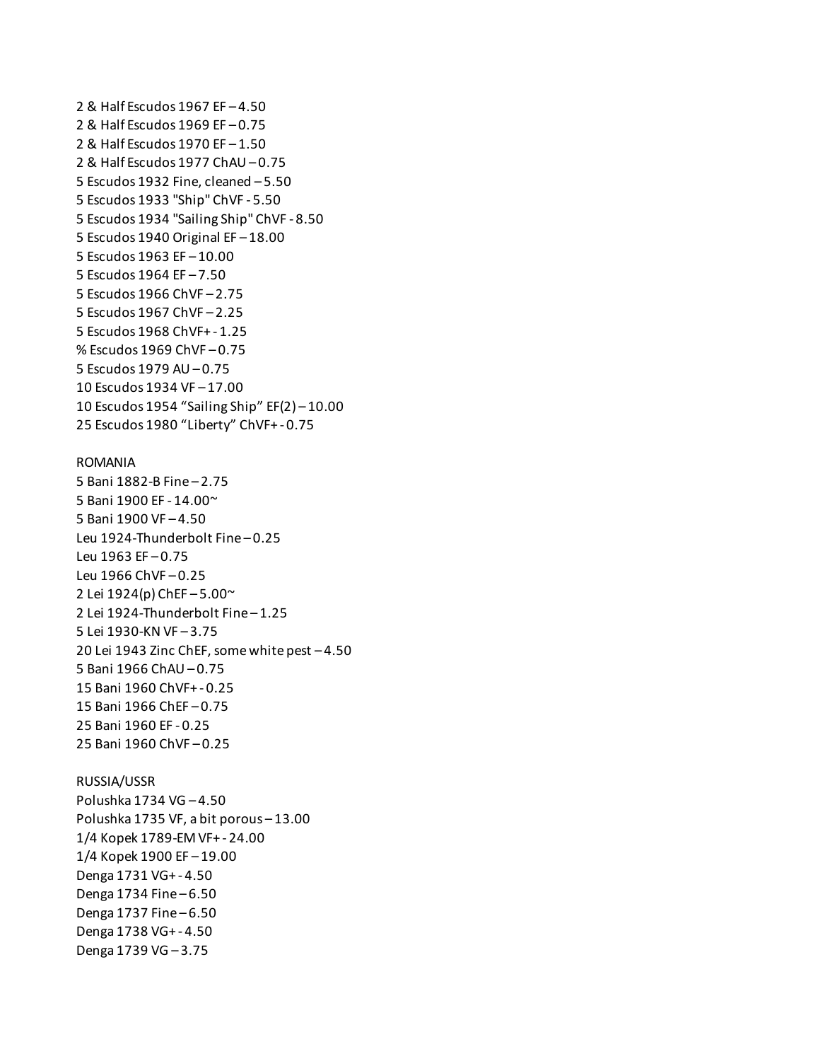2 & Half Escudos 1967 EF – 4.50 2 & Half Escudos 1969 EF – 0.75 2 & Half Escudos 1970 EF – 1.50 2 & Half Escudos 1977 ChAU – 0.75 5 Escudos 1932 Fine, cleaned – 5.50 5 Escudos 1933 "Ship" ChVF - 5.50 5 Escudos 1934 "Sailing Ship" ChVF - 8.50 5 Escudos 1940 Original EF – 18.00 5 Escudos 1963 EF – 10.00 5 Escudos 1964 EF – 7.50 5 Escudos 1966 ChVF – 2.75 5 Escudos 1967 ChVF – 2.25 5 Escudos 1968 ChVF+ - 1.25 % Escudos 1969 ChVF – 0.75 5 Escudos 1979 AU – 0.75 10 Escudos 1934 VF – 17.00 10 Escudos 1954 "Sailing Ship" EF(2) – 10.00 25 Escudos 1980 "Liberty" ChVF+ - 0.75 ROMANIA 5 Bani 1882-B Fine – 2.75 5 Bani 1900 EF - 14.00~ 5 Bani 1900 VF – 4.50 Leu 1924-Thunderbolt Fine – 0.25 Leu 1963 EF – 0.75 Leu 1966 ChVF – 0.25 2 Lei 1924(p) ChEF – 5.00~ 2 Lei 1924-Thunderbolt Fine – 1.25 5 Lei 1930-KN VF – 3.75 20 Lei 1943 Zinc ChEF, some white pest – 4.50 5 Bani 1966 ChAU – 0.75 15 Bani 1960 ChVF+ - 0.25 15 Bani 1966 ChEF – 0.75 25 Bani 1960 EF - 0.25 25 Bani 1960 ChVF – 0.25 RUSSIA/USSR Polushka 1734 VG – 4.50 Polushka 1735 VF, a bit porous – 13.00 1/4 Kopek 1789-EM VF+ - 24.00 1/4 Kopek 1900 EF – 19.00 Denga 1731 VG+ - 4.50 Denga 1734 Fine – 6.50 Denga 1737 Fine – 6.50 Denga 1738 VG+ - 4.50

Denga 1739 VG – 3.75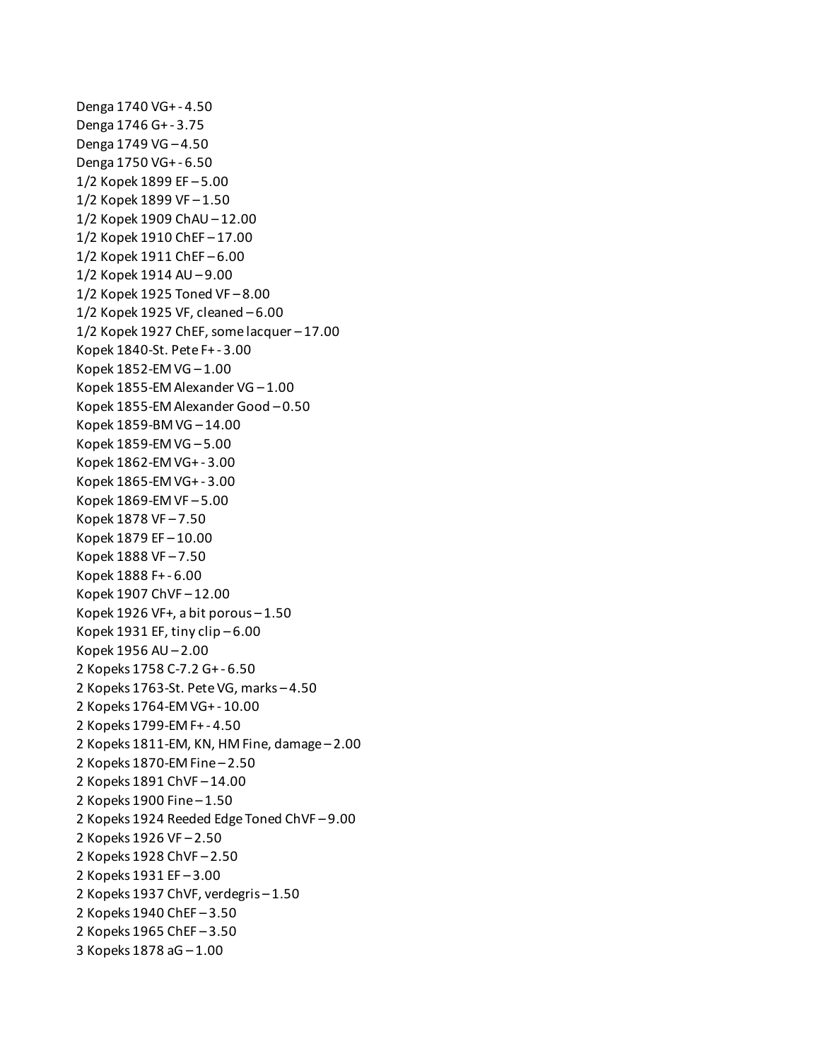Denga 1740 VG+ - 4.50 Denga 1746 G+ - 3.75 Denga 1749 VG – 4.50 Denga 1750 VG+ - 6.50 1/2 Kopek 1899 EF – 5.00 1/2 Kopek 1899 VF – 1.50 1/2 Kopek 1909 ChAU – 12.00 1/2 Kopek 1910 ChEF – 17.00 1/2 Kopek 1911 ChEF – 6.00 1/2 Kopek 1914 AU – 9.00 1/2 Kopek 1925 Toned VF – 8.00 1/2 Kopek 1925 VF, cleaned – 6.00 1/2 Kopek 1927 ChEF, some lacquer – 17.00 Kopek 1840-St. Pete F+ - 3.00 Kopek 1852-EM VG – 1.00 Kopek 1855-EM Alexander VG – 1.00 Kopek 1855-EM Alexander Good – 0.50 Kopek 1859-BM VG – 14.00 Kopek 1859-EM VG – 5.00 Kopek 1862-EM VG+ - 3.00 Kopek 1865-EM VG+ - 3.00 Kopek 1869-EM VF – 5.00 Kopek 1878 VF – 7.50 Kopek 1879 EF – 10.00 Kopek 1888 VF – 7.50 Kopek 1888 F+ - 6.00 Kopek 1907 ChVF – 12.00 Kopek 1926 VF+, a bit porous – 1.50 Kopek 1931 EF, tiny clip  $-6.00$ Kopek 1956 AU – 2.00 2 Kopeks 1758 C-7.2 G+ - 6.50 2 Kopeks 1763-St. Pete VG, marks – 4.50 2 Kopeks 1764-EM VG+ - 10.00 2 Kopeks 1799-EM F+ - 4.50 2 Kopeks 1811-EM, KN, HM Fine, damage – 2.00 2 Kopeks 1870-EM Fine – 2.50 2 Kopeks 1891 ChVF – 14.00 2 Kopeks 1900 Fine – 1.50 2 Kopeks 1924 Reeded Edge Toned ChVF – 9.00 2 Kopeks 1926 VF – 2.50 2 Kopeks 1928 ChVF – 2.50 2 Kopeks 1931 EF – 3.00 2 Kopeks 1937 ChVF, verdegris – 1.50 2 Kopeks 1940 ChEF – 3.50 2 Kopeks 1965 ChEF – 3.50 3 Kopeks 1878 aG – 1.00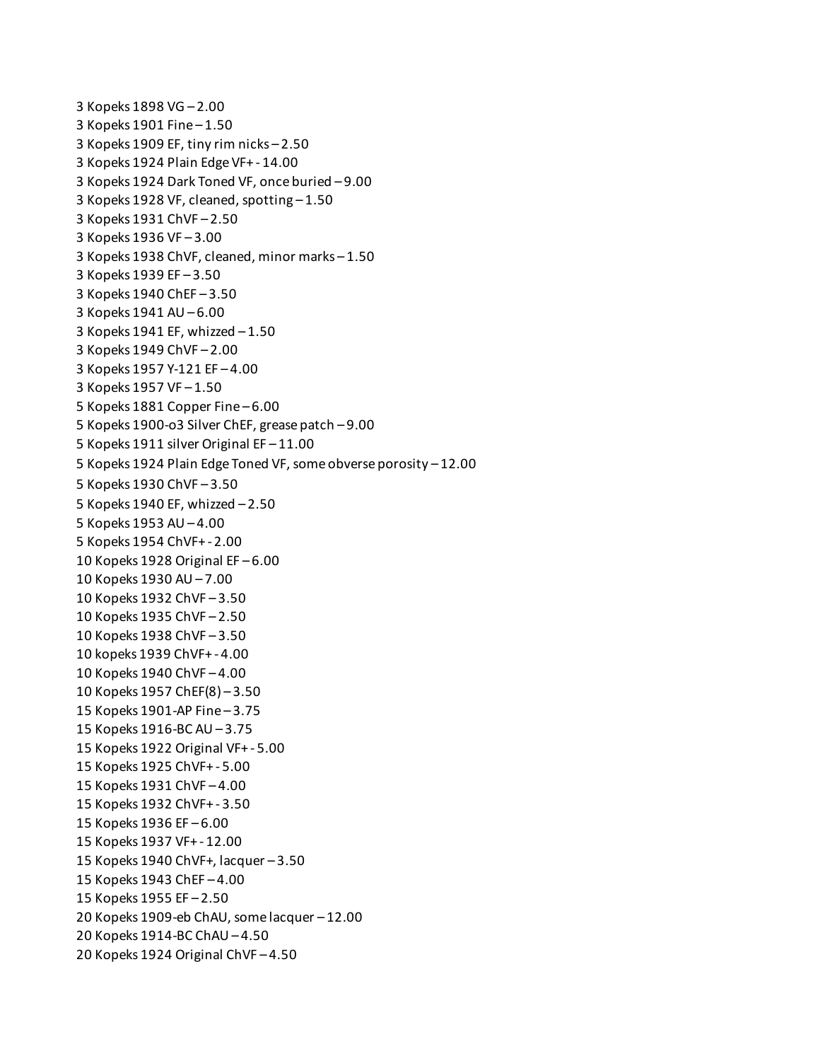3 Kopeks 1898 VG – 2.00 3 Kopeks 1901 Fine – 1.50 3 Kopeks 1909 EF, tiny rim nicks – 2.50 3 Kopeks 1924 Plain Edge VF+ - 14.00 3 Kopeks 1924 Dark Toned VF, once buried – 9.00 3 Kopeks 1928 VF, cleaned, spotting – 1.50 3 Kopeks 1931 ChVF – 2.50 3 Kopeks 1936 VF – 3.00 3 Kopeks 1938 ChVF, cleaned, minor marks – 1.50 3 Kopeks 1939 EF – 3.50 3 Kopeks 1940 ChEF – 3.50 3 Kopeks 1941 AU – 6.00 3 Kopeks 1941 EF, whizzed – 1.50 3 Kopeks 1949 ChVF – 2.00 3 Kopeks 1957 Y-121 EF – 4.00 3 Kopeks 1957 VF – 1.50 5 Kopeks 1881 Copper Fine – 6.00 5 Kopeks 1900-o3 Silver ChEF, grease patch – 9.00 5 Kopeks 1911 silver Original EF – 11.00 5 Kopeks 1924 Plain Edge Toned VF, some obverse porosity – 12.00 5 Kopeks 1930 ChVF – 3.50 5 Kopeks 1940 EF, whizzed – 2.50 5 Kopeks 1953 AU – 4.00 5 Kopeks 1954 ChVF+ - 2.00 10 Kopeks 1928 Original EF – 6.00 10 Kopeks 1930 AU – 7.00 10 Kopeks 1932 ChVF – 3.50 10 Kopeks 1935 ChVF – 2.50 10 Kopeks 1938 ChVF – 3.50 10 kopeks 1939 ChVF+ - 4.00 10 Kopeks 1940 ChVF – 4.00 10 Kopeks 1957 ChEF(8) – 3.50 15 Kopeks 1901-AP Fine – 3.75 15 Kopeks 1916-BC AU – 3.75 15 Kopeks 1922 Original VF+ - 5.00 15 Kopeks 1925 ChVF+ - 5.00 15 Kopeks 1931 ChVF – 4.00 15 Kopeks 1932 ChVF+ - 3.50 15 Kopeks 1936 EF – 6.00 15 Kopeks 1937 VF+ - 12.00 15 Kopeks 1940 ChVF+, lacquer – 3.50 15 Kopeks 1943 ChEF – 4.00 15 Kopeks 1955 EF – 2.50 20 Kopeks 1909-eb ChAU, some lacquer – 12.00 20 Kopeks 1914-BC ChAU – 4.50 20 Kopeks 1924 Original ChVF – 4.50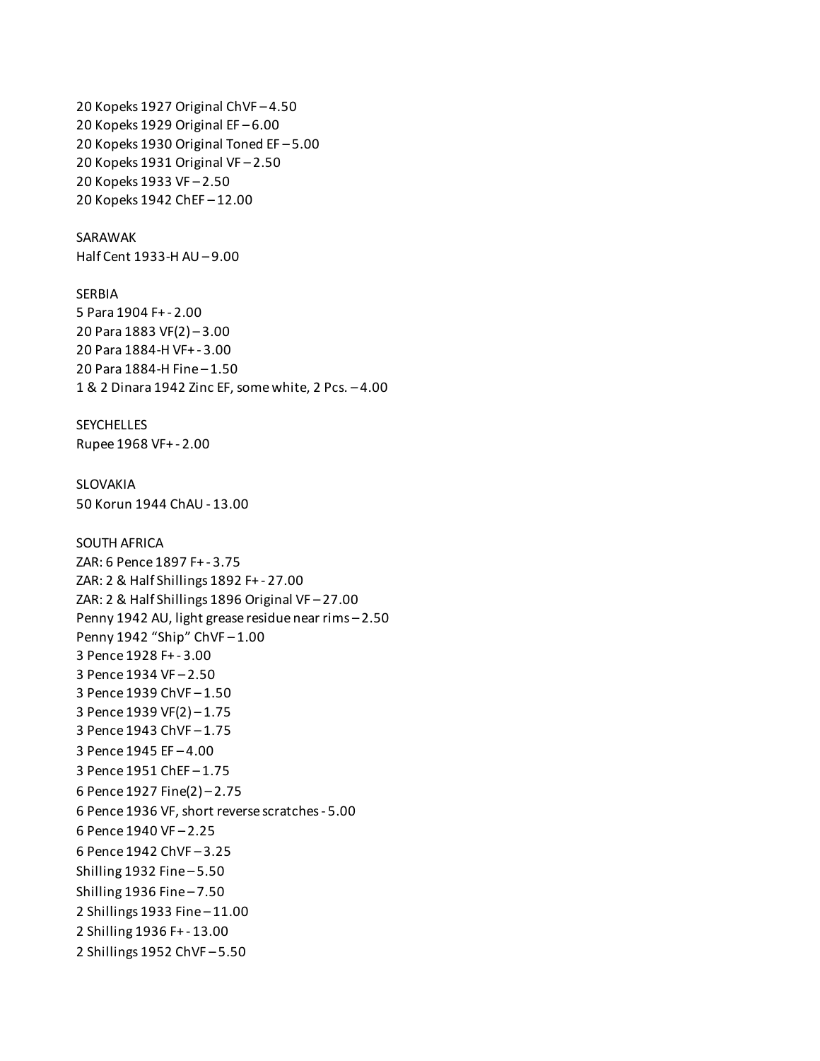20 Kopeks 1927 Original ChVF – 4.50 20 Kopeks 1929 Original EF – 6.00 20 Kopeks 1930 Original Toned EF – 5.00 20 Kopeks 1931 Original VF – 2.50 20 Kopeks 1933 VF – 2.50 20 Kopeks 1942 ChEF – 12.00 SARAWAK Half Cent 1933-H AU – 9.00 SERBIA 5 Para 1904 F+ - 2.00 20 Para 1883 VF(2) – 3.00 20 Para 1884-H VF+ - 3.00 20 Para 1884-H Fine – 1.50 1 & 2 Dinara 1942 Zinc EF, some white, 2 Pcs. – 4.00 **SEYCHELLES** Rupee 1968 VF+ - 2.00 SLOVAKIA 50 Korun 1944 ChAU - 13.00 SOUTH AFRICA ZAR: 6 Pence 1897 F+ - 3.75 ZAR: 2 & Half Shillings 1892 F+ - 27.00 ZAR: 2 & Half Shillings 1896 Original VF – 27.00 Penny 1942 AU, light grease residue near rims – 2.50 Penny 1942 "Ship" ChVF – 1.00 3 Pence 1928 F+ - 3.00 3 Pence 1934 VF – 2.50 3 Pence 1939 ChVF – 1.50 3 Pence 1939 VF(2) – 1.75 3 Pence 1943 ChVF – 1.75 3 Pence 1945 EF – 4.00 3 Pence 1951 ChEF – 1.75 6 Pence 1927 Fine(2) – 2.75 6 Pence 1936 VF, short reverse scratches - 5.00 6 Pence 1940 VF – 2.25 6 Pence 1942 ChVF – 3.25 Shilling 1932 Fine – 5.50 Shilling 1936 Fine – 7.50 2 Shillings 1933 Fine – 11.00 2 Shilling 1936 F+ - 13.00 2 Shillings 1952 ChVF – 5.50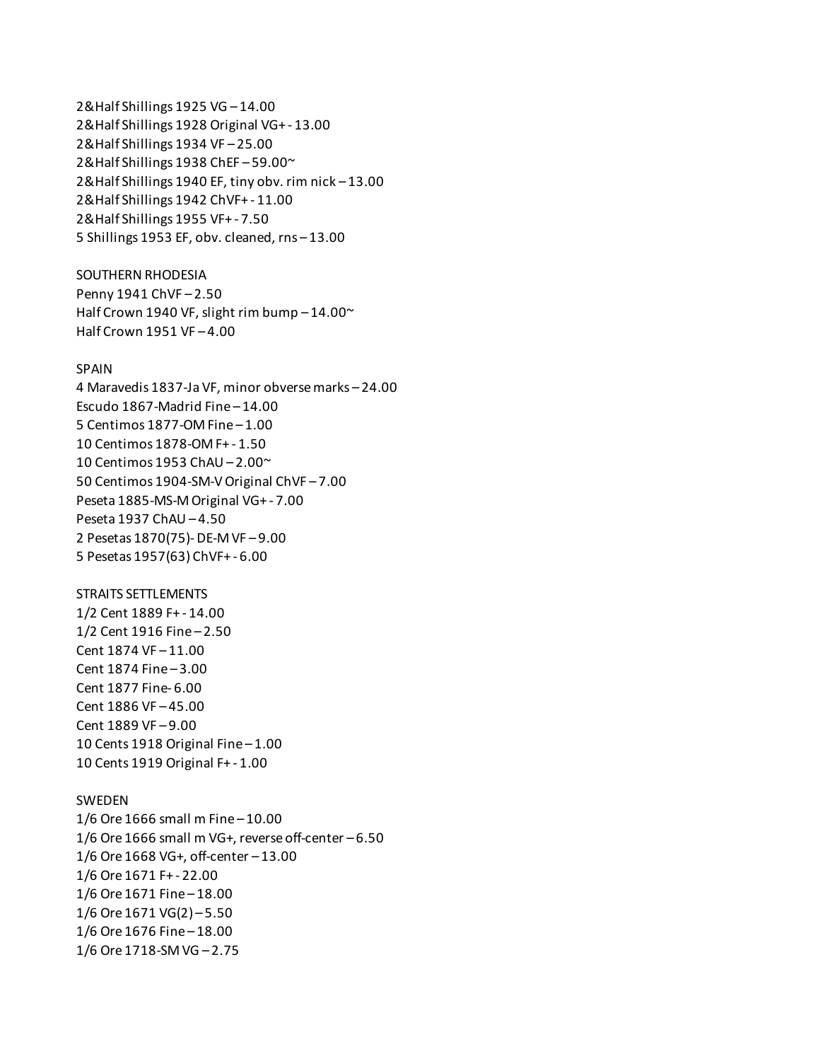2&Half Shillings 1925 VG – 14.00 2&Half Shillings 1928 Original VG+ - 13.00 2&Half Shillings 1934 VF – 25.00 2&Half Shillings 1938 ChEF – 59.00~ 2&Half Shillings 1940 EF, tiny obv. rim nick – 13.00 2&Half Shillings 1942 ChVF+ - 11.00 2&Half Shillings 1955 VF+ - 7.50 5 Shillings 1953 EF, obv. cleaned, rns – 13.00

# SOUTHERN RHODESIA

Penny 1941 ChVF – 2.50 Half Crown 1940 VF, slight rim bump – 14.00~ Half Crown 1951 VF – 4.00

## SPAIN

4 Maravedis 1837-Ja VF, minor obverse marks – 24.00 Escudo 1867-Madrid Fine – 14.00 5 Centimos 1877-OM Fine – 1.00 10 Centimos 1878-OM F+ - 1.50 10 Centimos 1953 ChAU – 2.00~ 50 Centimos 1904-SM-V Original ChVF – 7.00 Peseta 1885-MS-M Original VG+ - 7.00 Peseta 1937 ChAU – 4.50 2 Pesetas 1870(75)- DE-M VF – 9.00 5 Pesetas 1957(63) ChVF+ - 6.00

#### STRAITS SETTLEMENTS

1/2 Cent 1889 F+ - 14.00 1/2 Cent 1916 Fine – 2.50 Cent 1874 VF – 11.00 Cent 1874 Fine – 3.00 Cent 1877 Fine- 6.00 Cent 1886 VF – 45.00 Cent 1889 VF – 9.00 10 Cents 1918 Original Fine – 1.00 10 Cents 1919 Original F+ - 1.00

## SWEDEN

1/6 Ore 1666 small m Fine – 10.00 1/6 Ore 1666 small m VG+, reverse off-center – 6.50 1/6 Ore 1668 VG+, off-center – 13.00 1/6 Ore 1671 F+ - 22.00 1/6 Ore 1671 Fine – 18.00 1/6 Ore 1671 VG(2) – 5.50 1/6 Ore 1676 Fine – 18.00 1/6 Ore 1718-SM VG – 2.75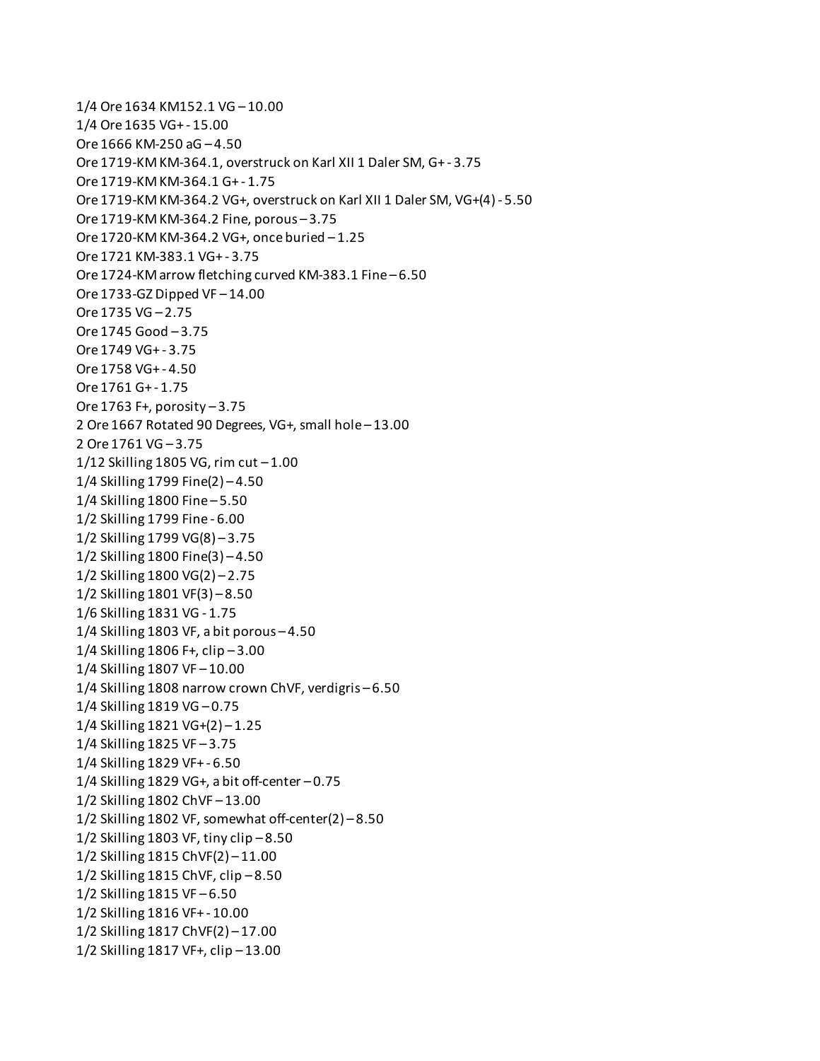1/4 Ore 1634 KM152.1 VG – 10.00 1/4 Ore 1635 VG+ - 15.00 Ore 1666 KM-250 aG – 4.50 Ore 1719-KM KM-364.1, overstruck on Karl XII 1 Daler SM, G+ - 3.75 Ore 1719-KM KM-364.1 G+ - 1.75 Ore 1719-KM KM-364.2 VG+, overstruck on Karl XII 1 Daler SM, VG+(4) - 5.50 Ore 1719-KM KM-364.2 Fine, porous – 3.75 Ore 1720-KM KM-364.2 VG+, once buried – 1.25 Ore 1721 KM-383.1 VG+ - 3.75 Ore 1724-KM arrow fletching curved KM-383.1 Fine – 6.50 Ore 1733-GZ Dipped VF – 14.00 Ore 1735 VG – 2.75 Ore 1745 Good – 3.75 Ore 1749 VG+ - 3.75 Ore 1758 VG+ - 4.50 Ore 1761 G+ - 1.75 Ore  $1763$  F+, porosity  $-3.75$ 2 Ore 1667 Rotated 90 Degrees, VG+, small hole – 13.00 2 Ore 1761 VG – 3.75 1/12 Skilling 1805 VG, rim cut  $-1.00$ 1/4 Skilling 1799 Fine(2) – 4.50 1/4 Skilling 1800 Fine – 5.50 1/2 Skilling 1799 Fine - 6.00 1/2 Skilling 1799 VG(8) – 3.75 1/2 Skilling 1800 Fine(3) – 4.50 1/2 Skilling 1800 VG(2) – 2.75 1/2 Skilling 1801 VF(3) – 8.50 1/6 Skilling 1831 VG - 1.75 1/4 Skilling 1803 VF, a bit porous – 4.50 1/4 Skilling 1806 F+, clip – 3.00 1/4 Skilling 1807 VF – 10.00 1/4 Skilling 1808 narrow crown ChVF, verdigris – 6.50 1/4 Skilling 1819 VG – 0.75 1/4 Skilling 1821 VG+(2) – 1.25 1/4 Skilling 1825 VF – 3.75 1/4 Skilling 1829 VF+ - 6.50 1/4 Skilling 1829 VG+, a bit off-center  $-0.75$ 1/2 Skilling 1802 ChVF – 13.00 1/2 Skilling 1802 VF, somewhat off-center(2) – 8.50 1/2 Skilling 1803 VF, tiny clip – 8.50 1/2 Skilling 1815 ChVF(2) – 11.00 1/2 Skilling 1815 ChVF, clip – 8.50 1/2 Skilling 1815 VF – 6.50 1/2 Skilling 1816 VF+ - 10.00 1/2 Skilling 1817 ChVF(2) – 17.00 1/2 Skilling 1817 VF+, clip – 13.00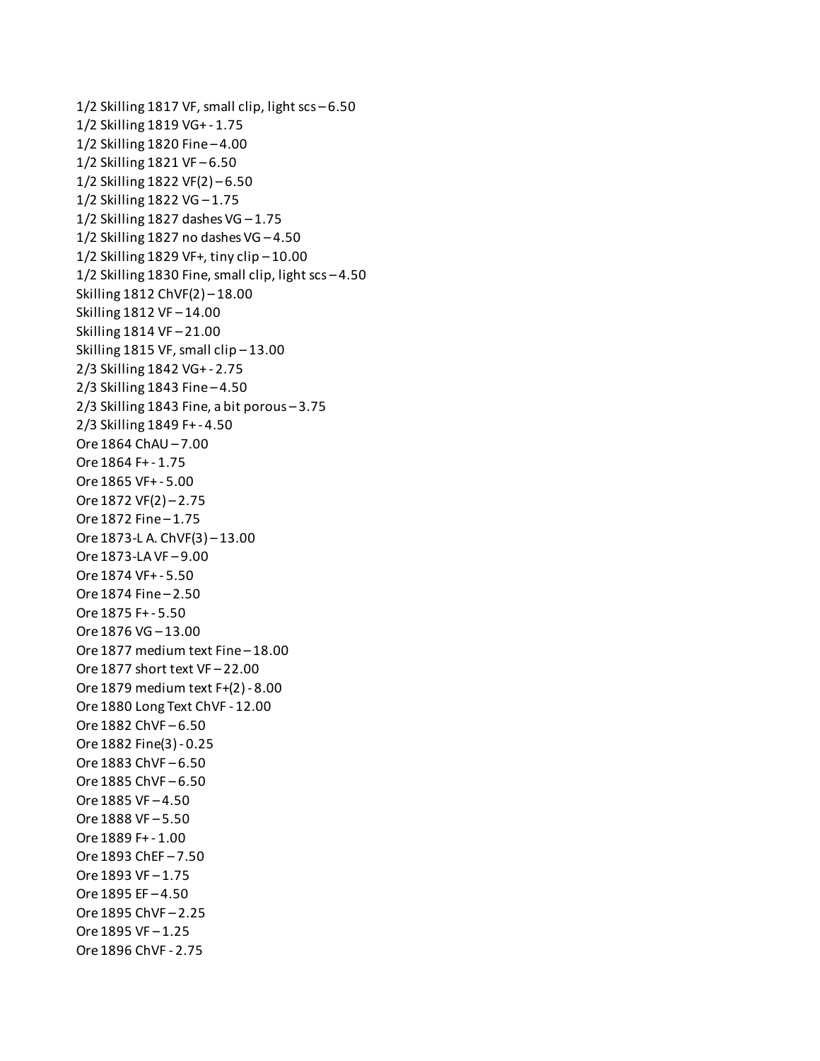1/2 Skilling 1817 VF, small clip, light scs – 6.50 1/2 Skilling 1819 VG+ - 1.75 1/2 Skilling 1820 Fine – 4.00 1/2 Skilling 1821 VF – 6.50 1/2 Skilling 1822 VF(2) – 6.50 1/2 Skilling 1822 VG – 1.75  $1/2$  Skilling 1827 dashes VG  $-1.75$ 1/2 Skilling 1827 no dashes VG – 4.50 1/2 Skilling 1829 VF+, tiny clip – 10.00 1/2 Skilling 1830 Fine, small clip, light scs – 4.50 Skilling 1812 ChVF(2) – 18.00 Skilling 1812 VF – 14.00 Skilling 1814 VF – 21.00 Skilling 1815 VF, small clip – 13.00 2/3 Skilling 1842 VG+ - 2.75 2/3 Skilling 1843 Fine – 4.50 2/3 Skilling 1843 Fine, a bit porous – 3.75 2/3 Skilling 1849 F+ - 4.50 Ore 1864 ChAU – 7.00 Ore 1864 F+ - 1.75 Ore 1865 VF+ - 5.00 Ore 1872 VF(2) – 2.75 Ore 1872 Fine – 1.75 Ore 1873-L A. ChVF(3) – 13.00 Ore 1873-LA VF – 9.00 Ore 1874 VF+ - 5.50 Ore 1874 Fine – 2.50 Ore 1875 F+ - 5.50 Ore 1876 VG – 13.00 Ore 1877 medium text Fine – 18.00 Ore 1877 short text VF – 22.00 Ore 1879 medium text F+(2) - 8.00 Ore 1880 Long Text ChVF - 12.00 Ore 1882 ChVF – 6.50 Ore 1882 Fine(3) - 0.25 Ore 1883 ChVF – 6.50 Ore 1885 ChVF – 6.50 Ore 1885 VF – 4.50 Ore 1888 VF – 5.50 Ore 1889 F+ - 1.00 Ore 1893 ChEF – 7.50 Ore 1893 VF – 1.75 Ore 1895 EF – 4.50 Ore 1895 ChVF – 2.25 Ore 1895 VF – 1.25 Ore 1896 ChVF - 2.75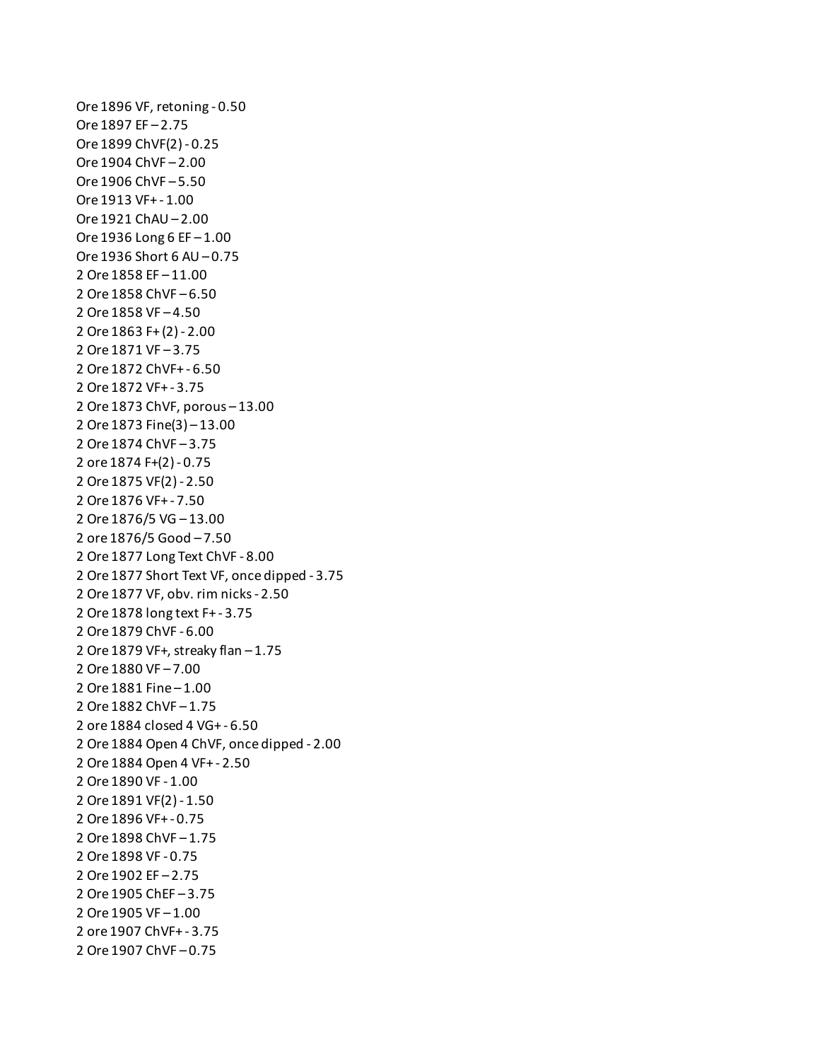Ore 1896 VF, retoning - 0.50 Ore 1897 EF – 2.75 Ore 1899 ChVF(2) - 0.25 Ore 1904 ChVF – 2.00 Ore 1906 ChVF – 5.50 Ore 1913 VF+ - 1.00 Ore 1921 ChAU – 2.00 Ore 1936 Long 6 EF – 1.00 Ore 1936 Short 6 AU – 0.75 2 Ore 1858 EF – 11.00 2 Ore 1858 ChVF – 6.50 2 Ore 1858 VF – 4.50 2 Ore 1863 F+ (2) - 2.00 2 Ore 1871 VF – 3.75 2 Ore 1872 ChVF+ - 6.50 2 Ore 1872 VF+ - 3.75 2 Ore 1873 ChVF, porous – 13.00 2 Ore 1873 Fine(3) – 13.00 2 Ore 1874 ChVF – 3.75 2 ore 1874 F+(2) - 0.75 2 Ore 1875 VF(2) - 2.50 2 Ore 1876 VF+ - 7.50 2 Ore 1876/5 VG – 13.00 2 ore 1876/5 Good – 7.50 2 Ore 1877 Long Text ChVF - 8.00 2 Ore 1877 Short Text VF, once dipped - 3.75 2 Ore 1877 VF, obv. rim nicks - 2.50 2 Ore 1878 long text F+ - 3.75 2 Ore 1879 ChVF - 6.00 2 Ore 1879 VF+, streaky flan – 1.75 2 Ore 1880 VF – 7.00 2 Ore 1881 Fine – 1.00 2 Ore 1882 ChVF – 1.75 2 ore 1884 closed 4 VG+ - 6.50 2 Ore 1884 Open 4 ChVF, once dipped - 2.00 2 Ore 1884 Open 4 VF+ - 2.50 2 Ore 1890 VF - 1.00 2 Ore 1891 VF(2) - 1.50 2 Ore 1896 VF+ - 0.75 2 Ore 1898 ChVF – 1.75 2 Ore 1898 VF - 0.75 2 Ore 1902 EF – 2.75 2 Ore 1905 ChEF – 3.75 2 Ore 1905 VF – 1.00 2 ore 1907 ChVF+ - 3.75 2 Ore 1907 ChVF – 0.75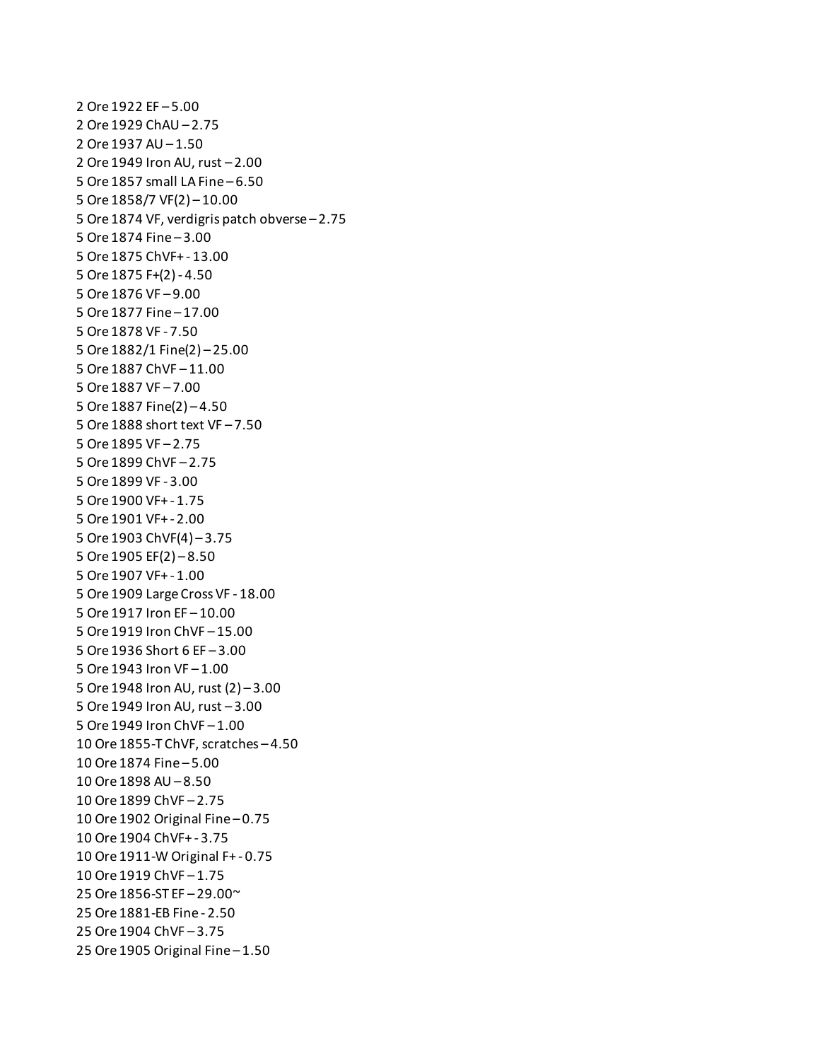2 Ore 1922 EF – 5.00 2 Ore 1929 ChAU – 2.75 2 Ore 1937 AU – 1.50 2 Ore 1949 Iron AU, rust – 2.00 5 Ore 1857 small LA Fine – 6.50 5 Ore 1858/7 VF(2) – 10.00 5 Ore 1874 VF, verdigris patch obverse – 2.75 5 Ore 1874 Fine – 3.00 5 Ore 1875 ChVF+ - 13.00 5 Ore 1875 F+(2) - 4.50 5 Ore 1876 VF – 9.00 5 Ore 1877 Fine – 17.00 5 Ore 1878 VF - 7.50 5 Ore 1882/1 Fine(2) – 25.00 5 Ore 1887 ChVF – 11.00 5 Ore 1887 VF – 7.00 5 Ore 1887 Fine(2) – 4.50 5 Ore 1888 short text VF – 7.50 5 Ore 1895 VF – 2.75 5 Ore 1899 ChVF – 2.75 5 Ore 1899 VF - 3.00 5 Ore 1900 VF+ - 1.75 5 Ore 1901 VF+ - 2.00 5 Ore 1903 ChVF(4) – 3.75 5 Ore 1905 EF(2) – 8.50 5 Ore 1907 VF+ - 1.00 5 Ore 1909 Large Cross VF - 18.00 5 Ore 1917 Iron EF – 10.00 5 Ore 1919 Iron ChVF – 15.00 5 Ore 1936 Short 6 EF – 3.00 5 Ore 1943 Iron VF – 1.00 5 Ore 1948 Iron AU, rust (2) – 3.00 5 Ore 1949 Iron AU, rust – 3.00 5 Ore 1949 Iron ChVF – 1.00 10 Ore 1855-T ChVF, scratches – 4.50 10 Ore 1874 Fine – 5.00 10 Ore 1898 AU – 8.50 10 Ore 1899 ChVF – 2.75 10 Ore 1902 Original Fine – 0.75 10 Ore 1904 ChVF+ - 3.75 10 Ore 1911-W Original F+ - 0.75 10 Ore 1919 ChVF – 1.75 25 Ore 1856-ST EF – 29.00~ 25 Ore 1881-EB Fine - 2.50 25 Ore 1904 ChVF – 3.75 25 Ore 1905 Original Fine – 1.50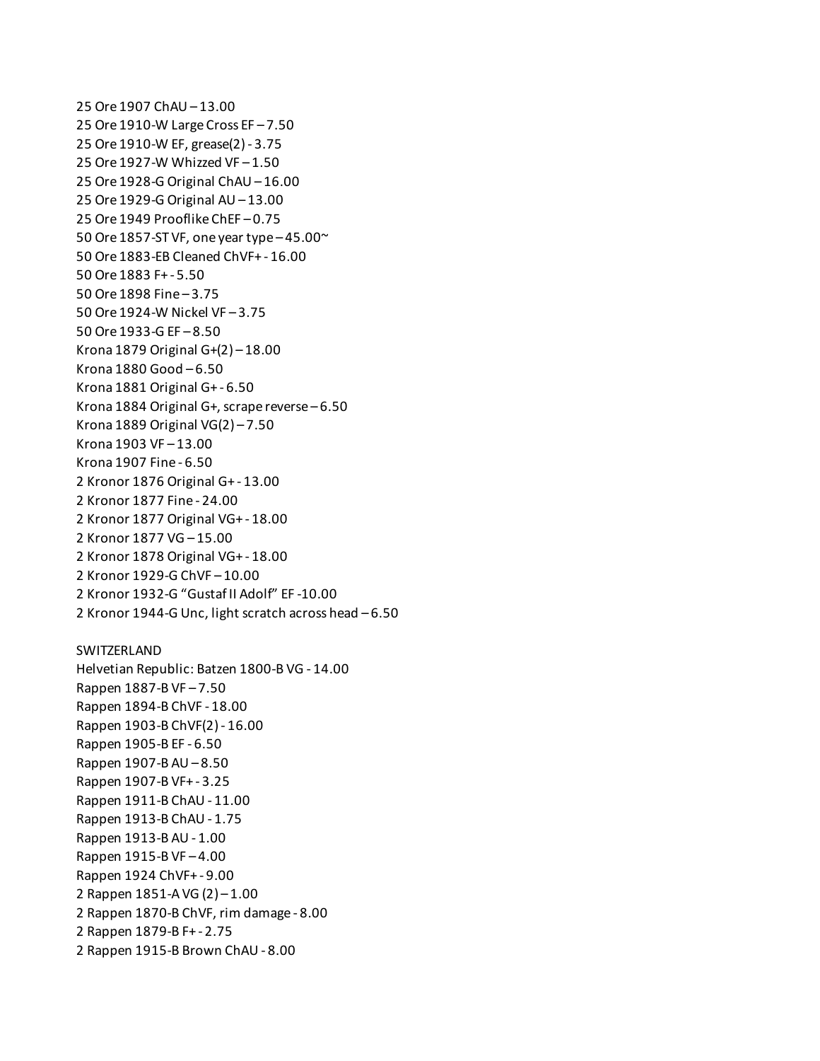25 Ore 1907 ChAU – 13.00 25 Ore 1910-W Large Cross EF – 7.50 25 Ore 1910-W EF, grease(2) - 3.75 25 Ore 1927-W Whizzed VF – 1.50 25 Ore 1928-G Original ChAU – 16.00 25 Ore 1929-G Original AU – 13.00 25 Ore 1949 Prooflike ChEF – 0.75 50 Ore 1857-ST VF, one year type – 45.00~ 50 Ore 1883-EB Cleaned ChVF+ - 16.00 50 Ore 1883 F+ - 5.50 50 Ore 1898 Fine – 3.75 50 Ore 1924-W Nickel VF – 3.75 50 Ore 1933-G EF – 8.50 Krona 1879 Original G+(2) – 18.00 Krona 1880 Good – 6.50 Krona 1881 Original G+ - 6.50 Krona 1884 Original G+, scrape reverse – 6.50 Krona 1889 Original VG(2) – 7.50 Krona 1903 VF – 13.00 Krona 1907 Fine - 6.50 2 Kronor 1876 Original G+ - 13.00 2 Kronor 1877 Fine - 24.00 2 Kronor 1877 Original VG+ - 18.00 2 Kronor 1877 VG – 15.00 2 Kronor 1878 Original VG+ - 18.00 2 Kronor 1929-G ChVF – 10.00 2 Kronor 1932-G "Gustaf II Adolf" EF -10.00 2 Kronor 1944-G Unc, light scratch across head – 6.50 SWITZERLAND Helvetian Republic: Batzen 1800-B VG - 14.00 Rappen 1887-B VF – 7.50 Rappen 1894-B ChVF - 18.00 Rappen 1903-B ChVF(2) - 16.00 Rappen 1905-B EF - 6.50 Rappen 1907-B AU – 8.50 Rappen 1907-B VF+ - 3.25 Rappen 1911-B ChAU - 11.00 Rappen 1913-B ChAU - 1.75 Rappen 1913-B AU - 1.00 Rappen 1915-B VF – 4.00 Rappen 1924 ChVF+ - 9.00 2 Rappen 1851-A VG (2) – 1.00 2 Rappen 1870-B ChVF, rim damage - 8.00 2 Rappen 1879-B F+ - 2.75 2 Rappen 1915-B Brown ChAU - 8.00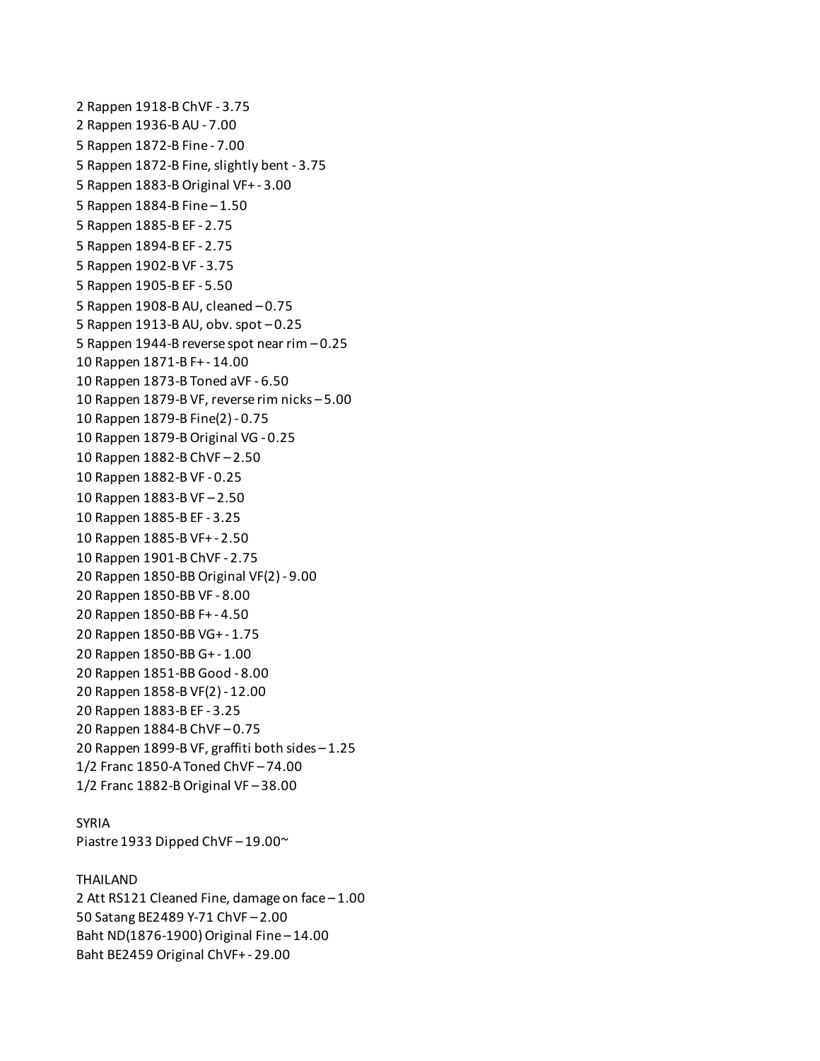2 Rappen 1918-B ChVF - 3.75 2 Rappen 1936-B AU - 7.00 5 Rappen 1872-B Fine - 7.00 5 Rappen 1872-B Fine, slightly bent - 3.75 5 Rappen 1883-B Original VF+ - 3.00 5 Rappen 1884-B Fine – 1.50 5 Rappen 1885-B EF - 2.75 5 Rappen 1894-B EF - 2.75 5 Rappen 1902-B VF - 3.75 5 Rappen 1905-B EF - 5.50 5 Rappen 1908-B AU, cleaned – 0.75 5 Rappen 1913-B AU, obv. spot – 0.25 5 Rappen 1944-B reverse spot near rim – 0.25 10 Rappen 1871-B F+ - 14.00 10 Rappen 1873-B Toned aVF - 6.50 10 Rappen 1879-B VF, reverse rim nicks – 5.00 10 Rappen 1879-B Fine(2) - 0.75 10 Rappen 1879-B Original VG - 0.25 10 Rappen 1882-B ChVF – 2.50 10 Rappen 1882-B VF - 0.25 10 Rappen 1883-B VF – 2.50 10 Rappen 1885-B EF - 3.25 10 Rappen 1885-B VF+ - 2.50 10 Rappen 1901-B ChVF - 2.75 20 Rappen 1850-BB Original VF(2) - 9.00 20 Rappen 1850-BB VF - 8.00 20 Rappen 1850-BB F+ - 4.50 20 Rappen 1850-BB VG+ - 1.75 20 Rappen 1850-BB G+ - 1.00 20 Rappen 1851-BB Good - 8.00 20 Rappen 1858-B VF(2) - 12.00 20 Rappen 1883-B EF - 3.25 20 Rappen 1884-B ChVF – 0.75 20 Rappen 1899-B VF, graffiti both sides – 1.25 1/2 Franc 1850-A Toned ChVF – 74.00 1/2 Franc 1882-B Original VF – 38.00

## SYRIA

Piastre 1933 Dipped ChVF – 19.00~

# THAILAND

2 Att RS121 Cleaned Fine, damage on face – 1.00 50 Satang BE2489 Y-71 ChVF – 2.00 Baht ND(1876-1900) Original Fine – 14.00 Baht BE2459 Original ChVF+ - 29.00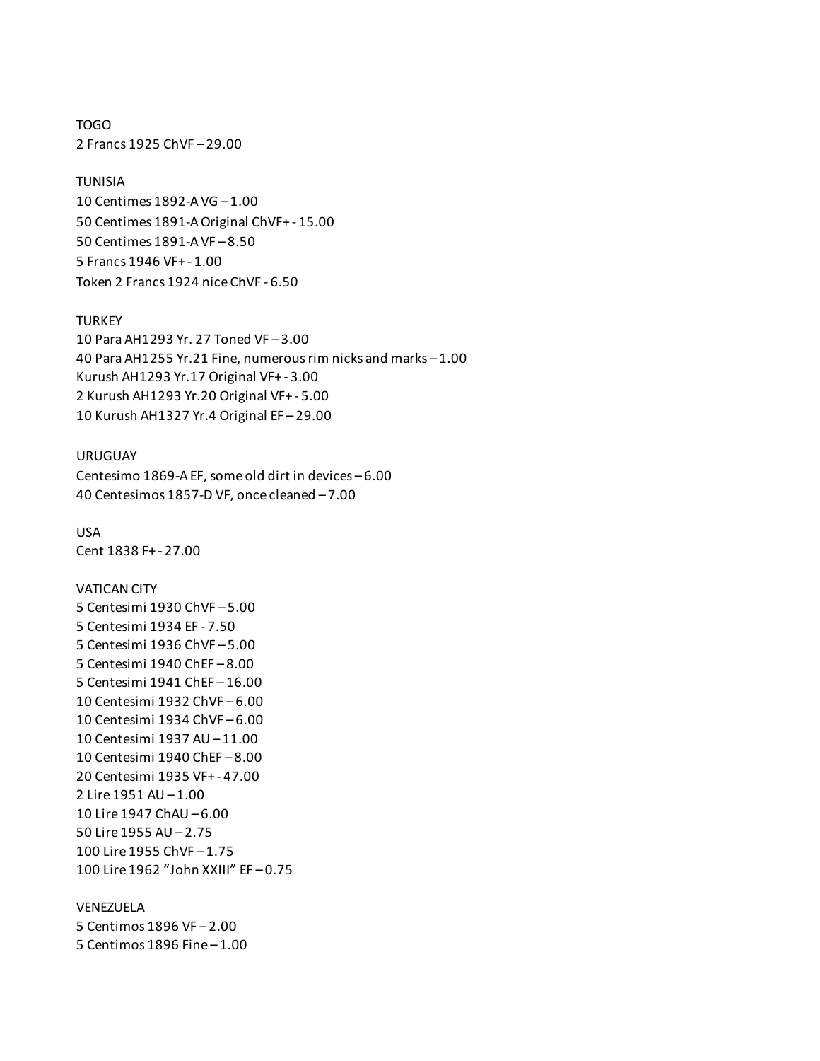TOGO 2 Francs 1925 ChVF – 29.00

#### TUNISIA

10 Centimes 1892-A VG – 1.00 50 Centimes 1891-A Original ChVF+ - 15.00 50 Centimes 1891-A VF – 8.50 5 Francs 1946 VF+ - 1.00 Token 2 Francs 1924 nice ChVF - 6.50

## **TURKEY**

10 Para AH1293 Yr. 27 Toned VF – 3.00 40 Para AH1255 Yr.21 Fine, numerous rim nicks and marks – 1.00 Kurush AH1293 Yr.17 Original VF+ - 3.00 2 Kurush AH1293 Yr.20 Original VF+ - 5.00 10 Kurush AH1327 Yr.4 Original EF – 29.00

## URUGUAY

Centesimo 1869-A EF, some old dirt in devices – 6.00 40 Centesimos 1857-D VF, once cleaned – 7.00

USA Cent 1838 F+ - 27.00

## VATICAN CITY

5 Centesimi 1930 ChVF – 5.00 5 Centesimi 1934 EF - 7.50 5 Centesimi 1936 ChVF – 5.00 5 Centesimi 1940 ChEF – 8.00 5 Centesimi 1941 ChEF – 16.00 10 Centesimi 1932 ChVF – 6.00 10 Centesimi 1934 ChVF – 6.00 10 Centesimi 1937 AU – 11.00 10 Centesimi 1940 ChEF – 8.00 20 Centesimi 1935 VF+ - 47.00 2 Lire 1951 AU – 1.00 10 Lire 1947 ChAU – 6.00 50 Lire 1955 AU – 2.75 100 Lire 1955 ChVF – 1.75 100 Lire 1962 "John XXIII" EF – 0.75

## VENEZUELA

5 Centimos 1896 VF – 2.00 5 Centimos 1896 Fine – 1.00